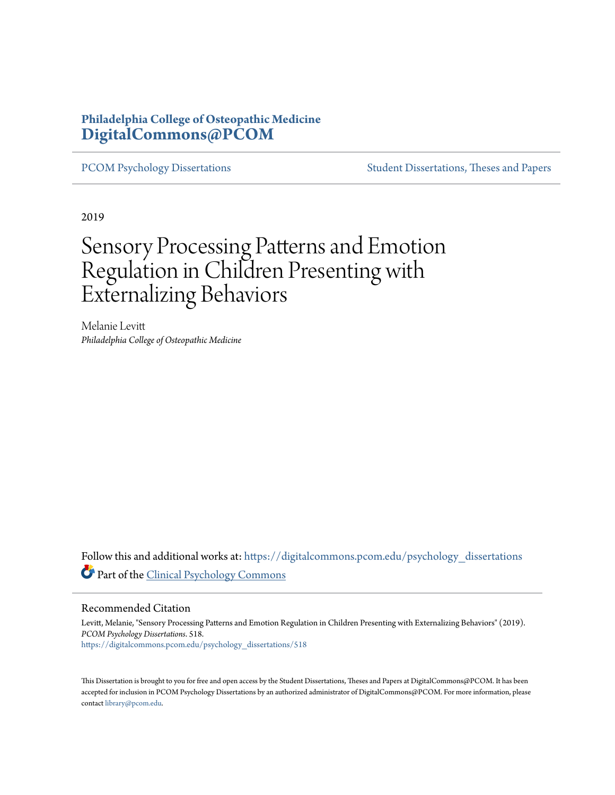## **Philadelphia College of Osteopathic Medicine [DigitalCommons@PCOM](https://digitalcommons.pcom.edu?utm_source=digitalcommons.pcom.edu%2Fpsychology_dissertations%2F518&utm_medium=PDF&utm_campaign=PDFCoverPages)**

[PCOM Psychology Dissertations](https://digitalcommons.pcom.edu/psychology_dissertations?utm_source=digitalcommons.pcom.edu%2Fpsychology_dissertations%2F518&utm_medium=PDF&utm_campaign=PDFCoverPages) [Student Dissertations, Theses and Papers](https://digitalcommons.pcom.edu/etds?utm_source=digitalcommons.pcom.edu%2Fpsychology_dissertations%2F518&utm_medium=PDF&utm_campaign=PDFCoverPages)

2019

# Sensory Processing Patterns and Emotion Regulation in Children Presenting with Externalizing Behaviors

Melanie Levitt *Philadelphia College of Osteopathic Medicine*

Follow this and additional works at: [https://digitalcommons.pcom.edu/psychology\\_dissertations](https://digitalcommons.pcom.edu/psychology_dissertations?utm_source=digitalcommons.pcom.edu%2Fpsychology_dissertations%2F518&utm_medium=PDF&utm_campaign=PDFCoverPages) Part of the [Clinical Psychology Commons](http://network.bepress.com/hgg/discipline/406?utm_source=digitalcommons.pcom.edu%2Fpsychology_dissertations%2F518&utm_medium=PDF&utm_campaign=PDFCoverPages)

#### Recommended Citation

Levitt, Melanie, "Sensory Processing Patterns and Emotion Regulation in Children Presenting with Externalizing Behaviors" (2019). *PCOM Psychology Dissertations*. 518. [https://digitalcommons.pcom.edu/psychology\\_dissertations/518](https://digitalcommons.pcom.edu/psychology_dissertations/518?utm_source=digitalcommons.pcom.edu%2Fpsychology_dissertations%2F518&utm_medium=PDF&utm_campaign=PDFCoverPages)

This Dissertation is brought to you for free and open access by the Student Dissertations, Theses and Papers at DigitalCommons@PCOM. It has been accepted for inclusion in PCOM Psychology Dissertations by an authorized administrator of DigitalCommons@PCOM. For more information, please contact [library@pcom.edu.](mailto:library@pcom.edu)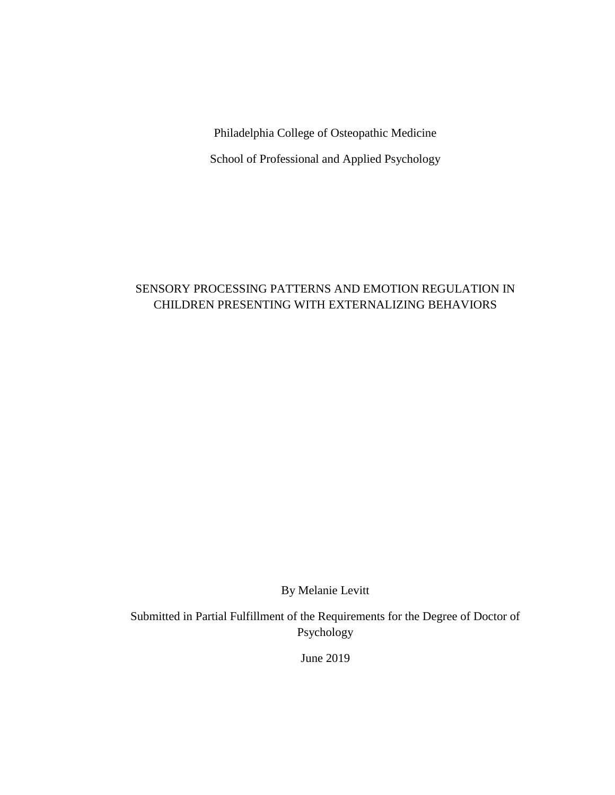Philadelphia College of Osteopathic Medicine

School of Professional and Applied Psychology

## SENSORY PROCESSING PATTERNS AND EMOTION REGULATION IN CHILDREN PRESENTING WITH EXTERNALIZING BEHAVIORS

By Melanie Levitt

Submitted in Partial Fulfillment of the Requirements for the Degree of Doctor of Psychology

June 2019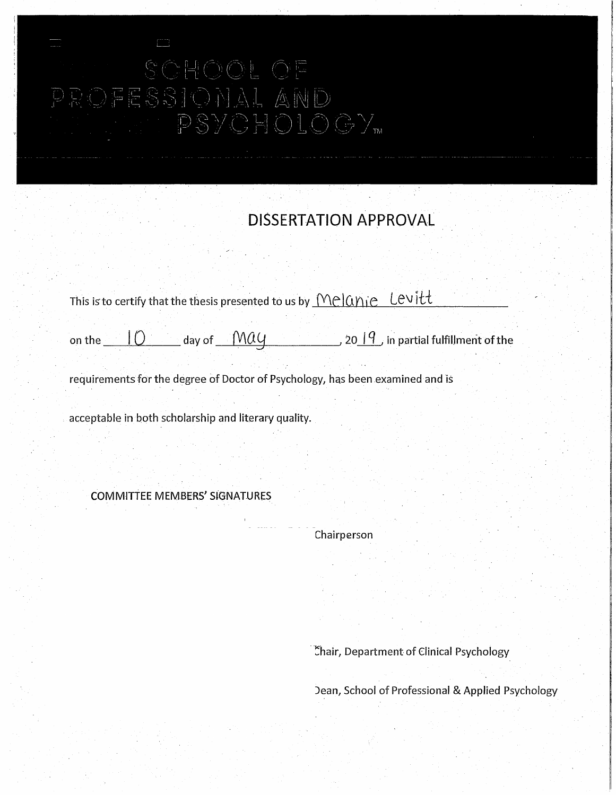# SCHOOL OF PSYCHOLOGY<sub>w</sub>

# **DISSERTATION APPROVAL**

|        | This is to certify that the thesis presented to us by $\sqrt{M}$ $\cap$ $\alpha$ $\in$ Levitt |                           |  |  |                                                           |
|--------|-----------------------------------------------------------------------------------------------|---------------------------|--|--|-----------------------------------------------------------|
|        |                                                                                               |                           |  |  |                                                           |
| on the |                                                                                               | day of $\Lambda$ $\alpha$ |  |  | , 20 $\vert$ $\mathcal G$ , in partial fulfillment of the |

requirements for the degree of Doctor of Psychology, has been examined and is

acceptable in both scholarship and literary quality.

COMMITTEE MEMBERS' SiGNATURES

Chairperson

-Chair, Department of Clinical Psychology

Jean, School of Professional & Applied Psychology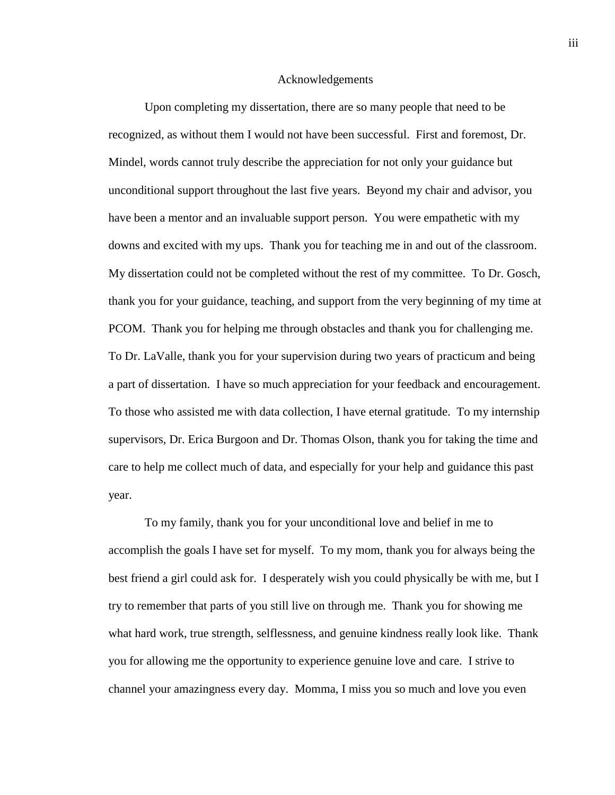#### Acknowledgements

Upon completing my dissertation, there are so many people that need to be recognized, as without them I would not have been successful. First and foremost, Dr. Mindel, words cannot truly describe the appreciation for not only your guidance but unconditional support throughout the last five years. Beyond my chair and advisor, you have been a mentor and an invaluable support person. You were empathetic with my downs and excited with my ups. Thank you for teaching me in and out of the classroom. My dissertation could not be completed without the rest of my committee. To Dr. Gosch, thank you for your guidance, teaching, and support from the very beginning of my time at PCOM. Thank you for helping me through obstacles and thank you for challenging me. To Dr. LaValle, thank you for your supervision during two years of practicum and being a part of dissertation. I have so much appreciation for your feedback and encouragement. To those who assisted me with data collection, I have eternal gratitude. To my internship supervisors, Dr. Erica Burgoon and Dr. Thomas Olson, thank you for taking the time and care to help me collect much of data, and especially for your help and guidance this past year.

To my family, thank you for your unconditional love and belief in me to accomplish the goals I have set for myself. To my mom, thank you for always being the best friend a girl could ask for. I desperately wish you could physically be with me, but I try to remember that parts of you still live on through me. Thank you for showing me what hard work, true strength, selflessness, and genuine kindness really look like. Thank you for allowing me the opportunity to experience genuine love and care. I strive to channel your amazingness every day. Momma, I miss you so much and love you even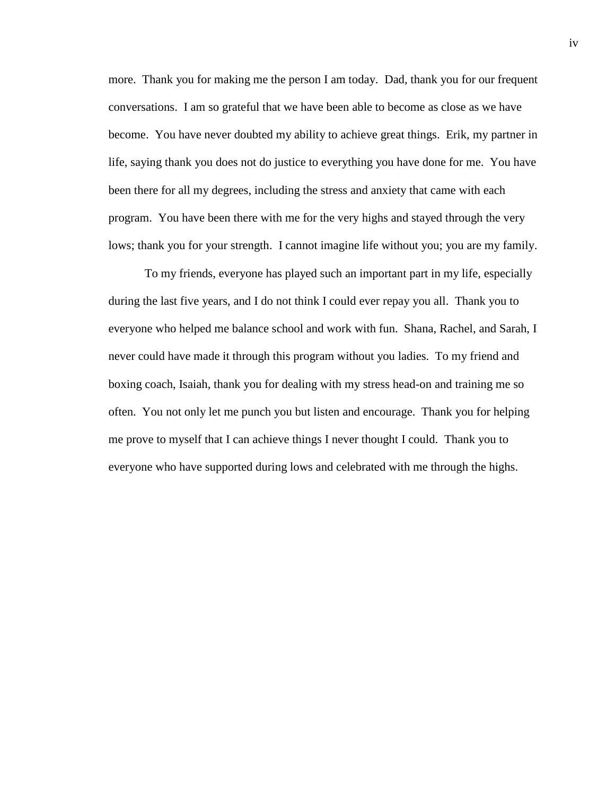more. Thank you for making me the person I am today. Dad, thank you for our frequent conversations. I am so grateful that we have been able to become as close as we have become. You have never doubted my ability to achieve great things. Erik, my partner in life, saying thank you does not do justice to everything you have done for me. You have been there for all my degrees, including the stress and anxiety that came with each program. You have been there with me for the very highs and stayed through the very lows; thank you for your strength. I cannot imagine life without you; you are my family.

To my friends, everyone has played such an important part in my life, especially during the last five years, and I do not think I could ever repay you all. Thank you to everyone who helped me balance school and work with fun. Shana, Rachel, and Sarah, I never could have made it through this program without you ladies. To my friend and boxing coach, Isaiah, thank you for dealing with my stress head-on and training me so often. You not only let me punch you but listen and encourage. Thank you for helping me prove to myself that I can achieve things I never thought I could. Thank you to everyone who have supported during lows and celebrated with me through the highs.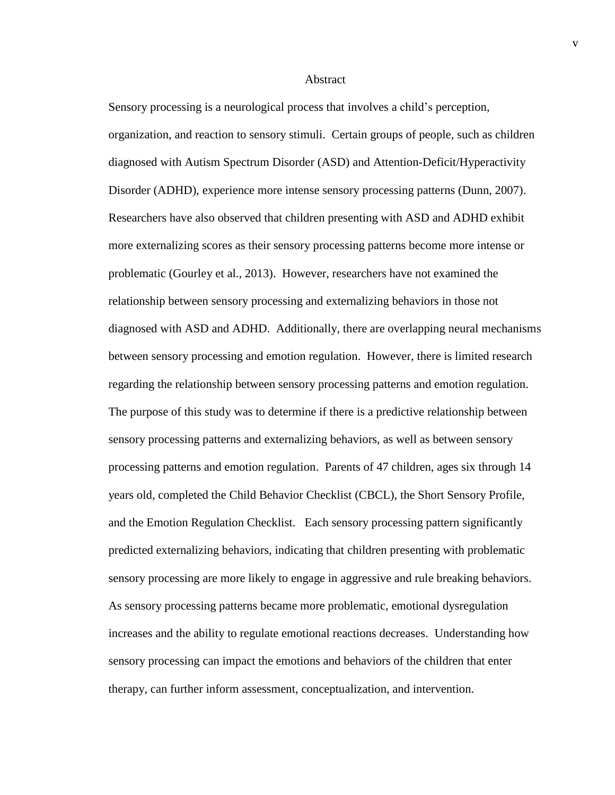#### Abstract

Sensory processing is a neurological process that involves a child's perception, organization, and reaction to sensory stimuli. Certain groups of people, such as children diagnosed with Autism Spectrum Disorder (ASD) and Attention-Deficit/Hyperactivity Disorder (ADHD), experience more intense sensory processing patterns (Dunn, 2007). Researchers have also observed that children presenting with ASD and ADHD exhibit more externalizing scores as their sensory processing patterns become more intense or problematic (Gourley et al., 2013). However, researchers have not examined the relationship between sensory processing and externalizing behaviors in those not diagnosed with ASD and ADHD. Additionally, there are overlapping neural mechanisms between sensory processing and emotion regulation. However, there is limited research regarding the relationship between sensory processing patterns and emotion regulation. The purpose of this study was to determine if there is a predictive relationship between sensory processing patterns and externalizing behaviors, as well as between sensory processing patterns and emotion regulation. Parents of 47 children, ages six through 14 years old, completed the Child Behavior Checklist (CBCL), the Short Sensory Profile, and the Emotion Regulation Checklist. Each sensory processing pattern significantly predicted externalizing behaviors, indicating that children presenting with problematic sensory processing are more likely to engage in aggressive and rule breaking behaviors. As sensory processing patterns became more problematic, emotional dysregulation increases and the ability to regulate emotional reactions decreases. Understanding how sensory processing can impact the emotions and behaviors of the children that enter therapy, can further inform assessment, conceptualization, and intervention.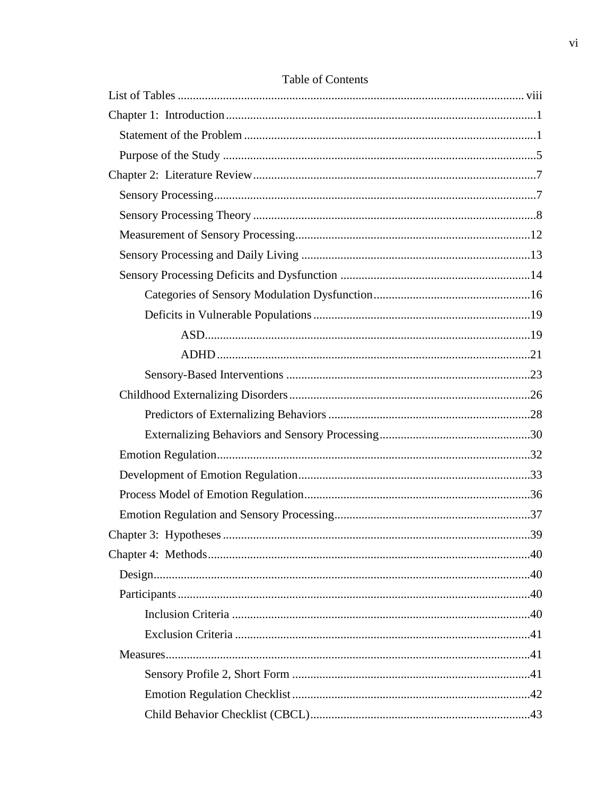| 39 |
|----|
|    |
|    |
|    |
|    |
|    |
|    |
|    |
|    |
|    |

## Table of Contents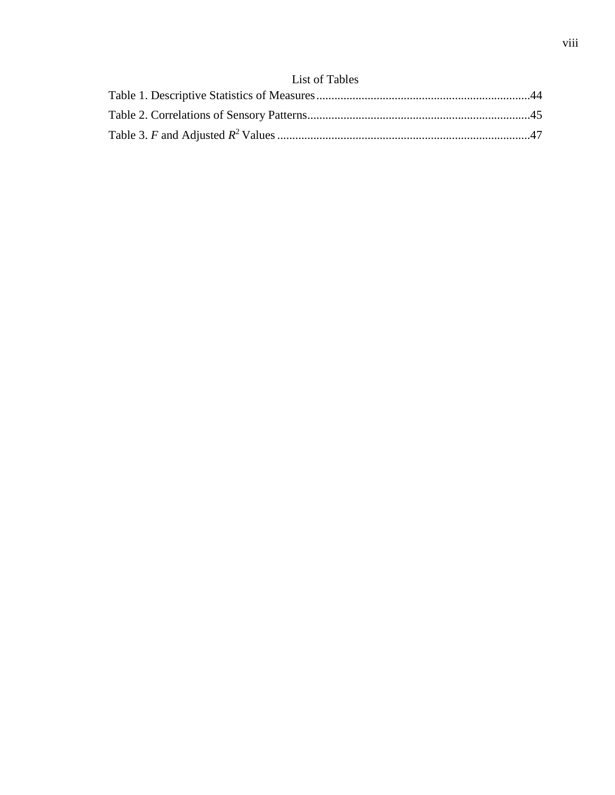# List of Tables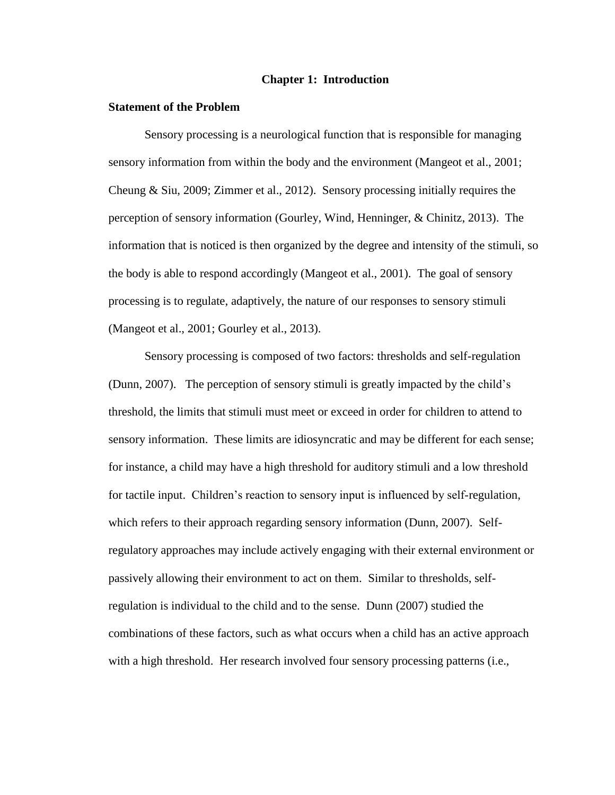#### **Chapter 1: Introduction**

#### **Statement of the Problem**

Sensory processing is a neurological function that is responsible for managing sensory information from within the body and the environment (Mangeot et al., 2001; Cheung & Siu, 2009; Zimmer et al., 2012). Sensory processing initially requires the perception of sensory information (Gourley, Wind, Henninger, & Chinitz, 2013). The information that is noticed is then organized by the degree and intensity of the stimuli, so the body is able to respond accordingly (Mangeot et al., 2001). The goal of sensory processing is to regulate, adaptively, the nature of our responses to sensory stimuli (Mangeot et al., 2001; Gourley et al., 2013).

Sensory processing is composed of two factors: thresholds and self-regulation (Dunn, 2007). The perception of sensory stimuli is greatly impacted by the child's threshold, the limits that stimuli must meet or exceed in order for children to attend to sensory information. These limits are idiosyncratic and may be different for each sense; for instance, a child may have a high threshold for auditory stimuli and a low threshold for tactile input. Children's reaction to sensory input is influenced by self-regulation, which refers to their approach regarding sensory information (Dunn, 2007). Selfregulatory approaches may include actively engaging with their external environment or passively allowing their environment to act on them. Similar to thresholds, selfregulation is individual to the child and to the sense. Dunn (2007) studied the combinations of these factors, such as what occurs when a child has an active approach with a high threshold. Her research involved four sensory processing patterns (i.e.,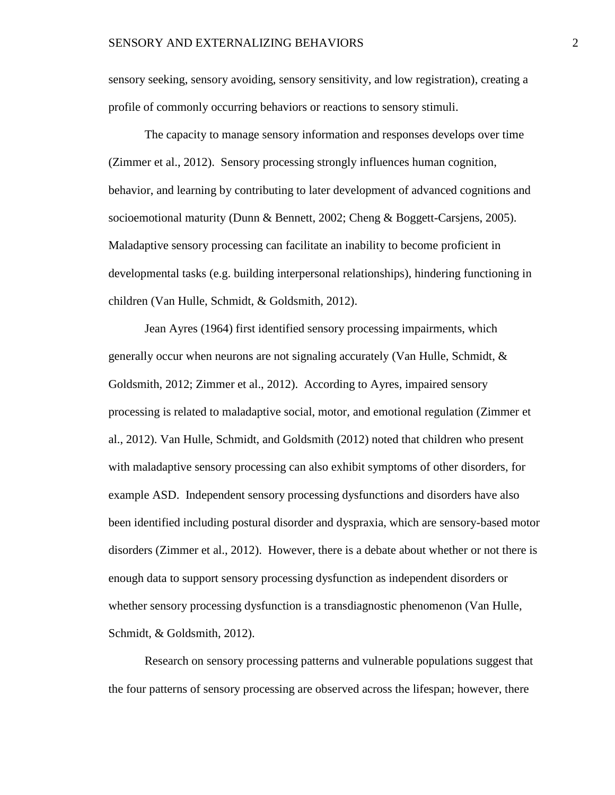sensory seeking, sensory avoiding, sensory sensitivity, and low registration), creating a profile of commonly occurring behaviors or reactions to sensory stimuli.

The capacity to manage sensory information and responses develops over time (Zimmer et al., 2012). Sensory processing strongly influences human cognition, behavior, and learning by contributing to later development of advanced cognitions and socioemotional maturity (Dunn & Bennett, 2002; Cheng & Boggett-Carsjens, 2005). Maladaptive sensory processing can facilitate an inability to become proficient in developmental tasks (e.g. building interpersonal relationships), hindering functioning in children (Van Hulle, Schmidt, & Goldsmith, 2012).

Jean Ayres (1964) first identified sensory processing impairments, which generally occur when neurons are not signaling accurately (Van Hulle, Schmidt, & Goldsmith, 2012; Zimmer et al., 2012). According to Ayres, impaired sensory processing is related to maladaptive social, motor, and emotional regulation (Zimmer et al., 2012). Van Hulle, Schmidt, and Goldsmith (2012) noted that children who present with maladaptive sensory processing can also exhibit symptoms of other disorders, for example ASD. Independent sensory processing dysfunctions and disorders have also been identified including postural disorder and dyspraxia, which are sensory-based motor disorders (Zimmer et al., 2012). However, there is a debate about whether or not there is enough data to support sensory processing dysfunction as independent disorders or whether sensory processing dysfunction is a transdiagnostic phenomenon (Van Hulle, Schmidt, & Goldsmith, 2012).

Research on sensory processing patterns and vulnerable populations suggest that the four patterns of sensory processing are observed across the lifespan; however, there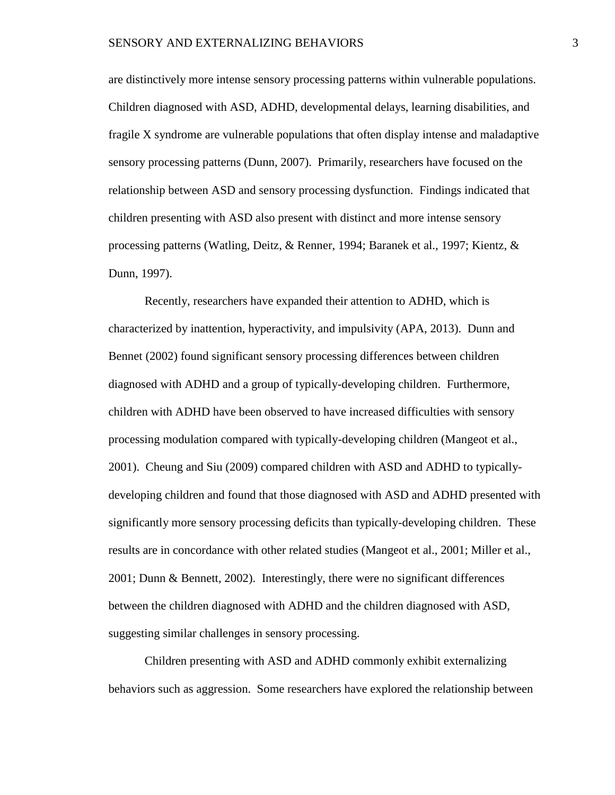are distinctively more intense sensory processing patterns within vulnerable populations. Children diagnosed with ASD, ADHD, developmental delays, learning disabilities, and fragile X syndrome are vulnerable populations that often display intense and maladaptive sensory processing patterns (Dunn, 2007). Primarily, researchers have focused on the relationship between ASD and sensory processing dysfunction. Findings indicated that children presenting with ASD also present with distinct and more intense sensory processing patterns (Watling, Deitz, & Renner, 1994; Baranek et al., 1997; Kientz, & Dunn, 1997).

Recently, researchers have expanded their attention to ADHD, which is characterized by inattention, hyperactivity, and impulsivity (APA, 2013). Dunn and Bennet (2002) found significant sensory processing differences between children diagnosed with ADHD and a group of typically-developing children. Furthermore, children with ADHD have been observed to have increased difficulties with sensory processing modulation compared with typically-developing children (Mangeot et al., 2001). Cheung and Siu (2009) compared children with ASD and ADHD to typicallydeveloping children and found that those diagnosed with ASD and ADHD presented with significantly more sensory processing deficits than typically-developing children. These results are in concordance with other related studies (Mangeot et al., 2001; Miller et al., 2001; Dunn & Bennett, 2002). Interestingly, there were no significant differences between the children diagnosed with ADHD and the children diagnosed with ASD, suggesting similar challenges in sensory processing.

Children presenting with ASD and ADHD commonly exhibit externalizing behaviors such as aggression. Some researchers have explored the relationship between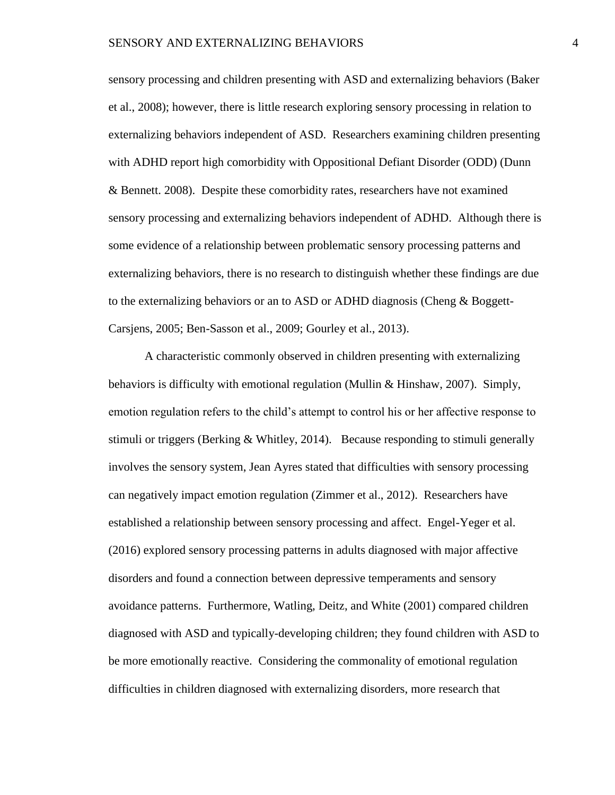sensory processing and children presenting with ASD and externalizing behaviors (Baker et al., 2008); however, there is little research exploring sensory processing in relation to externalizing behaviors independent of ASD. Researchers examining children presenting with ADHD report high comorbidity with Oppositional Defiant Disorder (ODD) (Dunn & Bennett. 2008). Despite these comorbidity rates, researchers have not examined sensory processing and externalizing behaviors independent of ADHD. Although there is some evidence of a relationship between problematic sensory processing patterns and externalizing behaviors, there is no research to distinguish whether these findings are due to the externalizing behaviors or an to ASD or ADHD diagnosis (Cheng & Boggett-Carsjens, 2005; Ben-Sasson et al., 2009; Gourley et al., 2013).

A characteristic commonly observed in children presenting with externalizing behaviors is difficulty with emotional regulation (Mullin & Hinshaw, 2007). Simply, emotion regulation refers to the child's attempt to control his or her affective response to stimuli or triggers (Berking & Whitley, 2014). Because responding to stimuli generally involves the sensory system, Jean Ayres stated that difficulties with sensory processing can negatively impact emotion regulation (Zimmer et al., 2012). Researchers have established a relationship between sensory processing and affect. Engel-Yeger et al. (2016) explored sensory processing patterns in adults diagnosed with major affective disorders and found a connection between depressive temperaments and sensory avoidance patterns. Furthermore, Watling, Deitz, and White (2001) compared children diagnosed with ASD and typically-developing children; they found children with ASD to be more emotionally reactive. Considering the commonality of emotional regulation difficulties in children diagnosed with externalizing disorders, more research that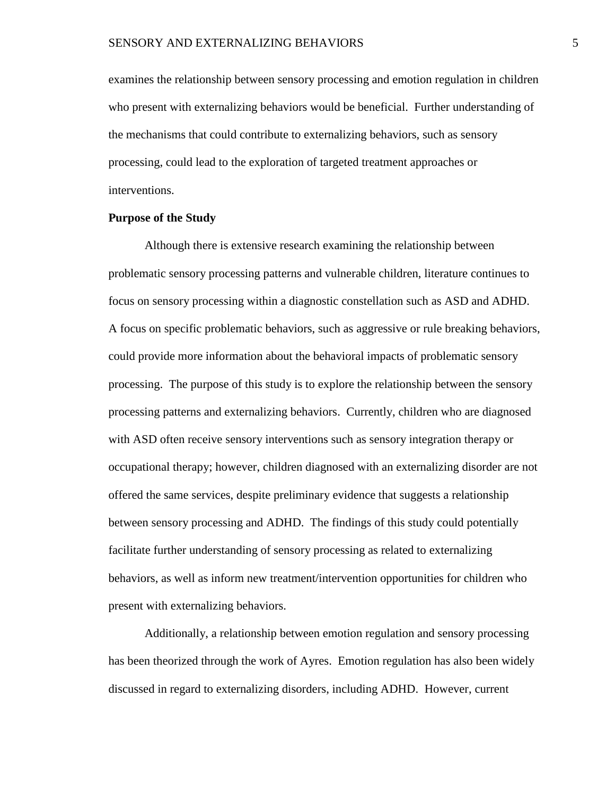examines the relationship between sensory processing and emotion regulation in children who present with externalizing behaviors would be beneficial. Further understanding of the mechanisms that could contribute to externalizing behaviors, such as sensory processing, could lead to the exploration of targeted treatment approaches or interventions.

#### **Purpose of the Study**

Although there is extensive research examining the relationship between problematic sensory processing patterns and vulnerable children, literature continues to focus on sensory processing within a diagnostic constellation such as ASD and ADHD. A focus on specific problematic behaviors, such as aggressive or rule breaking behaviors, could provide more information about the behavioral impacts of problematic sensory processing. The purpose of this study is to explore the relationship between the sensory processing patterns and externalizing behaviors. Currently, children who are diagnosed with ASD often receive sensory interventions such as sensory integration therapy or occupational therapy; however, children diagnosed with an externalizing disorder are not offered the same services, despite preliminary evidence that suggests a relationship between sensory processing and ADHD. The findings of this study could potentially facilitate further understanding of sensory processing as related to externalizing behaviors, as well as inform new treatment/intervention opportunities for children who present with externalizing behaviors.

Additionally, a relationship between emotion regulation and sensory processing has been theorized through the work of Ayres. Emotion regulation has also been widely discussed in regard to externalizing disorders, including ADHD. However, current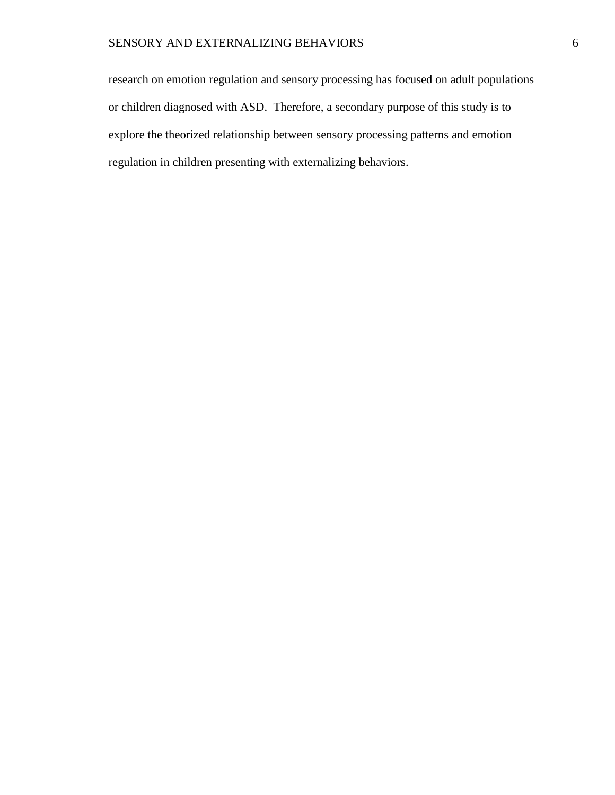research on emotion regulation and sensory processing has focused on adult populations or children diagnosed with ASD. Therefore, a secondary purpose of this study is to explore the theorized relationship between sensory processing patterns and emotion regulation in children presenting with externalizing behaviors.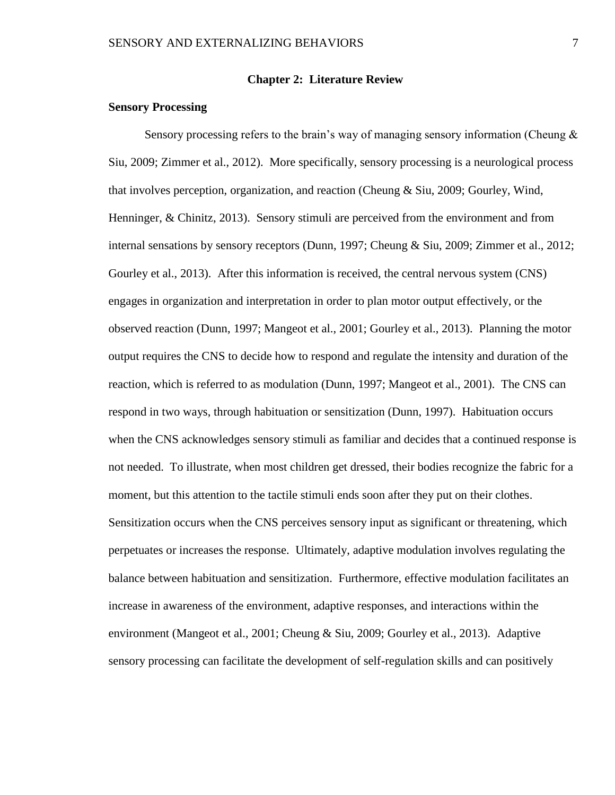#### **Chapter 2: Literature Review**

#### **Sensory Processing**

Sensory processing refers to the brain's way of managing sensory information (Cheung & Siu, 2009; Zimmer et al., 2012). More specifically, sensory processing is a neurological process that involves perception, organization, and reaction (Cheung & Siu, 2009; Gourley, Wind, Henninger, & Chinitz, 2013). Sensory stimuli are perceived from the environment and from internal sensations by sensory receptors (Dunn, 1997; Cheung & Siu, 2009; Zimmer et al., 2012; Gourley et al., 2013). After this information is received, the central nervous system (CNS) engages in organization and interpretation in order to plan motor output effectively, or the observed reaction (Dunn, 1997; Mangeot et al., 2001; Gourley et al., 2013). Planning the motor output requires the CNS to decide how to respond and regulate the intensity and duration of the reaction, which is referred to as modulation (Dunn, 1997; Mangeot et al., 2001). The CNS can respond in two ways, through habituation or sensitization (Dunn, 1997). Habituation occurs when the CNS acknowledges sensory stimuli as familiar and decides that a continued response is not needed. To illustrate, when most children get dressed, their bodies recognize the fabric for a moment, but this attention to the tactile stimuli ends soon after they put on their clothes. Sensitization occurs when the CNS perceives sensory input as significant or threatening, which perpetuates or increases the response. Ultimately, adaptive modulation involves regulating the balance between habituation and sensitization. Furthermore, effective modulation facilitates an increase in awareness of the environment, adaptive responses, and interactions within the environment (Mangeot et al., 2001; Cheung & Siu, 2009; Gourley et al., 2013). Adaptive sensory processing can facilitate the development of self-regulation skills and can positively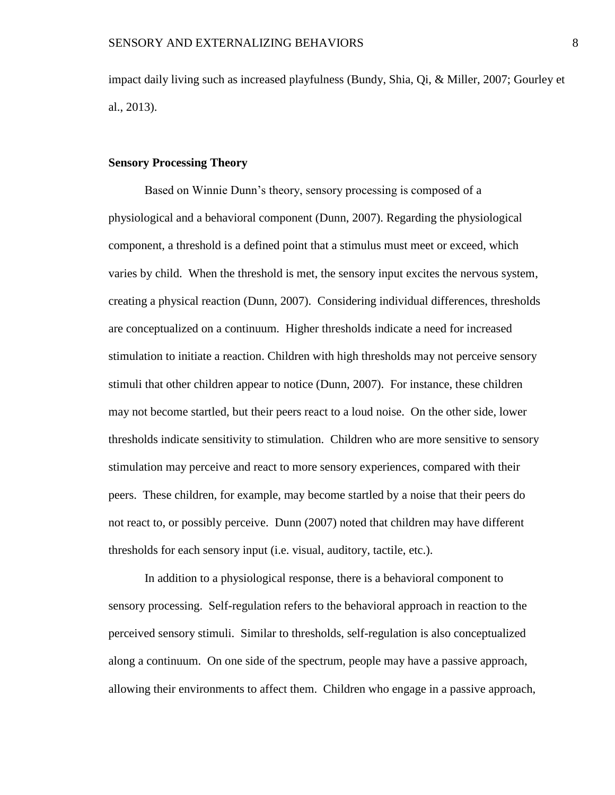impact daily living such as increased playfulness (Bundy, Shia, Qi, & Miller, 2007; Gourley et al., 2013).

#### **Sensory Processing Theory**

Based on Winnie Dunn's theory, sensory processing is composed of a physiological and a behavioral component (Dunn, 2007). Regarding the physiological component, a threshold is a defined point that a stimulus must meet or exceed, which varies by child. When the threshold is met, the sensory input excites the nervous system, creating a physical reaction (Dunn, 2007). Considering individual differences, thresholds are conceptualized on a continuum. Higher thresholds indicate a need for increased stimulation to initiate a reaction. Children with high thresholds may not perceive sensory stimuli that other children appear to notice (Dunn, 2007). For instance, these children may not become startled, but their peers react to a loud noise. On the other side, lower thresholds indicate sensitivity to stimulation. Children who are more sensitive to sensory stimulation may perceive and react to more sensory experiences, compared with their peers. These children, for example, may become startled by a noise that their peers do not react to, or possibly perceive. Dunn (2007) noted that children may have different thresholds for each sensory input (i.e. visual, auditory, tactile, etc.).

In addition to a physiological response, there is a behavioral component to sensory processing. Self-regulation refers to the behavioral approach in reaction to the perceived sensory stimuli. Similar to thresholds, self-regulation is also conceptualized along a continuum. On one side of the spectrum, people may have a passive approach, allowing their environments to affect them. Children who engage in a passive approach,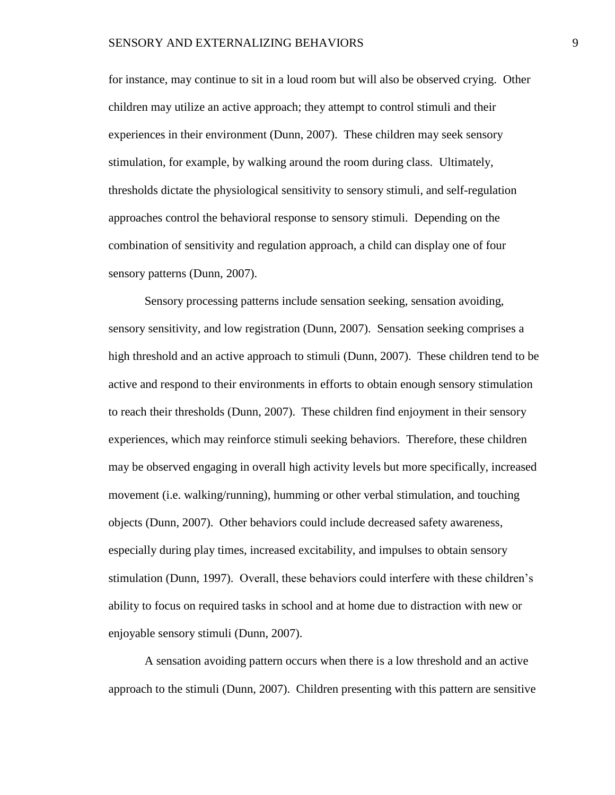for instance, may continue to sit in a loud room but will also be observed crying. Other children may utilize an active approach; they attempt to control stimuli and their experiences in their environment (Dunn, 2007). These children may seek sensory stimulation, for example, by walking around the room during class. Ultimately, thresholds dictate the physiological sensitivity to sensory stimuli, and self-regulation approaches control the behavioral response to sensory stimuli. Depending on the combination of sensitivity and regulation approach, a child can display one of four sensory patterns (Dunn, 2007).

Sensory processing patterns include sensation seeking, sensation avoiding, sensory sensitivity, and low registration (Dunn, 2007). Sensation seeking comprises a high threshold and an active approach to stimuli (Dunn, 2007). These children tend to be active and respond to their environments in efforts to obtain enough sensory stimulation to reach their thresholds (Dunn, 2007). These children find enjoyment in their sensory experiences, which may reinforce stimuli seeking behaviors. Therefore, these children may be observed engaging in overall high activity levels but more specifically, increased movement (i.e. walking/running), humming or other verbal stimulation, and touching objects (Dunn, 2007). Other behaviors could include decreased safety awareness, especially during play times, increased excitability, and impulses to obtain sensory stimulation (Dunn, 1997). Overall, these behaviors could interfere with these children's ability to focus on required tasks in school and at home due to distraction with new or enjoyable sensory stimuli (Dunn, 2007).

A sensation avoiding pattern occurs when there is a low threshold and an active approach to the stimuli (Dunn, 2007). Children presenting with this pattern are sensitive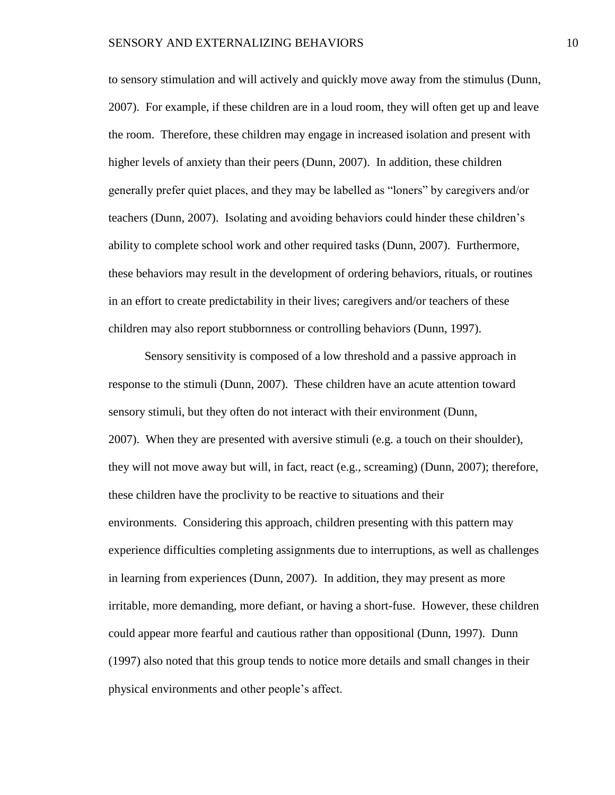to sensory stimulation and will actively and quickly move away from the stimulus (Dunn, 2007). For example, if these children are in a loud room, they will often get up and leave the room. Therefore, these children may engage in increased isolation and present with higher levels of anxiety than their peers (Dunn, 2007). In addition, these children generally prefer quiet places, and they may be labelled as "loners" by caregivers and/or teachers (Dunn, 2007). Isolating and avoiding behaviors could hinder these children's ability to complete school work and other required tasks (Dunn, 2007). Furthermore, these behaviors may result in the development of ordering behaviors, rituals, or routines in an effort to create predictability in their lives; caregivers and/or teachers of these children may also report stubbornness or controlling behaviors (Dunn, 1997).

Sensory sensitivity is composed of a low threshold and a passive approach in response to the stimuli (Dunn, 2007). These children have an acute attention toward sensory stimuli, but they often do not interact with their environment (Dunn, 2007). When they are presented with aversive stimuli (e.g. a touch on their shoulder), they will not move away but will, in fact, react (e.g., screaming) (Dunn, 2007); therefore, these children have the proclivity to be reactive to situations and their environments. Considering this approach, children presenting with this pattern may experience difficulties completing assignments due to interruptions, as well as challenges in learning from experiences (Dunn, 2007). In addition, they may present as more irritable, more demanding, more defiant, or having a short-fuse. However, these children could appear more fearful and cautious rather than oppositional (Dunn, 1997). Dunn (1997) also noted that this group tends to notice more details and small changes in their physical environments and other people's affect.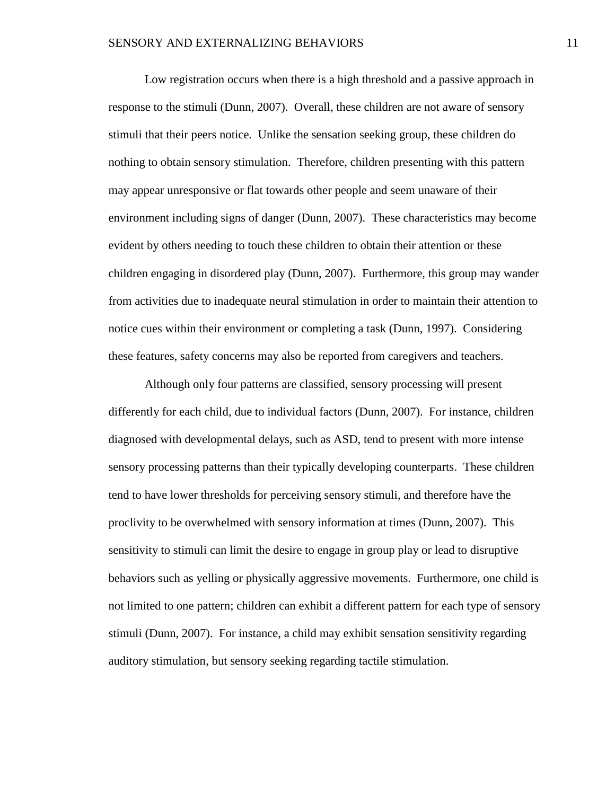Low registration occurs when there is a high threshold and a passive approach in response to the stimuli (Dunn, 2007). Overall, these children are not aware of sensory stimuli that their peers notice. Unlike the sensation seeking group, these children do nothing to obtain sensory stimulation. Therefore, children presenting with this pattern may appear unresponsive or flat towards other people and seem unaware of their environment including signs of danger (Dunn, 2007). These characteristics may become evident by others needing to touch these children to obtain their attention or these children engaging in disordered play (Dunn, 2007). Furthermore, this group may wander from activities due to inadequate neural stimulation in order to maintain their attention to notice cues within their environment or completing a task (Dunn, 1997). Considering these features, safety concerns may also be reported from caregivers and teachers.

Although only four patterns are classified, sensory processing will present differently for each child, due to individual factors (Dunn, 2007). For instance, children diagnosed with developmental delays, such as ASD, tend to present with more intense sensory processing patterns than their typically developing counterparts. These children tend to have lower thresholds for perceiving sensory stimuli, and therefore have the proclivity to be overwhelmed with sensory information at times (Dunn, 2007). This sensitivity to stimuli can limit the desire to engage in group play or lead to disruptive behaviors such as yelling or physically aggressive movements. Furthermore, one child is not limited to one pattern; children can exhibit a different pattern for each type of sensory stimuli (Dunn, 2007). For instance, a child may exhibit sensation sensitivity regarding auditory stimulation, but sensory seeking regarding tactile stimulation.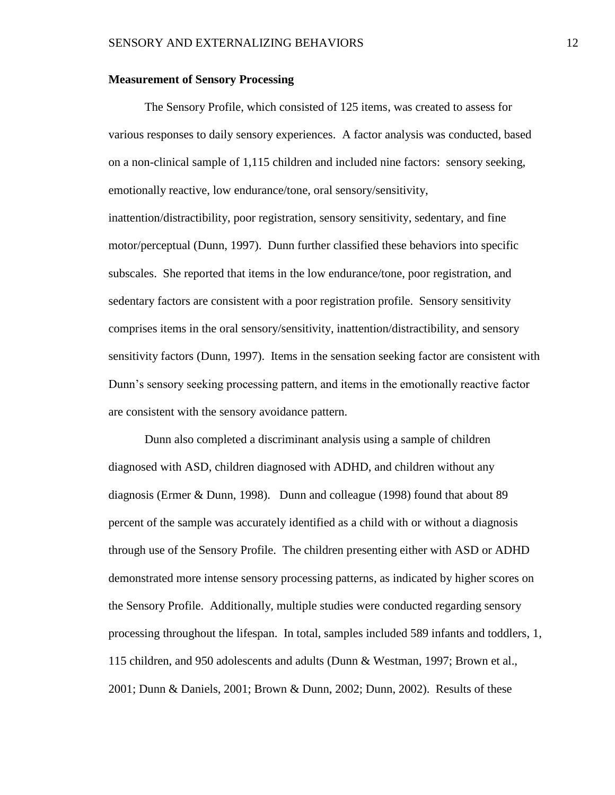#### **Measurement of Sensory Processing**

The Sensory Profile, which consisted of 125 items, was created to assess for various responses to daily sensory experiences. A factor analysis was conducted, based on a non-clinical sample of 1,115 children and included nine factors: sensory seeking, emotionally reactive, low endurance/tone, oral sensory/sensitivity, inattention/distractibility, poor registration, sensory sensitivity, sedentary, and fine motor/perceptual (Dunn, 1997). Dunn further classified these behaviors into specific subscales. She reported that items in the low endurance/tone, poor registration, and sedentary factors are consistent with a poor registration profile. Sensory sensitivity comprises items in the oral sensory/sensitivity, inattention/distractibility, and sensory sensitivity factors (Dunn, 1997). Items in the sensation seeking factor are consistent with Dunn's sensory seeking processing pattern, and items in the emotionally reactive factor are consistent with the sensory avoidance pattern.

Dunn also completed a discriminant analysis using a sample of children diagnosed with ASD, children diagnosed with ADHD, and children without any diagnosis (Ermer & Dunn, 1998). Dunn and colleague (1998) found that about 89 percent of the sample was accurately identified as a child with or without a diagnosis through use of the Sensory Profile. The children presenting either with ASD or ADHD demonstrated more intense sensory processing patterns, as indicated by higher scores on the Sensory Profile. Additionally, multiple studies were conducted regarding sensory processing throughout the lifespan. In total, samples included 589 infants and toddlers, 1, 115 children, and 950 adolescents and adults (Dunn & Westman, 1997; Brown et al., 2001; Dunn & Daniels, 2001; Brown & Dunn, 2002; Dunn, 2002). Results of these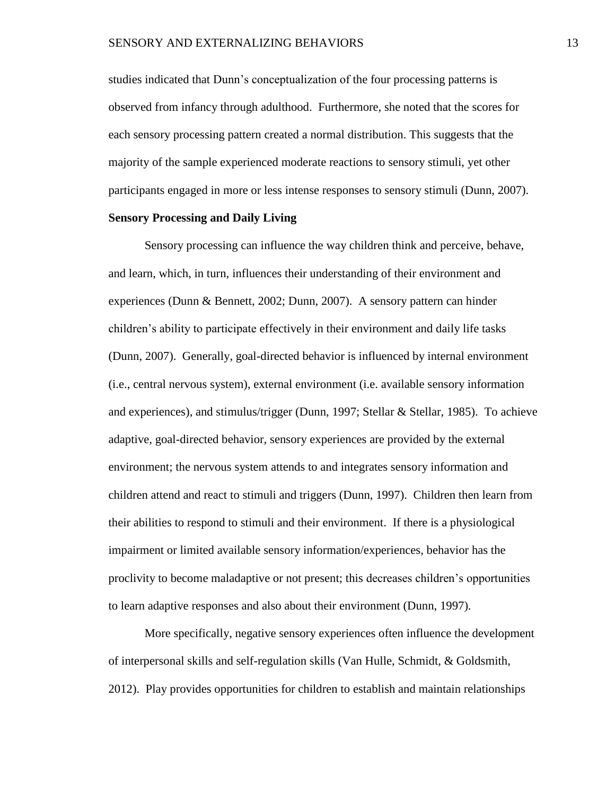studies indicated that Dunn's conceptualization of the four processing patterns is observed from infancy through adulthood. Furthermore, she noted that the scores for each sensory processing pattern created a normal distribution. This suggests that the majority of the sample experienced moderate reactions to sensory stimuli, yet other participants engaged in more or less intense responses to sensory stimuli (Dunn, 2007).

#### **Sensory Processing and Daily Living**

Sensory processing can influence the way children think and perceive, behave, and learn, which, in turn, influences their understanding of their environment and experiences (Dunn & Bennett, 2002; Dunn, 2007). A sensory pattern can hinder children's ability to participate effectively in their environment and daily life tasks (Dunn, 2007). Generally, goal-directed behavior is influenced by internal environment (i.e., central nervous system), external environment (i.e. available sensory information and experiences), and stimulus/trigger (Dunn, 1997; Stellar & Stellar, 1985). To achieve adaptive, goal-directed behavior, sensory experiences are provided by the external environment; the nervous system attends to and integrates sensory information and children attend and react to stimuli and triggers (Dunn, 1997). Children then learn from their abilities to respond to stimuli and their environment. If there is a physiological impairment or limited available sensory information/experiences, behavior has the proclivity to become maladaptive or not present; this decreases children's opportunities to learn adaptive responses and also about their environment (Dunn, 1997).

More specifically, negative sensory experiences often influence the development of interpersonal skills and self-regulation skills (Van Hulle, Schmidt, & Goldsmith, 2012). Play provides opportunities for children to establish and maintain relationships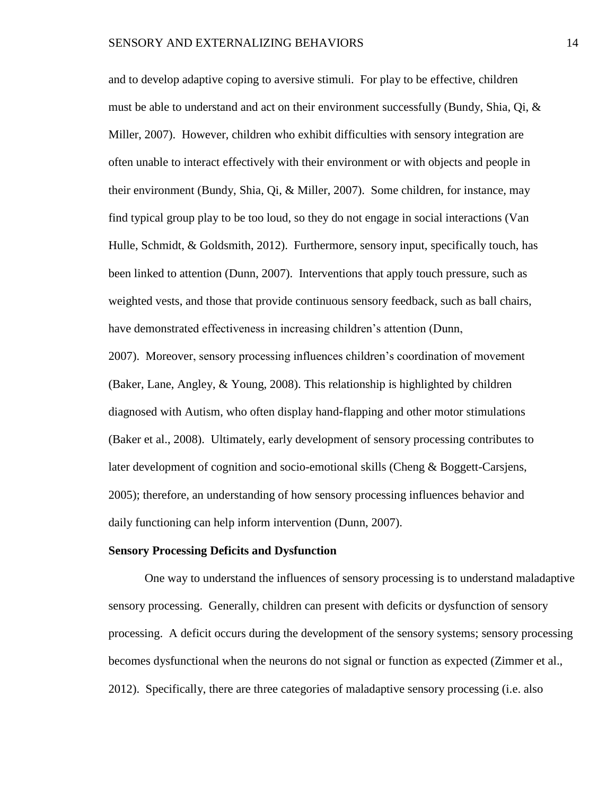and to develop adaptive coping to aversive stimuli. For play to be effective, children must be able to understand and act on their environment successfully (Bundy, Shia, Qi, & Miller, 2007). However, children who exhibit difficulties with sensory integration are often unable to interact effectively with their environment or with objects and people in their environment (Bundy, Shia, Qi, & Miller, 2007). Some children, for instance, may find typical group play to be too loud, so they do not engage in social interactions (Van Hulle, Schmidt, & Goldsmith, 2012). Furthermore, sensory input, specifically touch, has been linked to attention (Dunn, 2007). Interventions that apply touch pressure, such as weighted vests, and those that provide continuous sensory feedback, such as ball chairs, have demonstrated effectiveness in increasing children's attention (Dunn,

2007). Moreover, sensory processing influences children's coordination of movement (Baker, Lane, Angley, & Young, 2008). This relationship is highlighted by children diagnosed with Autism, who often display hand-flapping and other motor stimulations (Baker et al., 2008). Ultimately, early development of sensory processing contributes to later development of cognition and socio-emotional skills (Cheng & Boggett-Carsjens, 2005); therefore, an understanding of how sensory processing influences behavior and daily functioning can help inform intervention (Dunn, 2007).

#### **Sensory Processing Deficits and Dysfunction**

One way to understand the influences of sensory processing is to understand maladaptive sensory processing. Generally, children can present with deficits or dysfunction of sensory processing. A deficit occurs during the development of the sensory systems; sensory processing becomes dysfunctional when the neurons do not signal or function as expected (Zimmer et al., 2012). Specifically, there are three categories of maladaptive sensory processing (i.e. also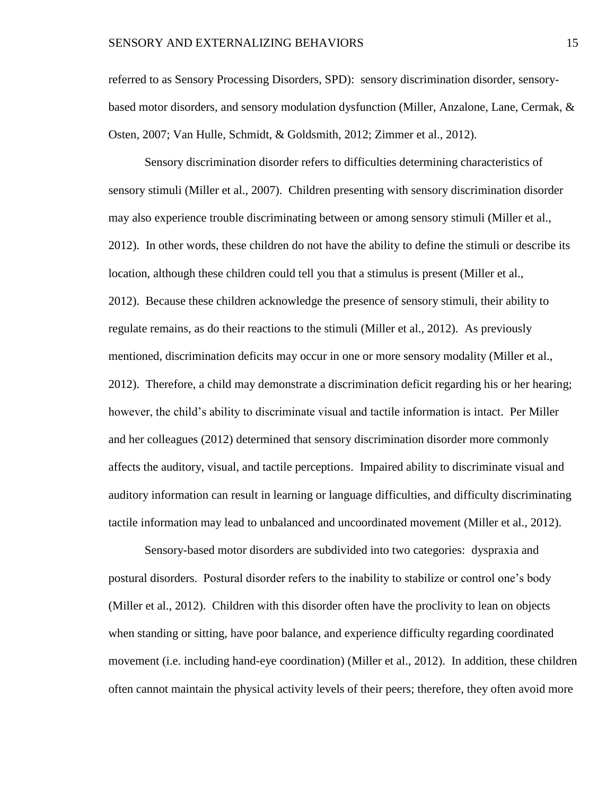referred to as Sensory Processing Disorders, SPD): sensory discrimination disorder, sensorybased motor disorders, and sensory modulation dysfunction (Miller, Anzalone, Lane, Cermak, & Osten, 2007; Van Hulle, Schmidt, & Goldsmith, 2012; Zimmer et al., 2012).

Sensory discrimination disorder refers to difficulties determining characteristics of sensory stimuli (Miller et al., 2007). Children presenting with sensory discrimination disorder may also experience trouble discriminating between or among sensory stimuli (Miller et al., 2012). In other words, these children do not have the ability to define the stimuli or describe its location, although these children could tell you that a stimulus is present (Miller et al., 2012). Because these children acknowledge the presence of sensory stimuli, their ability to regulate remains, as do their reactions to the stimuli (Miller et al., 2012). As previously mentioned, discrimination deficits may occur in one or more sensory modality (Miller et al., 2012). Therefore, a child may demonstrate a discrimination deficit regarding his or her hearing; however, the child's ability to discriminate visual and tactile information is intact. Per Miller and her colleagues (2012) determined that sensory discrimination disorder more commonly affects the auditory, visual, and tactile perceptions. Impaired ability to discriminate visual and auditory information can result in learning or language difficulties, and difficulty discriminating tactile information may lead to unbalanced and uncoordinated movement (Miller et al., 2012).

Sensory-based motor disorders are subdivided into two categories: dyspraxia and postural disorders. Postural disorder refers to the inability to stabilize or control one's body (Miller et al., 2012). Children with this disorder often have the proclivity to lean on objects when standing or sitting, have poor balance, and experience difficulty regarding coordinated movement (i.e. including hand-eye coordination) (Miller et al., 2012). In addition, these children often cannot maintain the physical activity levels of their peers; therefore, they often avoid more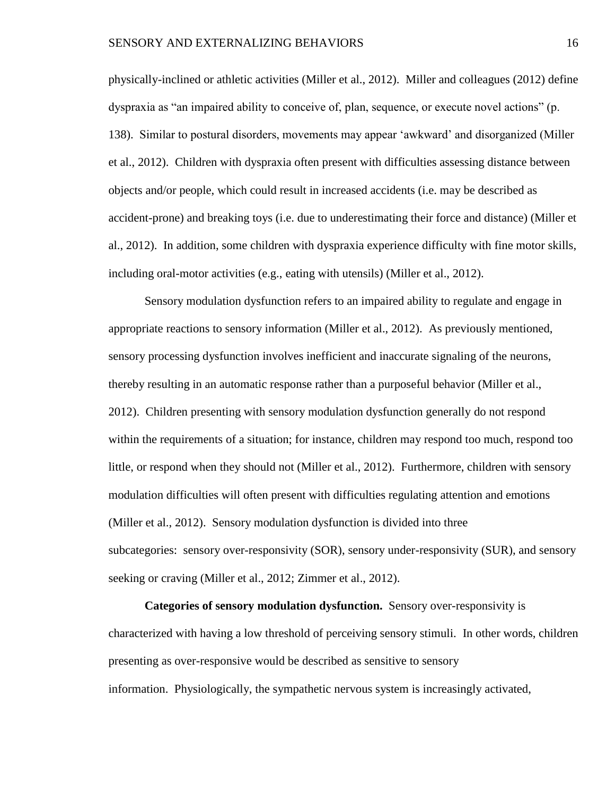physically-inclined or athletic activities (Miller et al., 2012). Miller and colleagues (2012) define dyspraxia as "an impaired ability to conceive of, plan, sequence, or execute novel actions" (p. 138). Similar to postural disorders, movements may appear 'awkward' and disorganized (Miller et al., 2012). Children with dyspraxia often present with difficulties assessing distance between objects and/or people, which could result in increased accidents (i.e. may be described as accident-prone) and breaking toys (i.e. due to underestimating their force and distance) (Miller et al., 2012). In addition, some children with dyspraxia experience difficulty with fine motor skills, including oral-motor activities (e.g., eating with utensils) (Miller et al., 2012).

Sensory modulation dysfunction refers to an impaired ability to regulate and engage in appropriate reactions to sensory information (Miller et al., 2012). As previously mentioned, sensory processing dysfunction involves inefficient and inaccurate signaling of the neurons, thereby resulting in an automatic response rather than a purposeful behavior (Miller et al., 2012). Children presenting with sensory modulation dysfunction generally do not respond within the requirements of a situation; for instance, children may respond too much, respond too little, or respond when they should not (Miller et al., 2012). Furthermore, children with sensory modulation difficulties will often present with difficulties regulating attention and emotions (Miller et al., 2012). Sensory modulation dysfunction is divided into three subcategories: sensory over-responsivity (SOR), sensory under-responsivity (SUR), and sensory seeking or craving (Miller et al., 2012; Zimmer et al., 2012).

**Categories of sensory modulation dysfunction.** Sensory over-responsivity is characterized with having a low threshold of perceiving sensory stimuli. In other words, children presenting as over-responsive would be described as sensitive to sensory information. Physiologically, the sympathetic nervous system is increasingly activated,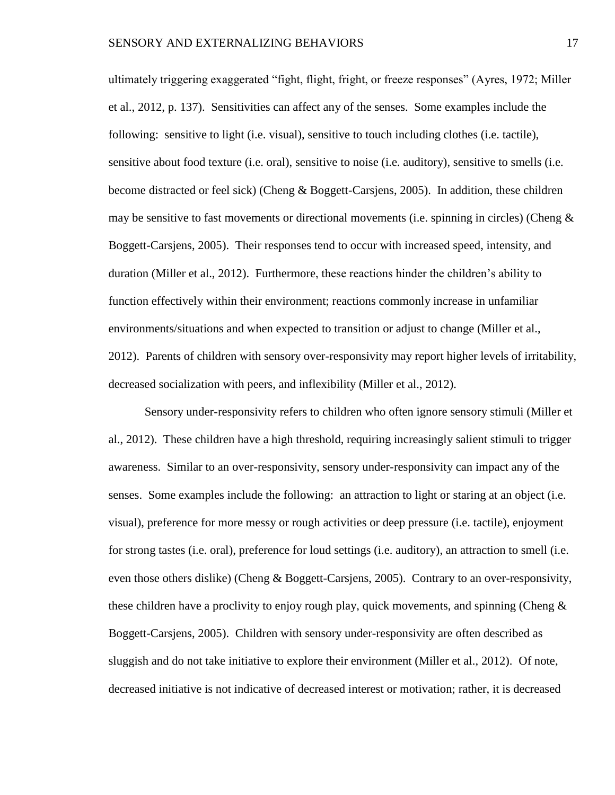ultimately triggering exaggerated "fight, flight, fright, or freeze responses" (Ayres, 1972; Miller et al., 2012, p. 137). Sensitivities can affect any of the senses. Some examples include the following: sensitive to light (i.e. visual), sensitive to touch including clothes (i.e. tactile), sensitive about food texture (i.e. oral), sensitive to noise (i.e. auditory), sensitive to smells (i.e. become distracted or feel sick) (Cheng & Boggett-Carsjens, 2005). In addition, these children may be sensitive to fast movements or directional movements (i.e. spinning in circles) (Cheng  $\&$ Boggett-Carsjens, 2005). Their responses tend to occur with increased speed, intensity, and duration (Miller et al., 2012). Furthermore, these reactions hinder the children's ability to function effectively within their environment; reactions commonly increase in unfamiliar environments/situations and when expected to transition or adjust to change (Miller et al., 2012). Parents of children with sensory over-responsivity may report higher levels of irritability, decreased socialization with peers, and inflexibility (Miller et al., 2012).

Sensory under-responsivity refers to children who often ignore sensory stimuli (Miller et al., 2012). These children have a high threshold, requiring increasingly salient stimuli to trigger awareness. Similar to an over-responsivity, sensory under-responsivity can impact any of the senses. Some examples include the following: an attraction to light or staring at an object (i.e. visual), preference for more messy or rough activities or deep pressure (i.e. tactile), enjoyment for strong tastes (i.e. oral), preference for loud settings (i.e. auditory), an attraction to smell (i.e. even those others dislike) (Cheng & Boggett-Carsjens, 2005). Contrary to an over-responsivity, these children have a proclivity to enjoy rough play, quick movements, and spinning (Cheng  $\&$ Boggett-Carsjens, 2005). Children with sensory under-responsivity are often described as sluggish and do not take initiative to explore their environment (Miller et al., 2012). Of note, decreased initiative is not indicative of decreased interest or motivation; rather, it is decreased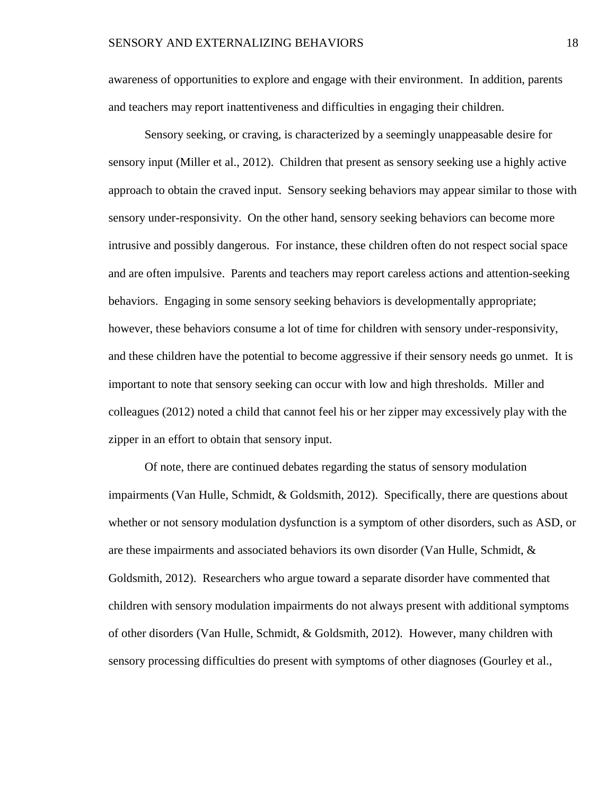awareness of opportunities to explore and engage with their environment. In addition, parents and teachers may report inattentiveness and difficulties in engaging their children.

Sensory seeking, or craving, is characterized by a seemingly unappeasable desire for sensory input (Miller et al., 2012). Children that present as sensory seeking use a highly active approach to obtain the craved input. Sensory seeking behaviors may appear similar to those with sensory under-responsivity. On the other hand, sensory seeking behaviors can become more intrusive and possibly dangerous. For instance, these children often do not respect social space and are often impulsive. Parents and teachers may report careless actions and attention-seeking behaviors. Engaging in some sensory seeking behaviors is developmentally appropriate; however, these behaviors consume a lot of time for children with sensory under-responsivity, and these children have the potential to become aggressive if their sensory needs go unmet. It is important to note that sensory seeking can occur with low and high thresholds. Miller and colleagues (2012) noted a child that cannot feel his or her zipper may excessively play with the zipper in an effort to obtain that sensory input.

Of note, there are continued debates regarding the status of sensory modulation impairments (Van Hulle, Schmidt, & Goldsmith, 2012). Specifically, there are questions about whether or not sensory modulation dysfunction is a symptom of other disorders, such as ASD, or are these impairments and associated behaviors its own disorder (Van Hulle, Schmidt,  $\&$ Goldsmith, 2012). Researchers who argue toward a separate disorder have commented that children with sensory modulation impairments do not always present with additional symptoms of other disorders (Van Hulle, Schmidt, & Goldsmith, 2012). However, many children with sensory processing difficulties do present with symptoms of other diagnoses (Gourley et al.,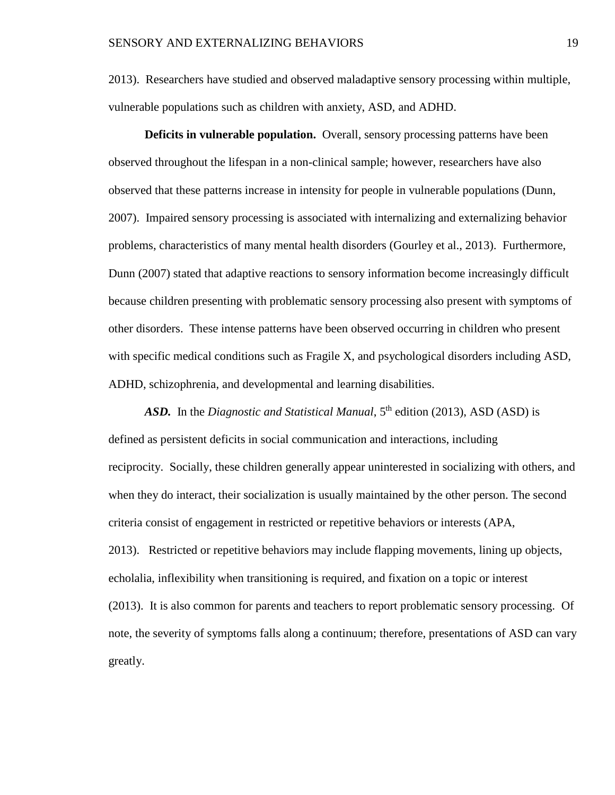2013). Researchers have studied and observed maladaptive sensory processing within multiple, vulnerable populations such as children with anxiety, ASD, and ADHD.

**Deficits in vulnerable population.** Overall, sensory processing patterns have been observed throughout the lifespan in a non-clinical sample; however, researchers have also observed that these patterns increase in intensity for people in vulnerable populations (Dunn, 2007). Impaired sensory processing is associated with internalizing and externalizing behavior problems, characteristics of many mental health disorders (Gourley et al., 2013). Furthermore, Dunn (2007) stated that adaptive reactions to sensory information become increasingly difficult because children presenting with problematic sensory processing also present with symptoms of other disorders. These intense patterns have been observed occurring in children who present with specific medical conditions such as Fragile X, and psychological disorders including ASD, ADHD, schizophrenia, and developmental and learning disabilities.

ASD. In the *Diagnostic and Statistical Manual*, 5<sup>th</sup> edition (2013), ASD (ASD) is defined as persistent deficits in social communication and interactions, including reciprocity. Socially, these children generally appear uninterested in socializing with others, and when they do interact, their socialization is usually maintained by the other person. The second criteria consist of engagement in restricted or repetitive behaviors or interests (APA, 2013). Restricted or repetitive behaviors may include flapping movements, lining up objects, echolalia, inflexibility when transitioning is required, and fixation on a topic or interest (2013). It is also common for parents and teachers to report problematic sensory processing. Of note, the severity of symptoms falls along a continuum; therefore, presentations of ASD can vary greatly.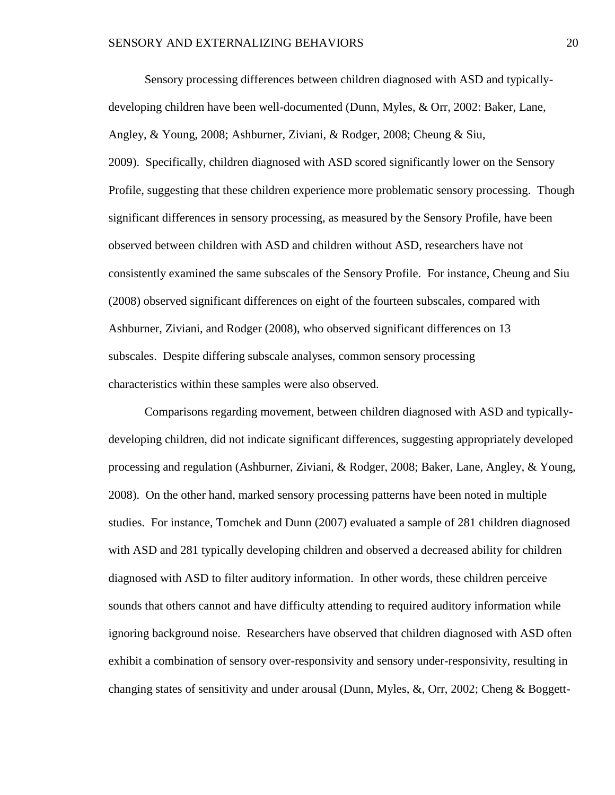Sensory processing differences between children diagnosed with ASD and typicallydeveloping children have been well-documented (Dunn, Myles, & Orr, 2002: Baker, Lane, Angley, & Young, 2008; Ashburner, Ziviani, & Rodger, 2008; Cheung & Siu, 2009). Specifically, children diagnosed with ASD scored significantly lower on the Sensory Profile, suggesting that these children experience more problematic sensory processing. Though significant differences in sensory processing, as measured by the Sensory Profile, have been observed between children with ASD and children without ASD, researchers have not consistently examined the same subscales of the Sensory Profile. For instance, Cheung and Siu (2008) observed significant differences on eight of the fourteen subscales, compared with Ashburner, Ziviani, and Rodger (2008), who observed significant differences on 13 subscales. Despite differing subscale analyses, common sensory processing characteristics within these samples were also observed.

Comparisons regarding movement, between children diagnosed with ASD and typicallydeveloping children, did not indicate significant differences, suggesting appropriately developed processing and regulation (Ashburner, Ziviani, & Rodger, 2008; Baker, Lane, Angley, & Young, 2008). On the other hand, marked sensory processing patterns have been noted in multiple studies. For instance, Tomchek and Dunn (2007) evaluated a sample of 281 children diagnosed with ASD and 281 typically developing children and observed a decreased ability for children diagnosed with ASD to filter auditory information. In other words, these children perceive sounds that others cannot and have difficulty attending to required auditory information while ignoring background noise. Researchers have observed that children diagnosed with ASD often exhibit a combination of sensory over-responsivity and sensory under-responsivity, resulting in changing states of sensitivity and under arousal (Dunn, Myles, &, Orr, 2002; Cheng & Boggett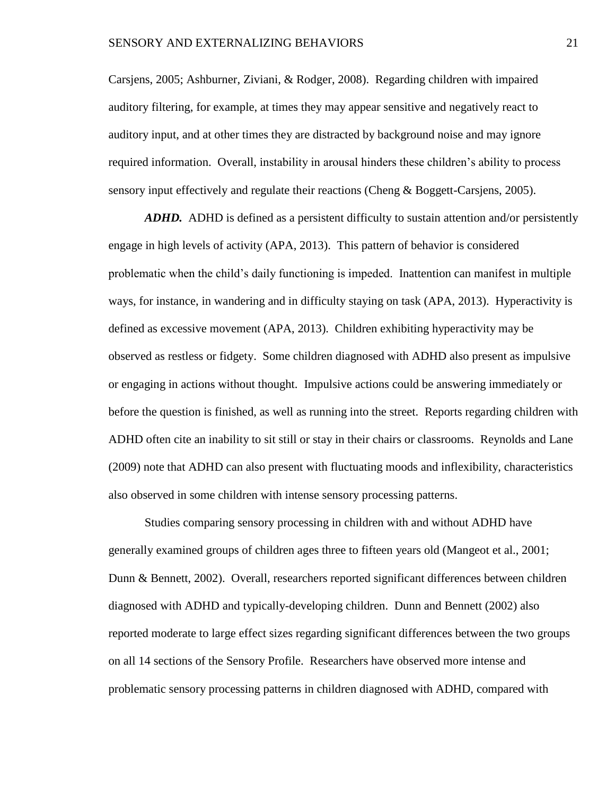Carsjens, 2005; Ashburner, Ziviani, & Rodger, 2008). Regarding children with impaired auditory filtering, for example, at times they may appear sensitive and negatively react to auditory input, and at other times they are distracted by background noise and may ignore required information. Overall, instability in arousal hinders these children's ability to process sensory input effectively and regulate their reactions (Cheng & Boggett-Carsjens, 2005).

*ADHD.* ADHD is defined as a persistent difficulty to sustain attention and/or persistently engage in high levels of activity (APA, 2013). This pattern of behavior is considered problematic when the child's daily functioning is impeded. Inattention can manifest in multiple ways, for instance, in wandering and in difficulty staying on task (APA, 2013). Hyperactivity is defined as excessive movement (APA, 2013). Children exhibiting hyperactivity may be observed as restless or fidgety. Some children diagnosed with ADHD also present as impulsive or engaging in actions without thought. Impulsive actions could be answering immediately or before the question is finished, as well as running into the street. Reports regarding children with ADHD often cite an inability to sit still or stay in their chairs or classrooms. Reynolds and Lane (2009) note that ADHD can also present with fluctuating moods and inflexibility, characteristics also observed in some children with intense sensory processing patterns.

Studies comparing sensory processing in children with and without ADHD have generally examined groups of children ages three to fifteen years old (Mangeot et al., 2001; Dunn & Bennett, 2002). Overall, researchers reported significant differences between children diagnosed with ADHD and typically-developing children. Dunn and Bennett (2002) also reported moderate to large effect sizes regarding significant differences between the two groups on all 14 sections of the Sensory Profile. Researchers have observed more intense and problematic sensory processing patterns in children diagnosed with ADHD, compared with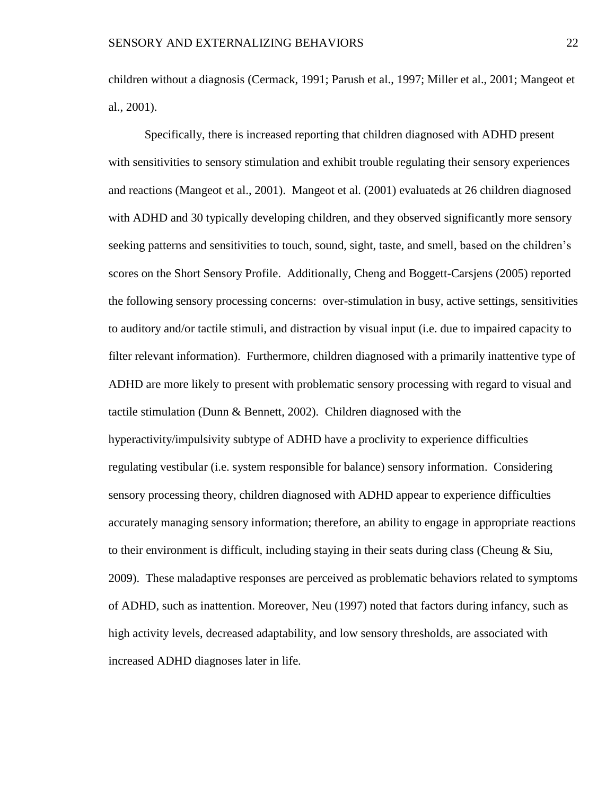children without a diagnosis (Cermack, 1991; Parush et al., 1997; Miller et al., 2001; Mangeot et al., 2001).

Specifically, there is increased reporting that children diagnosed with ADHD present with sensitivities to sensory stimulation and exhibit trouble regulating their sensory experiences and reactions (Mangeot et al., 2001). Mangeot et al. (2001) evaluateds at 26 children diagnosed with ADHD and 30 typically developing children, and they observed significantly more sensory seeking patterns and sensitivities to touch, sound, sight, taste, and smell, based on the children's scores on the Short Sensory Profile. Additionally, Cheng and Boggett-Carsjens (2005) reported the following sensory processing concerns: over-stimulation in busy, active settings, sensitivities to auditory and/or tactile stimuli, and distraction by visual input (i.e. due to impaired capacity to filter relevant information). Furthermore, children diagnosed with a primarily inattentive type of ADHD are more likely to present with problematic sensory processing with regard to visual and tactile stimulation (Dunn & Bennett, 2002). Children diagnosed with the hyperactivity/impulsivity subtype of ADHD have a proclivity to experience difficulties regulating vestibular (i.e. system responsible for balance) sensory information. Considering sensory processing theory, children diagnosed with ADHD appear to experience difficulties accurately managing sensory information; therefore, an ability to engage in appropriate reactions to their environment is difficult, including staying in their seats during class (Cheung  $\&$  Siu, 2009). These maladaptive responses are perceived as problematic behaviors related to symptoms of ADHD, such as inattention. Moreover, Neu (1997) noted that factors during infancy, such as high activity levels, decreased adaptability, and low sensory thresholds, are associated with increased ADHD diagnoses later in life.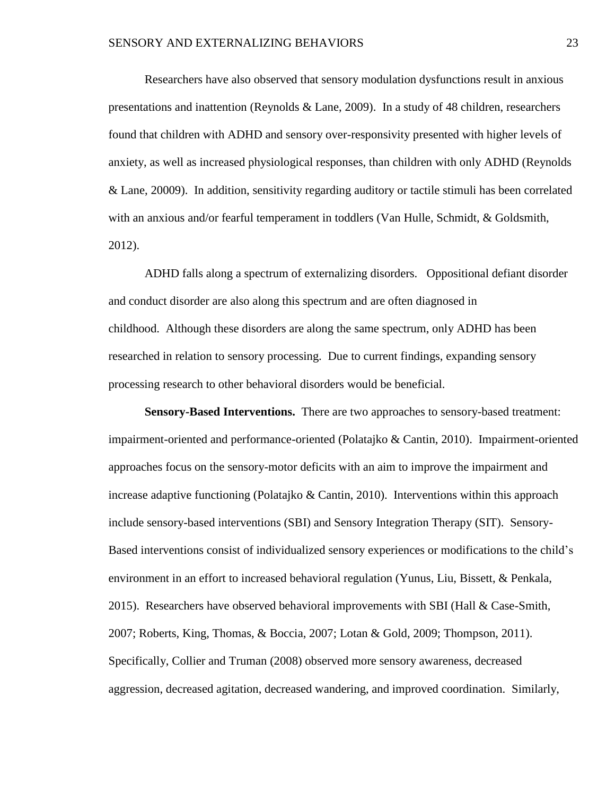Researchers have also observed that sensory modulation dysfunctions result in anxious presentations and inattention (Reynolds & Lane, 2009). In a study of 48 children, researchers found that children with ADHD and sensory over-responsivity presented with higher levels of anxiety, as well as increased physiological responses, than children with only ADHD (Reynolds & Lane, 20009). In addition, sensitivity regarding auditory or tactile stimuli has been correlated with an anxious and/or fearful temperament in toddlers (Van Hulle, Schmidt, & Goldsmith, 2012).

ADHD falls along a spectrum of externalizing disorders. Oppositional defiant disorder and conduct disorder are also along this spectrum and are often diagnosed in childhood. Although these disorders are along the same spectrum, only ADHD has been researched in relation to sensory processing. Due to current findings, expanding sensory processing research to other behavioral disorders would be beneficial.

**Sensory-Based Interventions.** There are two approaches to sensory-based treatment: impairment-oriented and performance-oriented (Polatajko & Cantin, 2010). Impairment-oriented approaches focus on the sensory-motor deficits with an aim to improve the impairment and increase adaptive functioning (Polatajko  $\&$  Cantin, 2010). Interventions within this approach include sensory-based interventions (SBI) and Sensory Integration Therapy (SIT). Sensory-Based interventions consist of individualized sensory experiences or modifications to the child's environment in an effort to increased behavioral regulation (Yunus, Liu, Bissett, & Penkala, 2015). Researchers have observed behavioral improvements with SBI (Hall  $& Case-Smith$ , 2007; Roberts, King, Thomas, & Boccia, 2007; Lotan & Gold, 2009; Thompson, 2011). Specifically, Collier and Truman (2008) observed more sensory awareness, decreased aggression, decreased agitation, decreased wandering, and improved coordination. Similarly,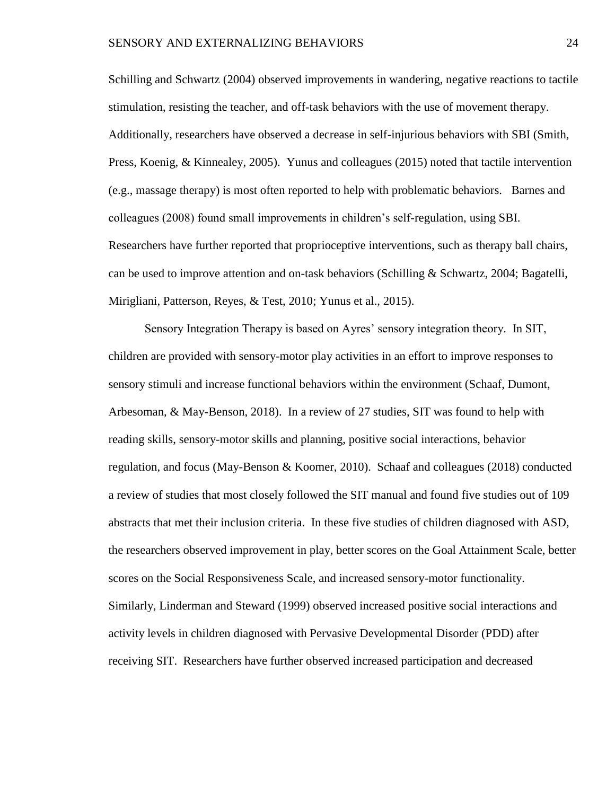Schilling and Schwartz (2004) observed improvements in wandering, negative reactions to tactile stimulation, resisting the teacher, and off-task behaviors with the use of movement therapy. Additionally, researchers have observed a decrease in self-injurious behaviors with SBI (Smith, Press, Koenig, & Kinnealey, 2005). Yunus and colleagues (2015) noted that tactile intervention (e.g., massage therapy) is most often reported to help with problematic behaviors. Barnes and colleagues (2008) found small improvements in children's self-regulation, using SBI. Researchers have further reported that proprioceptive interventions, such as therapy ball chairs, can be used to improve attention and on-task behaviors (Schilling & Schwartz, 2004; Bagatelli, Mirigliani, Patterson, Reyes, & Test, 2010; Yunus et al., 2015).

Sensory Integration Therapy is based on Ayres' sensory integration theory. In SIT, children are provided with sensory-motor play activities in an effort to improve responses to sensory stimuli and increase functional behaviors within the environment (Schaaf, Dumont, Arbesoman, & May-Benson, 2018). In a review of 27 studies, SIT was found to help with reading skills, sensory-motor skills and planning, positive social interactions, behavior regulation, and focus (May-Benson & Koomer, 2010). Schaaf and colleagues (2018) conducted a review of studies that most closely followed the SIT manual and found five studies out of 109 abstracts that met their inclusion criteria. In these five studies of children diagnosed with ASD, the researchers observed improvement in play, better scores on the Goal Attainment Scale, better scores on the Social Responsiveness Scale, and increased sensory-motor functionality. Similarly, Linderman and Steward (1999) observed increased positive social interactions and activity levels in children diagnosed with Pervasive Developmental Disorder (PDD) after receiving SIT. Researchers have further observed increased participation and decreased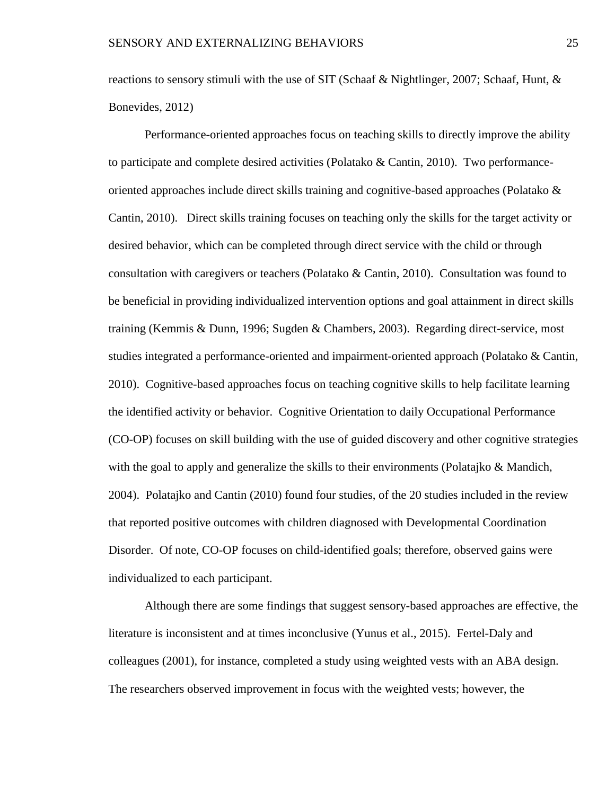reactions to sensory stimuli with the use of SIT (Schaaf & Nightlinger, 2007; Schaaf, Hunt, & Bonevides, 2012)

Performance-oriented approaches focus on teaching skills to directly improve the ability to participate and complete desired activities (Polatako & Cantin, 2010). Two performanceoriented approaches include direct skills training and cognitive-based approaches (Polatako & Cantin, 2010). Direct skills training focuses on teaching only the skills for the target activity or desired behavior, which can be completed through direct service with the child or through consultation with caregivers or teachers (Polatako & Cantin, 2010). Consultation was found to be beneficial in providing individualized intervention options and goal attainment in direct skills training (Kemmis & Dunn, 1996; Sugden & Chambers, 2003). Regarding direct-service, most studies integrated a performance-oriented and impairment-oriented approach (Polatako & Cantin, 2010). Cognitive-based approaches focus on teaching cognitive skills to help facilitate learning the identified activity or behavior. Cognitive Orientation to daily Occupational Performance (CO-OP) focuses on skill building with the use of guided discovery and other cognitive strategies with the goal to apply and generalize the skills to their environments (Polatajko & Mandich, 2004). Polatajko and Cantin (2010) found four studies, of the 20 studies included in the review that reported positive outcomes with children diagnosed with Developmental Coordination Disorder. Of note, CO-OP focuses on child-identified goals; therefore, observed gains were individualized to each participant.

Although there are some findings that suggest sensory-based approaches are effective, the literature is inconsistent and at times inconclusive (Yunus et al., 2015). Fertel-Daly and colleagues (2001), for instance, completed a study using weighted vests with an ABA design. The researchers observed improvement in focus with the weighted vests; however, the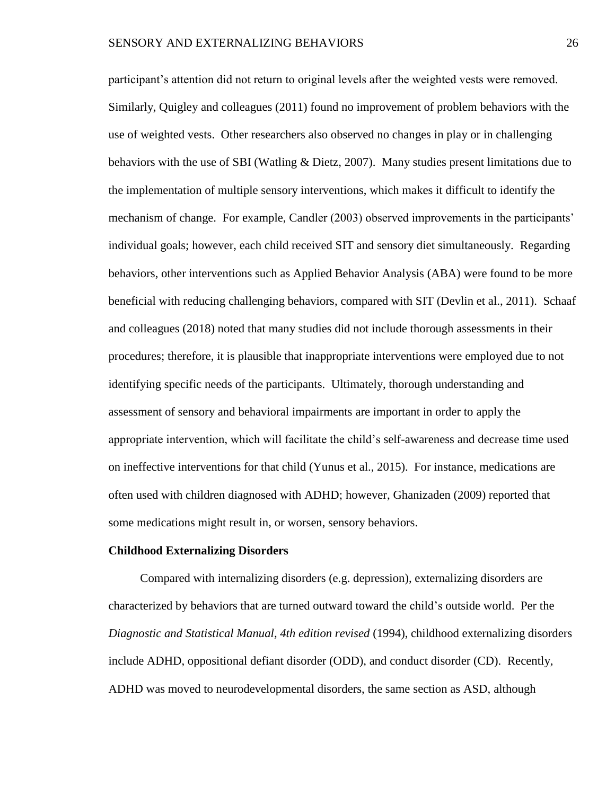participant's attention did not return to original levels after the weighted vests were removed. Similarly, Quigley and colleagues (2011) found no improvement of problem behaviors with the use of weighted vests. Other researchers also observed no changes in play or in challenging behaviors with the use of SBI (Watling & Dietz, 2007). Many studies present limitations due to the implementation of multiple sensory interventions, which makes it difficult to identify the mechanism of change. For example, Candler (2003) observed improvements in the participants' individual goals; however, each child received SIT and sensory diet simultaneously. Regarding behaviors, other interventions such as Applied Behavior Analysis (ABA) were found to be more beneficial with reducing challenging behaviors, compared with SIT (Devlin et al., 2011). Schaaf and colleagues (2018) noted that many studies did not include thorough assessments in their procedures; therefore, it is plausible that inappropriate interventions were employed due to not identifying specific needs of the participants. Ultimately, thorough understanding and assessment of sensory and behavioral impairments are important in order to apply the appropriate intervention, which will facilitate the child's self-awareness and decrease time used on ineffective interventions for that child (Yunus et al., 2015). For instance, medications are often used with children diagnosed with ADHD; however, Ghanizaden (2009) reported that some medications might result in, or worsen, sensory behaviors.

#### **Childhood Externalizing Disorders**

Compared with internalizing disorders (e.g. depression), externalizing disorders are characterized by behaviors that are turned outward toward the child's outside world. Per the *Diagnostic and Statistical Manual, 4th edition revised* (1994), childhood externalizing disorders include ADHD, oppositional defiant disorder (ODD), and conduct disorder (CD). Recently, ADHD was moved to neurodevelopmental disorders, the same section as ASD, although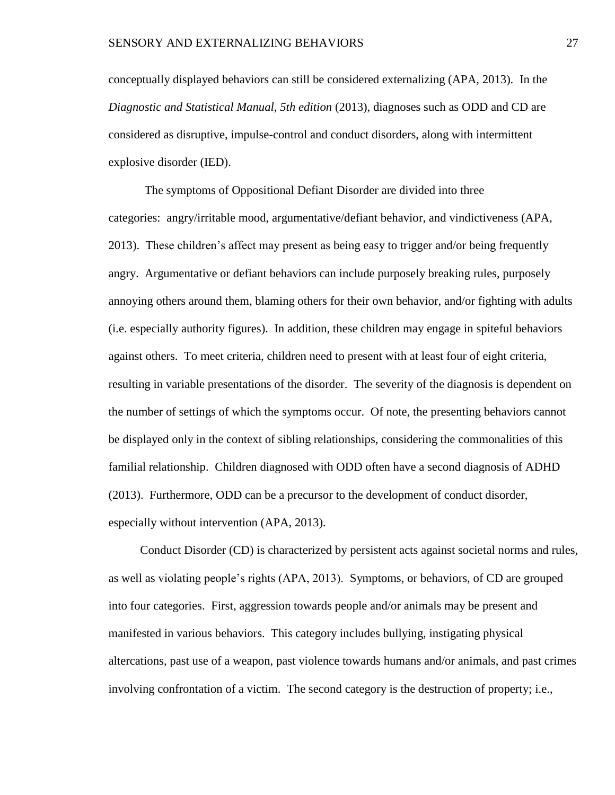conceptually displayed behaviors can still be considered externalizing (APA, 2013). In the *Diagnostic and Statistical Manual, 5th edition* (2013), diagnoses such as ODD and CD are considered as disruptive, impulse-control and conduct disorders, along with intermittent explosive disorder (IED).

The symptoms of Oppositional Defiant Disorder are divided into three categories: angry/irritable mood, argumentative/defiant behavior, and vindictiveness (APA, 2013). These children's affect may present as being easy to trigger and/or being frequently angry. Argumentative or defiant behaviors can include purposely breaking rules, purposely annoying others around them, blaming others for their own behavior, and/or fighting with adults (i.e. especially authority figures). In addition, these children may engage in spiteful behaviors against others. To meet criteria, children need to present with at least four of eight criteria, resulting in variable presentations of the disorder. The severity of the diagnosis is dependent on the number of settings of which the symptoms occur. Of note, the presenting behaviors cannot be displayed only in the context of sibling relationships, considering the commonalities of this familial relationship. Children diagnosed with ODD often have a second diagnosis of ADHD (2013). Furthermore, ODD can be a precursor to the development of conduct disorder, especially without intervention (APA, 2013).

Conduct Disorder (CD) is characterized by persistent acts against societal norms and rules, as well as violating people's rights (APA, 2013). Symptoms, or behaviors, of CD are grouped into four categories. First, aggression towards people and/or animals may be present and manifested in various behaviors. This category includes bullying, instigating physical altercations, past use of a weapon, past violence towards humans and/or animals, and past crimes involving confrontation of a victim. The second category is the destruction of property; i.e.,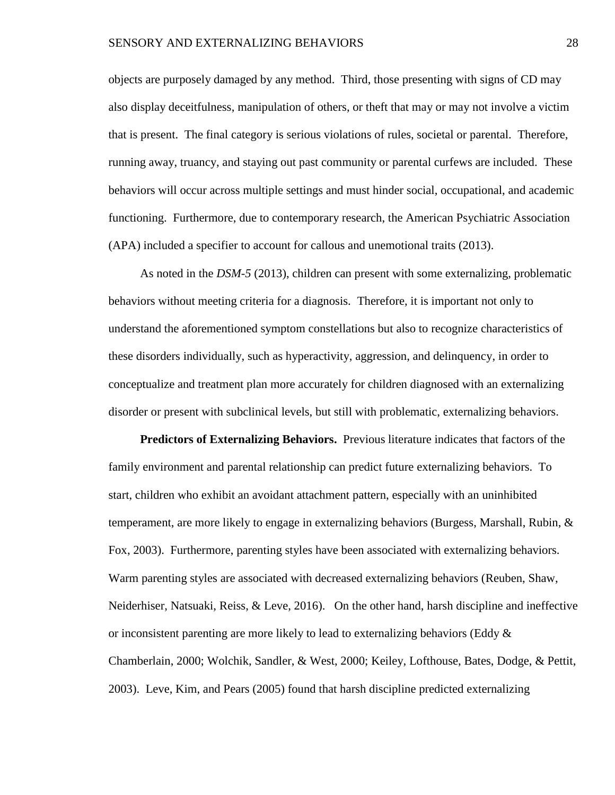objects are purposely damaged by any method. Third, those presenting with signs of CD may also display deceitfulness, manipulation of others, or theft that may or may not involve a victim that is present. The final category is serious violations of rules, societal or parental. Therefore, running away, truancy, and staying out past community or parental curfews are included. These behaviors will occur across multiple settings and must hinder social, occupational, and academic functioning. Furthermore, due to contemporary research, the American Psychiatric Association (APA) included a specifier to account for callous and unemotional traits (2013).

As noted in the *DSM-5* (2013), children can present with some externalizing, problematic behaviors without meeting criteria for a diagnosis. Therefore, it is important not only to understand the aforementioned symptom constellations but also to recognize characteristics of these disorders individually, such as hyperactivity, aggression, and delinquency, in order to conceptualize and treatment plan more accurately for children diagnosed with an externalizing disorder or present with subclinical levels, but still with problematic, externalizing behaviors.

**Predictors of Externalizing Behaviors.** Previous literature indicates that factors of the family environment and parental relationship can predict future externalizing behaviors. To start, children who exhibit an avoidant attachment pattern, especially with an uninhibited temperament, are more likely to engage in externalizing behaviors (Burgess, Marshall, Rubin,  $\&$ Fox, 2003). Furthermore, parenting styles have been associated with externalizing behaviors. Warm parenting styles are associated with decreased externalizing behaviors (Reuben, Shaw, Neiderhiser, Natsuaki, Reiss, & Leve, 2016). On the other hand, harsh discipline and ineffective or inconsistent parenting are more likely to lead to externalizing behaviors (Eddy  $\&$ Chamberlain, 2000; Wolchik, Sandler, & West, 2000; Keiley, Lofthouse, Bates, Dodge, & Pettit, 2003). Leve, Kim, and Pears (2005) found that harsh discipline predicted externalizing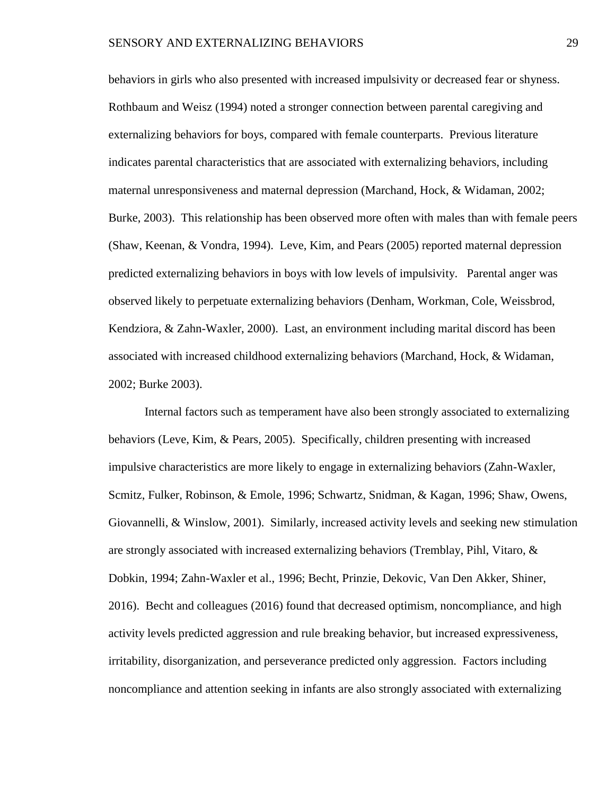behaviors in girls who also presented with increased impulsivity or decreased fear or shyness. Rothbaum and Weisz (1994) noted a stronger connection between parental caregiving and externalizing behaviors for boys, compared with female counterparts. Previous literature indicates parental characteristics that are associated with externalizing behaviors, including maternal unresponsiveness and maternal depression (Marchand, Hock, & Widaman, 2002; Burke, 2003). This relationship has been observed more often with males than with female peers (Shaw, Keenan, & Vondra, 1994). Leve, Kim, and Pears (2005) reported maternal depression predicted externalizing behaviors in boys with low levels of impulsivity. Parental anger was observed likely to perpetuate externalizing behaviors (Denham, Workman, Cole, Weissbrod, Kendziora, & Zahn-Waxler, 2000). Last, an environment including marital discord has been associated with increased childhood externalizing behaviors (Marchand, Hock, & Widaman, 2002; Burke 2003).

Internal factors such as temperament have also been strongly associated to externalizing behaviors (Leve, Kim, & Pears, 2005). Specifically, children presenting with increased impulsive characteristics are more likely to engage in externalizing behaviors (Zahn-Waxler, Scmitz, Fulker, Robinson, & Emole, 1996; Schwartz, Snidman, & Kagan, 1996; Shaw, Owens, Giovannelli, & Winslow, 2001). Similarly, increased activity levels and seeking new stimulation are strongly associated with increased externalizing behaviors (Tremblay, Pihl, Vitaro, & Dobkin, 1994; Zahn-Waxler et al., 1996; Becht, Prinzie, Dekovic, Van Den Akker, Shiner, 2016). Becht and colleagues (2016) found that decreased optimism, noncompliance, and high activity levels predicted aggression and rule breaking behavior, but increased expressiveness, irritability, disorganization, and perseverance predicted only aggression. Factors including noncompliance and attention seeking in infants are also strongly associated with externalizing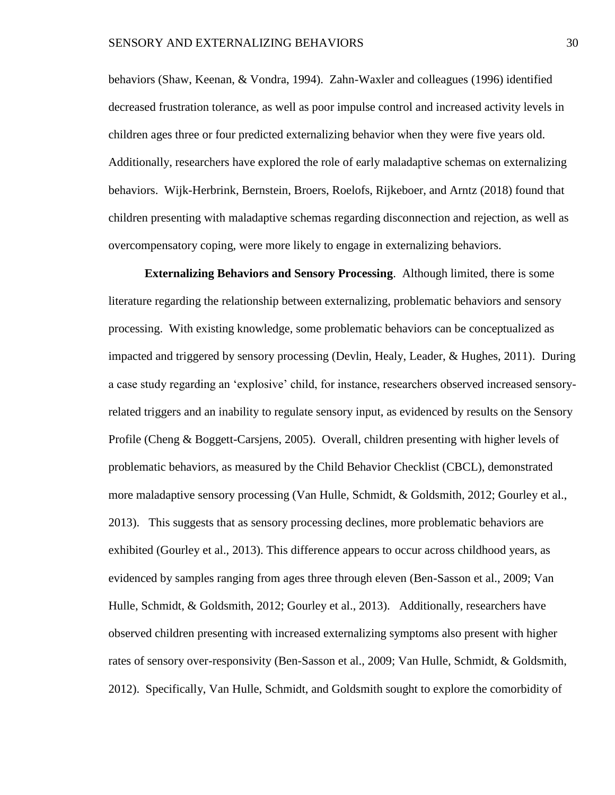behaviors (Shaw, Keenan, & Vondra, 1994). Zahn-Waxler and colleagues (1996) identified decreased frustration tolerance, as well as poor impulse control and increased activity levels in children ages three or four predicted externalizing behavior when they were five years old. Additionally, researchers have explored the role of early maladaptive schemas on externalizing behaviors. Wijk-Herbrink, Bernstein, Broers, Roelofs, Rijkeboer, and Arntz (2018) found that children presenting with maladaptive schemas regarding disconnection and rejection, as well as overcompensatory coping, were more likely to engage in externalizing behaviors.

**Externalizing Behaviors and Sensory Processing**. Although limited, there is some literature regarding the relationship between externalizing, problematic behaviors and sensory processing. With existing knowledge, some problematic behaviors can be conceptualized as impacted and triggered by sensory processing (Devlin, Healy, Leader, & Hughes, 2011). During a case study regarding an 'explosive' child, for instance, researchers observed increased sensoryrelated triggers and an inability to regulate sensory input, as evidenced by results on the Sensory Profile (Cheng & Boggett-Carsjens, 2005). Overall, children presenting with higher levels of problematic behaviors, as measured by the Child Behavior Checklist (CBCL), demonstrated more maladaptive sensory processing (Van Hulle, Schmidt, & Goldsmith, 2012; Gourley et al., 2013). This suggests that as sensory processing declines, more problematic behaviors are exhibited (Gourley et al., 2013). This difference appears to occur across childhood years, as evidenced by samples ranging from ages three through eleven (Ben-Sasson et al., 2009; Van Hulle, Schmidt, & Goldsmith, 2012; Gourley et al., 2013). Additionally, researchers have observed children presenting with increased externalizing symptoms also present with higher rates of sensory over-responsivity (Ben-Sasson et al., 2009; Van Hulle, Schmidt, & Goldsmith, 2012). Specifically, Van Hulle, Schmidt, and Goldsmith sought to explore the comorbidity of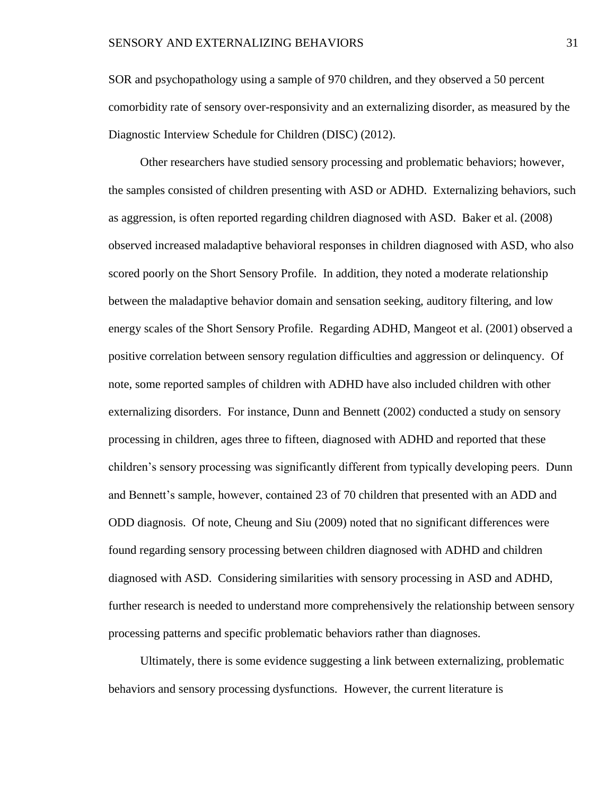SOR and psychopathology using a sample of 970 children, and they observed a 50 percent comorbidity rate of sensory over-responsivity and an externalizing disorder, as measured by the Diagnostic Interview Schedule for Children (DISC) (2012).

Other researchers have studied sensory processing and problematic behaviors; however, the samples consisted of children presenting with ASD or ADHD. Externalizing behaviors, such as aggression, is often reported regarding children diagnosed with ASD. Baker et al. (2008) observed increased maladaptive behavioral responses in children diagnosed with ASD, who also scored poorly on the Short Sensory Profile. In addition, they noted a moderate relationship between the maladaptive behavior domain and sensation seeking, auditory filtering, and low energy scales of the Short Sensory Profile. Regarding ADHD, Mangeot et al. (2001) observed a positive correlation between sensory regulation difficulties and aggression or delinquency. Of note, some reported samples of children with ADHD have also included children with other externalizing disorders. For instance, Dunn and Bennett (2002) conducted a study on sensory processing in children, ages three to fifteen, diagnosed with ADHD and reported that these children's sensory processing was significantly different from typically developing peers. Dunn and Bennett's sample, however, contained 23 of 70 children that presented with an ADD and ODD diagnosis. Of note, Cheung and Siu (2009) noted that no significant differences were found regarding sensory processing between children diagnosed with ADHD and children diagnosed with ASD. Considering similarities with sensory processing in ASD and ADHD, further research is needed to understand more comprehensively the relationship between sensory processing patterns and specific problematic behaviors rather than diagnoses.

Ultimately, there is some evidence suggesting a link between externalizing, problematic behaviors and sensory processing dysfunctions. However, the current literature is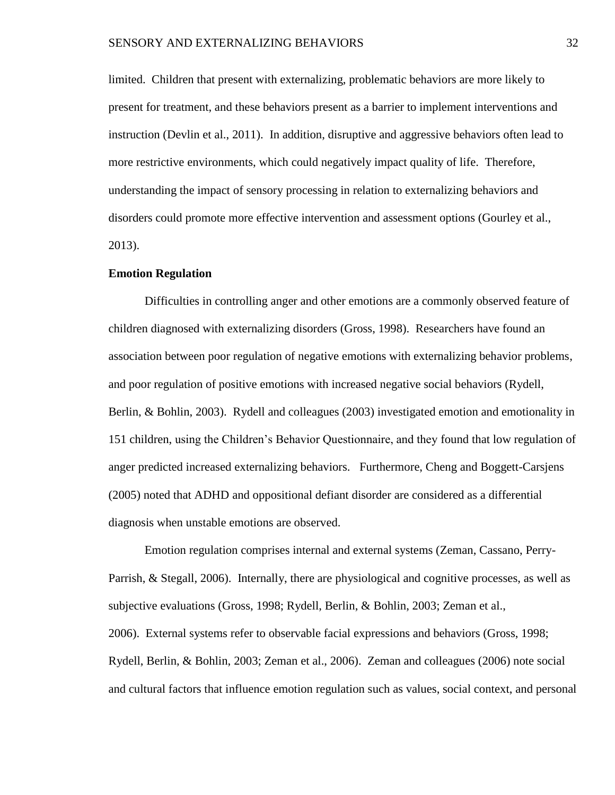limited. Children that present with externalizing, problematic behaviors are more likely to present for treatment, and these behaviors present as a barrier to implement interventions and instruction (Devlin et al., 2011). In addition, disruptive and aggressive behaviors often lead to more restrictive environments, which could negatively impact quality of life. Therefore, understanding the impact of sensory processing in relation to externalizing behaviors and disorders could promote more effective intervention and assessment options (Gourley et al., 2013).

### **Emotion Regulation**

Difficulties in controlling anger and other emotions are a commonly observed feature of children diagnosed with externalizing disorders (Gross, 1998). Researchers have found an association between poor regulation of negative emotions with externalizing behavior problems, and poor regulation of positive emotions with increased negative social behaviors (Rydell, Berlin, & Bohlin, 2003). Rydell and colleagues (2003) investigated emotion and emotionality in 151 children, using the Children's Behavior Questionnaire, and they found that low regulation of anger predicted increased externalizing behaviors. Furthermore, Cheng and Boggett-Carsjens (2005) noted that ADHD and oppositional defiant disorder are considered as a differential diagnosis when unstable emotions are observed.

Emotion regulation comprises internal and external systems (Zeman, Cassano, Perry-Parrish, & Stegall, 2006). Internally, there are physiological and cognitive processes, as well as subjective evaluations (Gross, 1998; Rydell, Berlin, & Bohlin, 2003; Zeman et al., 2006). External systems refer to observable facial expressions and behaviors (Gross, 1998; Rydell, Berlin, & Bohlin, 2003; Zeman et al., 2006). Zeman and colleagues (2006) note social and cultural factors that influence emotion regulation such as values, social context, and personal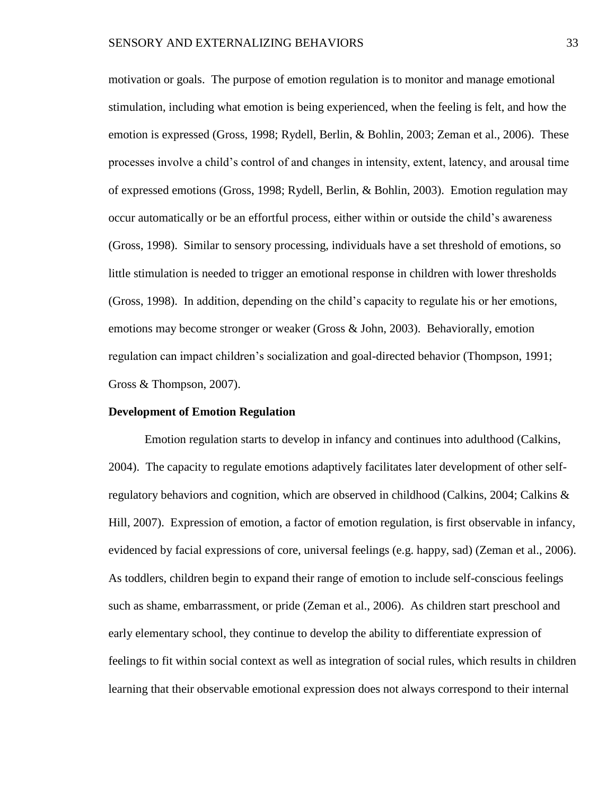motivation or goals. The purpose of emotion regulation is to monitor and manage emotional stimulation, including what emotion is being experienced, when the feeling is felt, and how the emotion is expressed (Gross, 1998; Rydell, Berlin, & Bohlin, 2003; Zeman et al., 2006). These processes involve a child's control of and changes in intensity, extent, latency, and arousal time of expressed emotions (Gross, 1998; Rydell, Berlin, & Bohlin, 2003). Emotion regulation may occur automatically or be an effortful process, either within or outside the child's awareness (Gross, 1998). Similar to sensory processing, individuals have a set threshold of emotions, so little stimulation is needed to trigger an emotional response in children with lower thresholds (Gross, 1998). In addition, depending on the child's capacity to regulate his or her emotions, emotions may become stronger or weaker (Gross & John, 2003). Behaviorally, emotion regulation can impact children's socialization and goal-directed behavior (Thompson, 1991; Gross & Thompson, 2007).

### **Development of Emotion Regulation**

Emotion regulation starts to develop in infancy and continues into adulthood (Calkins, 2004). The capacity to regulate emotions adaptively facilitates later development of other selfregulatory behaviors and cognition, which are observed in childhood (Calkins, 2004; Calkins & Hill, 2007). Expression of emotion, a factor of emotion regulation, is first observable in infancy, evidenced by facial expressions of core, universal feelings (e.g. happy, sad) (Zeman et al., 2006). As toddlers, children begin to expand their range of emotion to include self-conscious feelings such as shame, embarrassment, or pride (Zeman et al., 2006). As children start preschool and early elementary school, they continue to develop the ability to differentiate expression of feelings to fit within social context as well as integration of social rules, which results in children learning that their observable emotional expression does not always correspond to their internal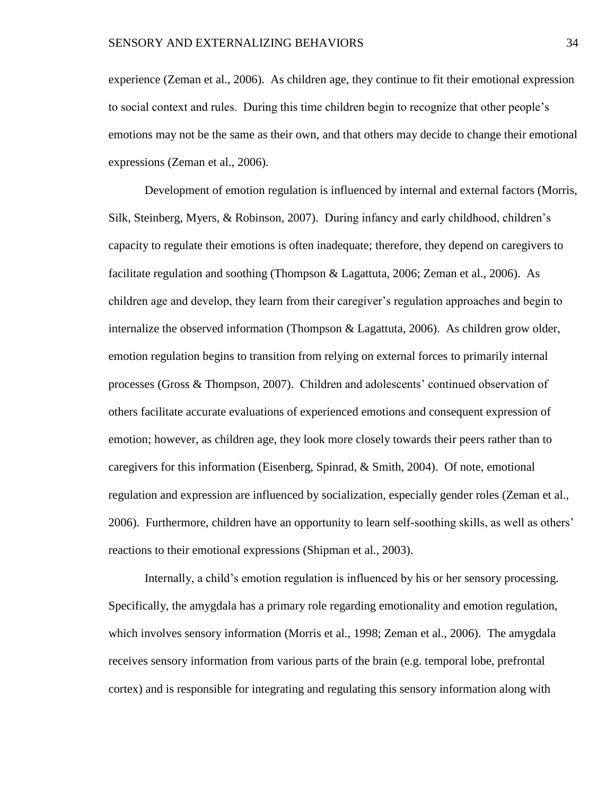experience (Zeman et al., 2006). As children age, they continue to fit their emotional expression to social context and rules. During this time children begin to recognize that other people's emotions may not be the same as their own, and that others may decide to change their emotional expressions (Zeman et al., 2006).

Development of emotion regulation is influenced by internal and external factors (Morris, Silk, Steinberg, Myers, & Robinson, 2007). During infancy and early childhood, children's capacity to regulate their emotions is often inadequate; therefore, they depend on caregivers to facilitate regulation and soothing (Thompson & Lagattuta, 2006; Zeman et al., 2006). As children age and develop, they learn from their caregiver's regulation approaches and begin to internalize the observed information (Thompson & Lagattuta, 2006). As children grow older, emotion regulation begins to transition from relying on external forces to primarily internal processes (Gross & Thompson, 2007). Children and adolescents' continued observation of others facilitate accurate evaluations of experienced emotions and consequent expression of emotion; however, as children age, they look more closely towards their peers rather than to caregivers for this information (Eisenberg, Spinrad, & Smith, 2004). Of note, emotional regulation and expression are influenced by socialization, especially gender roles (Zeman et al., 2006). Furthermore, children have an opportunity to learn self-soothing skills, as well as others' reactions to their emotional expressions (Shipman et al., 2003).

Internally, a child's emotion regulation is influenced by his or her sensory processing. Specifically, the amygdala has a primary role regarding emotionality and emotion regulation, which involves sensory information (Morris et al., 1998; Zeman et al., 2006). The amygdala receives sensory information from various parts of the brain (e.g. temporal lobe, prefrontal cortex) and is responsible for integrating and regulating this sensory information along with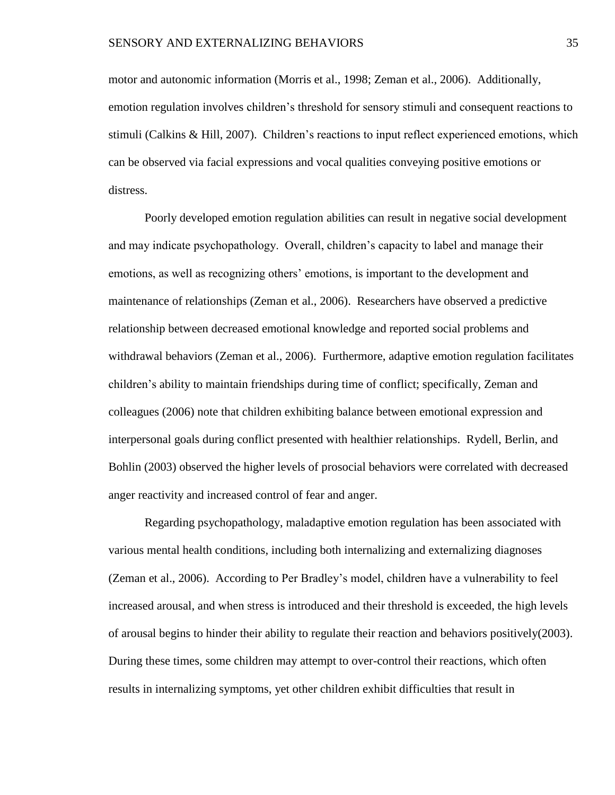motor and autonomic information (Morris et al., 1998; Zeman et al., 2006). Additionally, emotion regulation involves children's threshold for sensory stimuli and consequent reactions to stimuli (Calkins & Hill, 2007). Children's reactions to input reflect experienced emotions, which can be observed via facial expressions and vocal qualities conveying positive emotions or distress.

Poorly developed emotion regulation abilities can result in negative social development and may indicate psychopathology. Overall, children's capacity to label and manage their emotions, as well as recognizing others' emotions, is important to the development and maintenance of relationships (Zeman et al., 2006). Researchers have observed a predictive relationship between decreased emotional knowledge and reported social problems and withdrawal behaviors (Zeman et al., 2006). Furthermore, adaptive emotion regulation facilitates children's ability to maintain friendships during time of conflict; specifically, Zeman and colleagues (2006) note that children exhibiting balance between emotional expression and interpersonal goals during conflict presented with healthier relationships. Rydell, Berlin, and Bohlin (2003) observed the higher levels of prosocial behaviors were correlated with decreased anger reactivity and increased control of fear and anger.

Regarding psychopathology, maladaptive emotion regulation has been associated with various mental health conditions, including both internalizing and externalizing diagnoses (Zeman et al., 2006). According to Per Bradley's model, children have a vulnerability to feel increased arousal, and when stress is introduced and their threshold is exceeded, the high levels of arousal begins to hinder their ability to regulate their reaction and behaviors positively(2003). During these times, some children may attempt to over-control their reactions, which often results in internalizing symptoms, yet other children exhibit difficulties that result in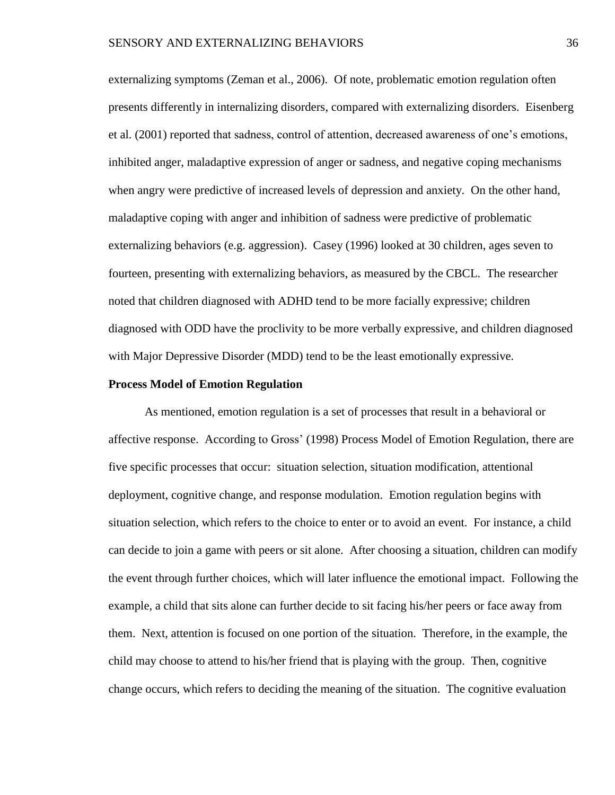externalizing symptoms (Zeman et al., 2006). Of note, problematic emotion regulation often presents differently in internalizing disorders, compared with externalizing disorders. Eisenberg et al. (2001) reported that sadness, control of attention, decreased awareness of one's emotions, inhibited anger, maladaptive expression of anger or sadness, and negative coping mechanisms when angry were predictive of increased levels of depression and anxiety. On the other hand, maladaptive coping with anger and inhibition of sadness were predictive of problematic externalizing behaviors (e.g. aggression). Casey (1996) looked at 30 children, ages seven to fourteen, presenting with externalizing behaviors, as measured by the CBCL. The researcher noted that children diagnosed with ADHD tend to be more facially expressive; children diagnosed with ODD have the proclivity to be more verbally expressive, and children diagnosed with Major Depressive Disorder (MDD) tend to be the least emotionally expressive.

### **Process Model of Emotion Regulation**

As mentioned, emotion regulation is a set of processes that result in a behavioral or affective response. According to Gross' (1998) Process Model of Emotion Regulation, there are five specific processes that occur: situation selection, situation modification, attentional deployment, cognitive change, and response modulation. Emotion regulation begins with situation selection, which refers to the choice to enter or to avoid an event. For instance, a child can decide to join a game with peers or sit alone. After choosing a situation, children can modify the event through further choices, which will later influence the emotional impact. Following the example, a child that sits alone can further decide to sit facing his/her peers or face away from them. Next, attention is focused on one portion of the situation. Therefore, in the example, the child may choose to attend to his/her friend that is playing with the group. Then, cognitive change occurs, which refers to deciding the meaning of the situation. The cognitive evaluation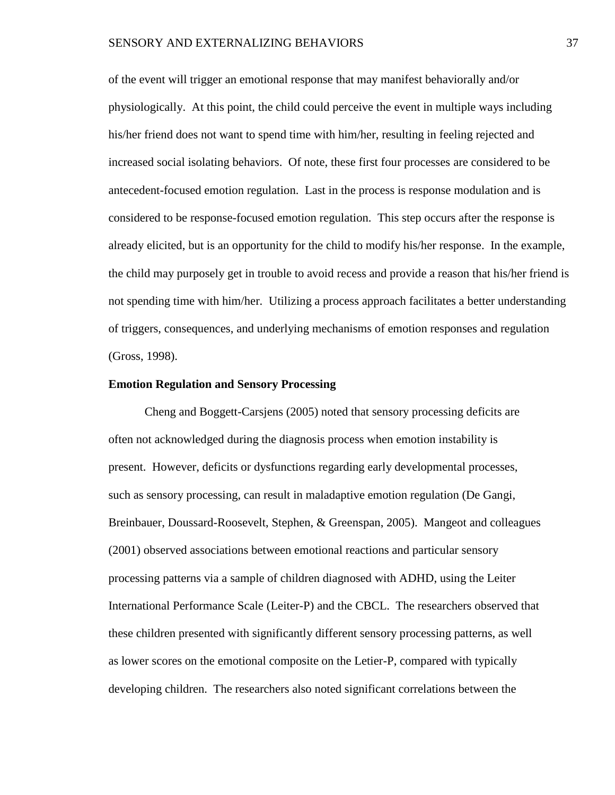of the event will trigger an emotional response that may manifest behaviorally and/or physiologically. At this point, the child could perceive the event in multiple ways including his/her friend does not want to spend time with him/her, resulting in feeling rejected and increased social isolating behaviors. Of note, these first four processes are considered to be antecedent-focused emotion regulation. Last in the process is response modulation and is considered to be response-focused emotion regulation. This step occurs after the response is already elicited, but is an opportunity for the child to modify his/her response. In the example, the child may purposely get in trouble to avoid recess and provide a reason that his/her friend is not spending time with him/her. Utilizing a process approach facilitates a better understanding of triggers, consequences, and underlying mechanisms of emotion responses and regulation (Gross, 1998).

## **Emotion Regulation and Sensory Processing**

Cheng and Boggett-Carsjens (2005) noted that sensory processing deficits are often not acknowledged during the diagnosis process when emotion instability is present. However, deficits or dysfunctions regarding early developmental processes, such as sensory processing, can result in maladaptive emotion regulation (De Gangi, Breinbauer, Doussard-Roosevelt, Stephen, & Greenspan, 2005). Mangeot and colleagues (2001) observed associations between emotional reactions and particular sensory processing patterns via a sample of children diagnosed with ADHD, using the Leiter International Performance Scale (Leiter-P) and the CBCL. The researchers observed that these children presented with significantly different sensory processing patterns, as well as lower scores on the emotional composite on the Letier-P, compared with typically developing children. The researchers also noted significant correlations between the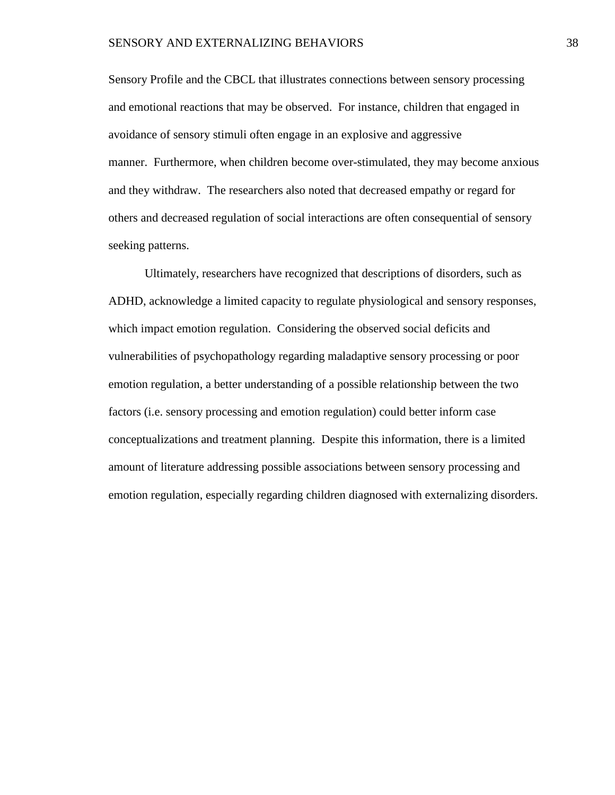Sensory Profile and the CBCL that illustrates connections between sensory processing and emotional reactions that may be observed. For instance, children that engaged in avoidance of sensory stimuli often engage in an explosive and aggressive manner. Furthermore, when children become over-stimulated, they may become anxious and they withdraw. The researchers also noted that decreased empathy or regard for others and decreased regulation of social interactions are often consequential of sensory seeking patterns.

Ultimately, researchers have recognized that descriptions of disorders, such as ADHD, acknowledge a limited capacity to regulate physiological and sensory responses, which impact emotion regulation. Considering the observed social deficits and vulnerabilities of psychopathology regarding maladaptive sensory processing or poor emotion regulation, a better understanding of a possible relationship between the two factors (i.e. sensory processing and emotion regulation) could better inform case conceptualizations and treatment planning. Despite this information, there is a limited amount of literature addressing possible associations between sensory processing and emotion regulation, especially regarding children diagnosed with externalizing disorders.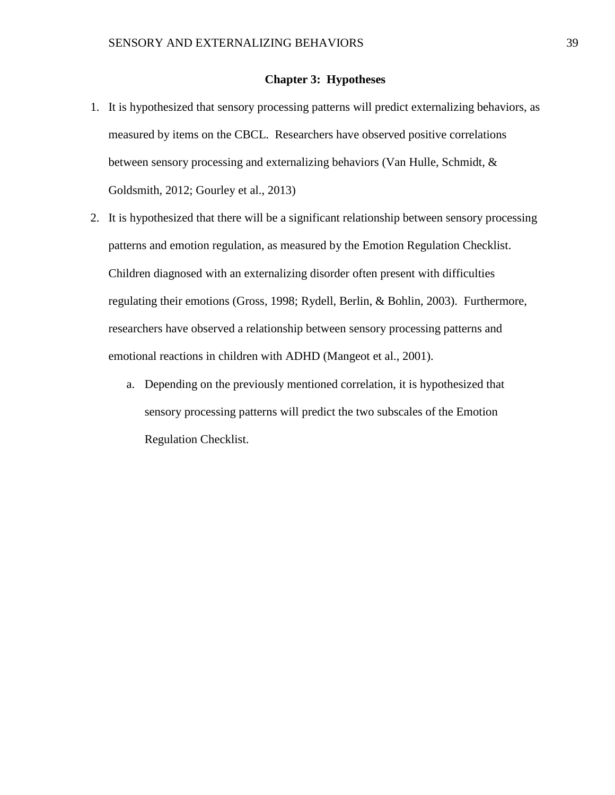## **Chapter 3: Hypotheses**

- 1. It is hypothesized that sensory processing patterns will predict externalizing behaviors, as measured by items on the CBCL. Researchers have observed positive correlations between sensory processing and externalizing behaviors (Van Hulle, Schmidt, & Goldsmith, 2012; Gourley et al., 2013)
- 2. It is hypothesized that there will be a significant relationship between sensory processing patterns and emotion regulation, as measured by the Emotion Regulation Checklist. Children diagnosed with an externalizing disorder often present with difficulties regulating their emotions (Gross, 1998; Rydell, Berlin, & Bohlin, 2003). Furthermore, researchers have observed a relationship between sensory processing patterns and emotional reactions in children with ADHD (Mangeot et al., 2001).
	- a. Depending on the previously mentioned correlation, it is hypothesized that sensory processing patterns will predict the two subscales of the Emotion Regulation Checklist.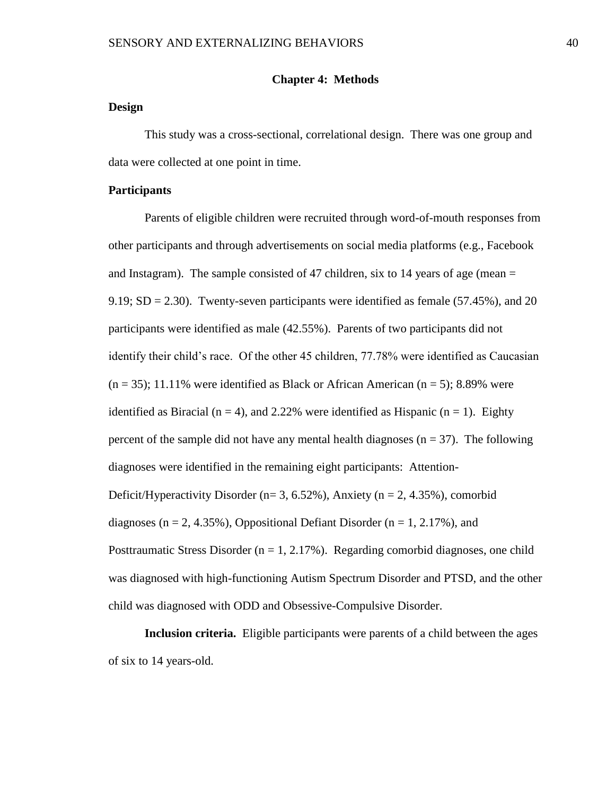### **Chapter 4: Methods**

## **Design**

This study was a cross-sectional, correlational design. There was one group and data were collected at one point in time.

## **Participants**

Parents of eligible children were recruited through word-of-mouth responses from other participants and through advertisements on social media platforms (e.g., Facebook and Instagram). The sample consisted of 47 children, six to 14 years of age (mean  $=$ 9.19;  $SD = 2.30$ ). Twenty-seven participants were identified as female (57.45%), and 20 participants were identified as male (42.55%). Parents of two participants did not identify their child's race. Of the other 45 children, 77.78% were identified as Caucasian  $(n = 35)$ ; 11.11% were identified as Black or African American  $(n = 5)$ ; 8.89% were identified as Biracial ( $n = 4$ ), and 2.22% were identified as Hispanic ( $n = 1$ ). Eighty percent of the sample did not have any mental health diagnoses  $(n = 37)$ . The following diagnoses were identified in the remaining eight participants: Attention-Deficit/Hyperactivity Disorder (n= 3, 6.52%), Anxiety (n = 2, 4.35%), comorbid diagnoses ( $n = 2, 4.35\%$ ), Oppositional Defiant Disorder ( $n = 1, 2.17\%$ ), and Posttraumatic Stress Disorder ( $n = 1, 2.17\%$ ). Regarding comorbid diagnoses, one child was diagnosed with high-functioning Autism Spectrum Disorder and PTSD, and the other child was diagnosed with ODD and Obsessive-Compulsive Disorder.

**Inclusion criteria.** Eligible participants were parents of a child between the ages of six to 14 years-old.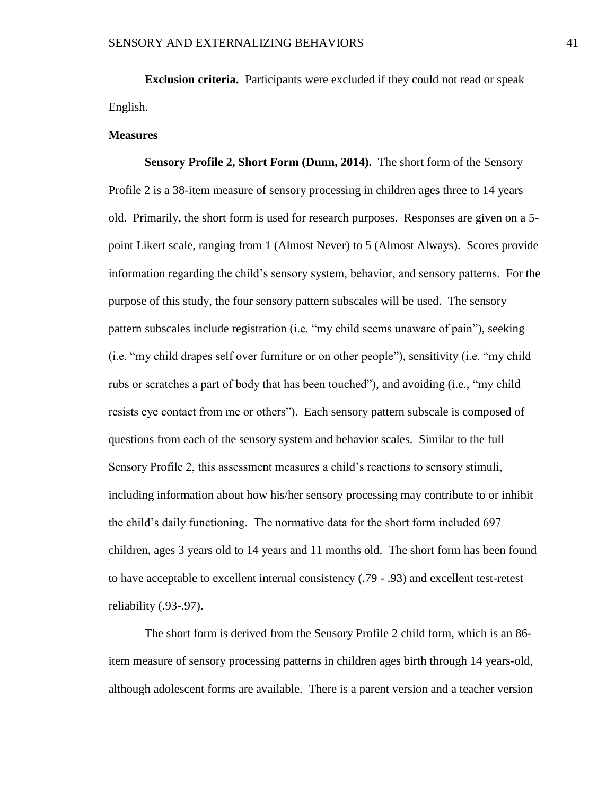**Exclusion criteria.** Participants were excluded if they could not read or speak English.

### **Measures**

**Sensory Profile 2, Short Form (Dunn, 2014).** The short form of the Sensory Profile 2 is a 38-item measure of sensory processing in children ages three to 14 years old. Primarily, the short form is used for research purposes. Responses are given on a 5 point Likert scale, ranging from 1 (Almost Never) to 5 (Almost Always). Scores provide information regarding the child's sensory system, behavior, and sensory patterns. For the purpose of this study, the four sensory pattern subscales will be used. The sensory pattern subscales include registration (i.e. "my child seems unaware of pain"), seeking (i.e. "my child drapes self over furniture or on other people"), sensitivity (i.e. "my child rubs or scratches a part of body that has been touched"), and avoiding (i.e., "my child resists eye contact from me or others"). Each sensory pattern subscale is composed of questions from each of the sensory system and behavior scales. Similar to the full Sensory Profile 2, this assessment measures a child's reactions to sensory stimuli, including information about how his/her sensory processing may contribute to or inhibit the child's daily functioning. The normative data for the short form included 697 children, ages 3 years old to 14 years and 11 months old. The short form has been found to have acceptable to excellent internal consistency (.79 - .93) and excellent test-retest reliability (.93-.97).

The short form is derived from the Sensory Profile 2 child form, which is an 86 item measure of sensory processing patterns in children ages birth through 14 years-old, although adolescent forms are available. There is a parent version and a teacher version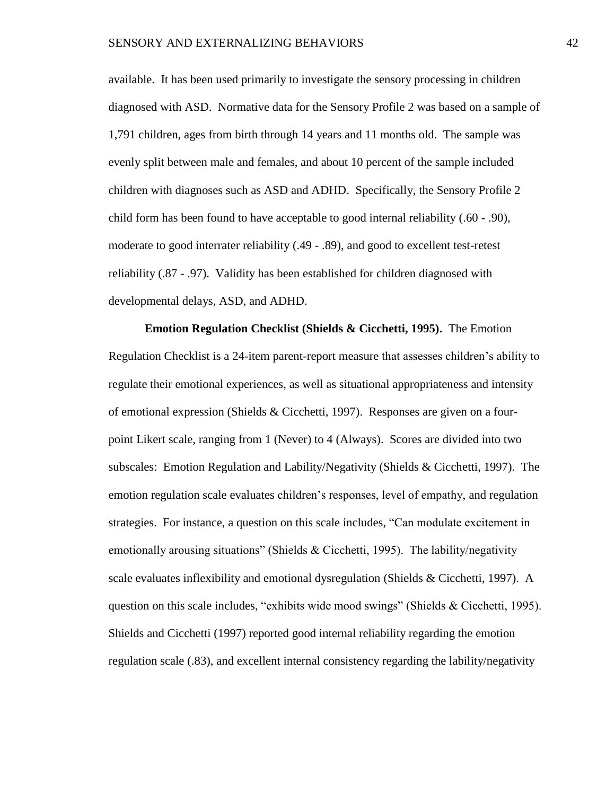available. It has been used primarily to investigate the sensory processing in children diagnosed with ASD. Normative data for the Sensory Profile 2 was based on a sample of 1,791 children, ages from birth through 14 years and 11 months old. The sample was evenly split between male and females, and about 10 percent of the sample included children with diagnoses such as ASD and ADHD. Specifically, the Sensory Profile 2 child form has been found to have acceptable to good internal reliability (.60 - .90), moderate to good interrater reliability (.49 - .89), and good to excellent test-retest reliability (.87 - .97). Validity has been established for children diagnosed with developmental delays, ASD, and ADHD.

**Emotion Regulation Checklist (Shields & Cicchetti, 1995).** The Emotion Regulation Checklist is a 24-item parent-report measure that assesses children's ability to regulate their emotional experiences, as well as situational appropriateness and intensity of emotional expression (Shields & Cicchetti, 1997). Responses are given on a fourpoint Likert scale, ranging from 1 (Never) to 4 (Always). Scores are divided into two subscales: Emotion Regulation and Lability/Negativity (Shields & Cicchetti, 1997). The emotion regulation scale evaluates children's responses, level of empathy, and regulation strategies. For instance, a question on this scale includes, "Can modulate excitement in emotionally arousing situations" (Shields & Cicchetti, 1995). The lability/negativity scale evaluates inflexibility and emotional dysregulation (Shields & Cicchetti, 1997). A question on this scale includes, "exhibits wide mood swings" (Shields & Cicchetti, 1995). Shields and Cicchetti (1997) reported good internal reliability regarding the emotion regulation scale (.83), and excellent internal consistency regarding the lability/negativity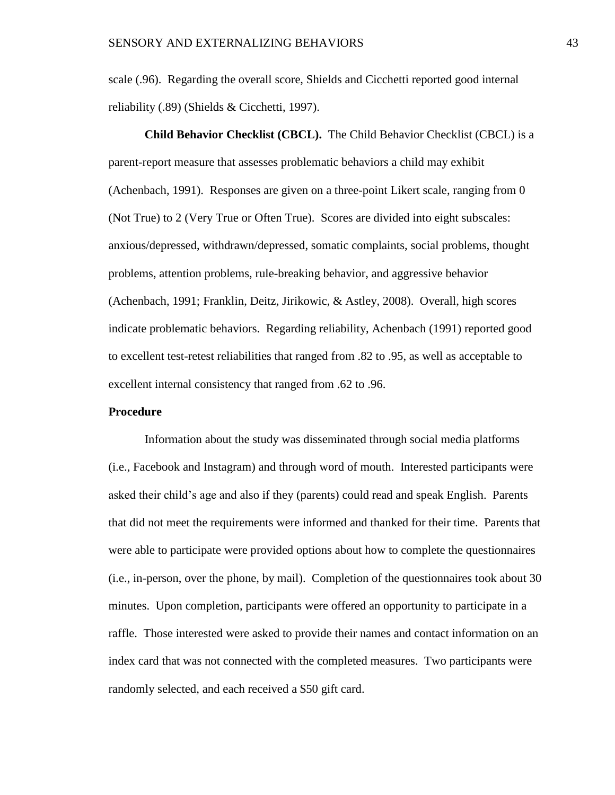scale (.96). Regarding the overall score, Shields and Cicchetti reported good internal reliability (.89) (Shields & Cicchetti, 1997).

**Child Behavior Checklist (CBCL).** The Child Behavior Checklist (CBCL) is a parent-report measure that assesses problematic behaviors a child may exhibit (Achenbach, 1991). Responses are given on a three-point Likert scale, ranging from 0 (Not True) to 2 (Very True or Often True). Scores are divided into eight subscales: anxious/depressed, withdrawn/depressed, somatic complaints, social problems, thought problems, attention problems, rule-breaking behavior, and aggressive behavior (Achenbach, 1991; Franklin, Deitz, Jirikowic, & Astley, 2008). Overall, high scores indicate problematic behaviors. Regarding reliability, Achenbach (1991) reported good to excellent test-retest reliabilities that ranged from .82 to .95, as well as acceptable to excellent internal consistency that ranged from .62 to .96.

## **Procedure**

Information about the study was disseminated through social media platforms (i.e., Facebook and Instagram) and through word of mouth. Interested participants were asked their child's age and also if they (parents) could read and speak English. Parents that did not meet the requirements were informed and thanked for their time. Parents that were able to participate were provided options about how to complete the questionnaires (i.e., in-person, over the phone, by mail). Completion of the questionnaires took about 30 minutes. Upon completion, participants were offered an opportunity to participate in a raffle. Those interested were asked to provide their names and contact information on an index card that was not connected with the completed measures. Two participants were randomly selected, and each received a \$50 gift card.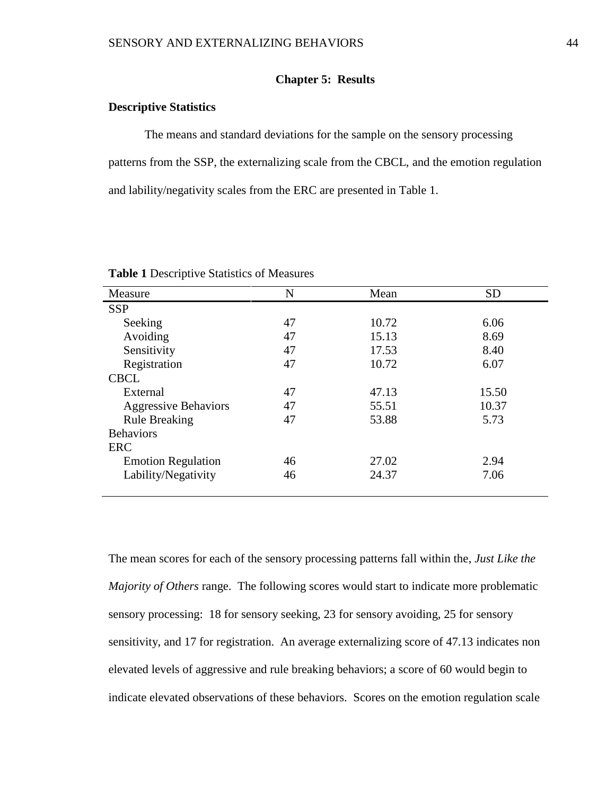## **Chapter 5: Results**

# **Descriptive Statistics**

The means and standard deviations for the sample on the sensory processing patterns from the SSP, the externalizing scale from the CBCL, and the emotion regulation and lability/negativity scales from the ERC are presented in Table 1.

| Measure                     | N  | Mean  | <b>SD</b> |
|-----------------------------|----|-------|-----------|
| <b>SSP</b>                  |    |       |           |
| Seeking                     | 47 | 10.72 | 6.06      |
| Avoiding                    | 47 | 15.13 | 8.69      |
| Sensitivity                 | 47 | 17.53 | 8.40      |
| Registration                | 47 | 10.72 | 6.07      |
| <b>CBCL</b>                 |    |       |           |
| External                    | 47 | 47.13 | 15.50     |
| <b>Aggressive Behaviors</b> | 47 | 55.51 | 10.37     |
| <b>Rule Breaking</b>        | 47 | 53.88 | 5.73      |
| <b>Behaviors</b>            |    |       |           |
| ERC                         |    |       |           |
| <b>Emotion Regulation</b>   | 46 | 27.02 | 2.94      |
| Lability/Negativity         | 46 | 24.37 | 7.06      |

**Table 1** Descriptive Statistics of Measures

The mean scores for each of the sensory processing patterns fall within the, *Just Like the Majority of Others* range. The following scores would start to indicate more problematic sensory processing: 18 for sensory seeking, 23 for sensory avoiding, 25 for sensory sensitivity, and 17 for registration. An average externalizing score of 47.13 indicates non elevated levels of aggressive and rule breaking behaviors; a score of 60 would begin to indicate elevated observations of these behaviors. Scores on the emotion regulation scale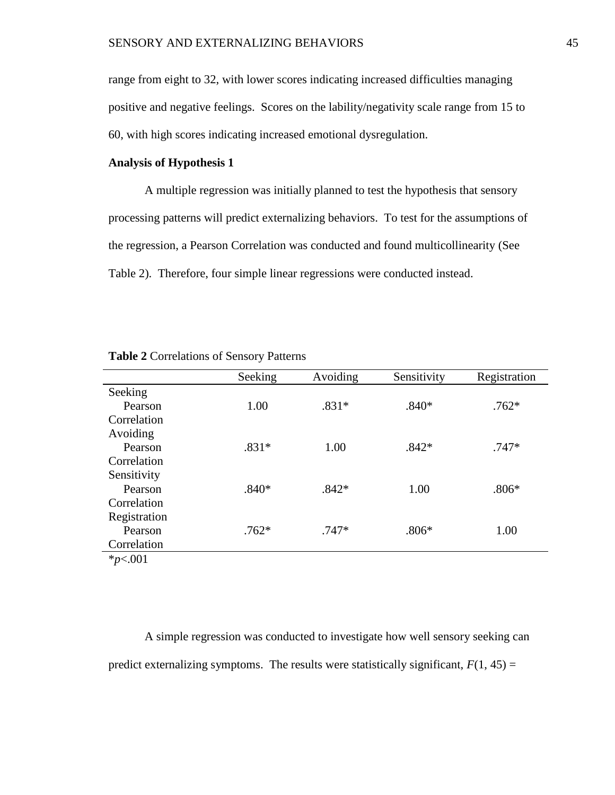range from eight to 32, with lower scores indicating increased difficulties managing positive and negative feelings. Scores on the lability/negativity scale range from 15 to 60, with high scores indicating increased emotional dysregulation.

## **Analysis of Hypothesis 1**

A multiple regression was initially planned to test the hypothesis that sensory processing patterns will predict externalizing behaviors. To test for the assumptions of the regression, a Pearson Correlation was conducted and found multicollinearity (See Table 2). Therefore, four simple linear regressions were conducted instead.

|              | Seeking | Avoiding | Sensitivity | Registration |
|--------------|---------|----------|-------------|--------------|
| Seeking      |         |          |             |              |
| Pearson      | 1.00    | $.831*$  | $.840*$     | $.762*$      |
| Correlation  |         |          |             |              |
| Avoiding     |         |          |             |              |
| Pearson      | $.831*$ | 1.00     | $.842*$     | $.747*$      |
| Correlation  |         |          |             |              |
| Sensitivity  |         |          |             |              |
| Pearson      | $.840*$ | $.842*$  | 1.00        | $.806*$      |
| Correlation  |         |          |             |              |
| Registration |         |          |             |              |
| Pearson      | $.762*$ | $.747*$  | $.806*$     | 1.00         |
| Correlation  |         |          |             |              |
| $*_{p<.001}$ |         |          |             |              |

**Table 2** Correlations of Sensory Patterns

A simple regression was conducted to investigate how well sensory seeking can predict externalizing symptoms. The results were statistically significant,  $F(1, 45) =$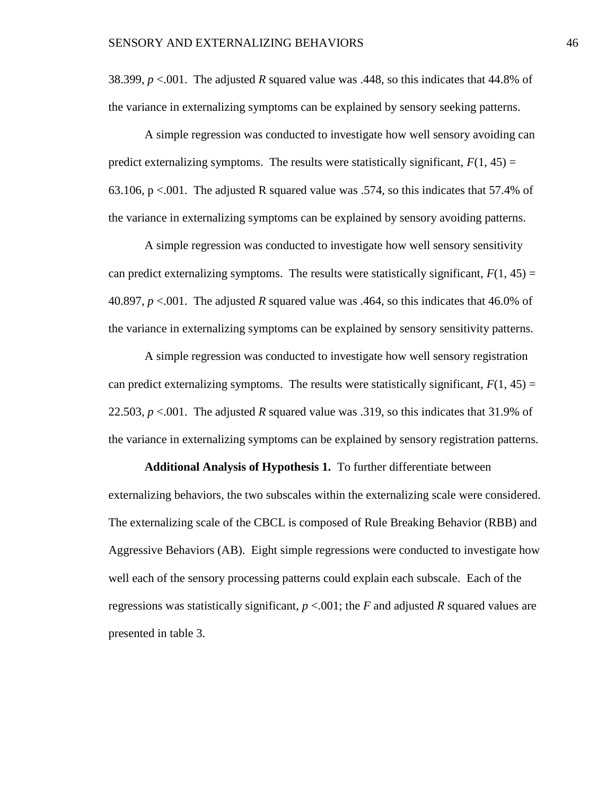38.399, *p* <.001. The adjusted *R* squared value was .448, so this indicates that 44.8% of the variance in externalizing symptoms can be explained by sensory seeking patterns.

A simple regression was conducted to investigate how well sensory avoiding can predict externalizing symptoms. The results were statistically significant,  $F(1, 45) =$ 63.106,  $p \le 0.001$ . The adjusted R squared value was .574, so this indicates that 57.4% of the variance in externalizing symptoms can be explained by sensory avoiding patterns.

A simple regression was conducted to investigate how well sensory sensitivity can predict externalizing symptoms. The results were statistically significant,  $F(1, 45) =$ 40.897, *p* <.001. The adjusted *R* squared value was .464, so this indicates that 46.0% of the variance in externalizing symptoms can be explained by sensory sensitivity patterns.

A simple regression was conducted to investigate how well sensory registration can predict externalizing symptoms. The results were statistically significant,  $F(1, 45) =$ 22.503, *p* <.001. The adjusted *R* squared value was .319, so this indicates that 31.9% of the variance in externalizing symptoms can be explained by sensory registration patterns.

**Additional Analysis of Hypothesis 1.** To further differentiate between externalizing behaviors, the two subscales within the externalizing scale were considered. The externalizing scale of the CBCL is composed of Rule Breaking Behavior (RBB) and Aggressive Behaviors (AB). Eight simple regressions were conducted to investigate how well each of the sensory processing patterns could explain each subscale. Each of the regressions was statistically significant,  $p < .001$ ; the *F* and adjusted *R* squared values are presented in table 3.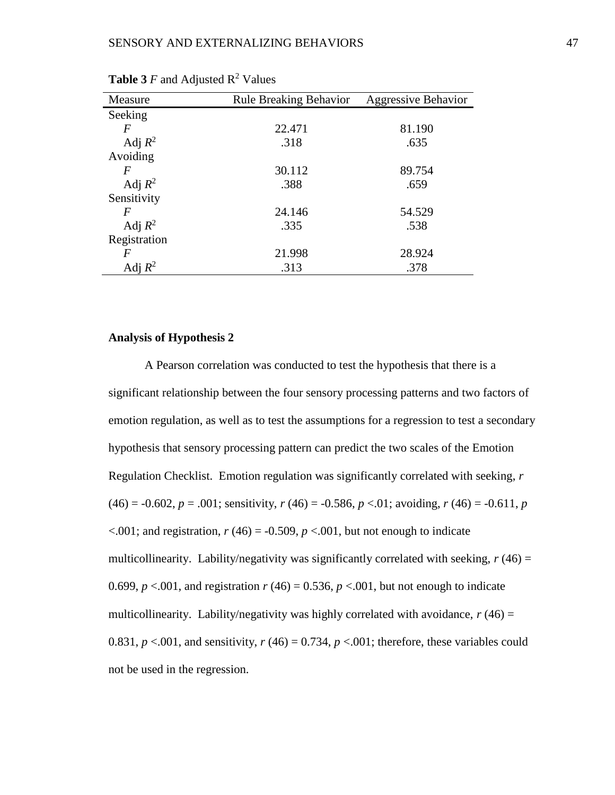| Measure      | <b>Rule Breaking Behavior</b> | <b>Aggressive Behavior</b> |
|--------------|-------------------------------|----------------------------|
| Seeking      |                               |                            |
| F            | 22.471                        | 81.190                     |
| Adj $R^2$    | .318                          | .635                       |
| Avoiding     |                               |                            |
| F            | 30.112                        | 89.754                     |
| Adj $R^2$    | .388                          | .659                       |
| Sensitivity  |                               |                            |
| F            | 24.146                        | 54.529                     |
| Adj $R^2$    | .335                          | .538                       |
| Registration |                               |                            |
| F            | 21.998                        | 28.924                     |
| Adj $R^2$    | .313                          | .378                       |

**Table 3**  $F$  and Adjusted  $R^2$  Values

### **Analysis of Hypothesis 2**

A Pearson correlation was conducted to test the hypothesis that there is a significant relationship between the four sensory processing patterns and two factors of emotion regulation, as well as to test the assumptions for a regression to test a secondary hypothesis that sensory processing pattern can predict the two scales of the Emotion Regulation Checklist. Emotion regulation was significantly correlated with seeking, *r*  $(46) = -0.602$ ,  $p = .001$ ; sensitivity,  $r(46) = -0.586$ ,  $p < .01$ ; avoiding,  $r(46) = -0.611$ ,  $p(46) = -0.611$  $\leq 0.001$ ; and registration,  $r(46) = -0.509$ ,  $p \leq 0.01$ , but not enough to indicate multicollinearity. Lability/negativity was significantly correlated with seeking,  $r(46) =$ 0.699,  $p < 0.01$ , and registration  $r(46) = 0.536$ ,  $p < 0.01$ , but not enough to indicate multicollinearity. Lability/negativity was highly correlated with avoidance,  $r(46) =$ 0.831,  $p < 0.01$ , and sensitivity,  $r(46) = 0.734$ ,  $p < 0.01$ ; therefore, these variables could not be used in the regression.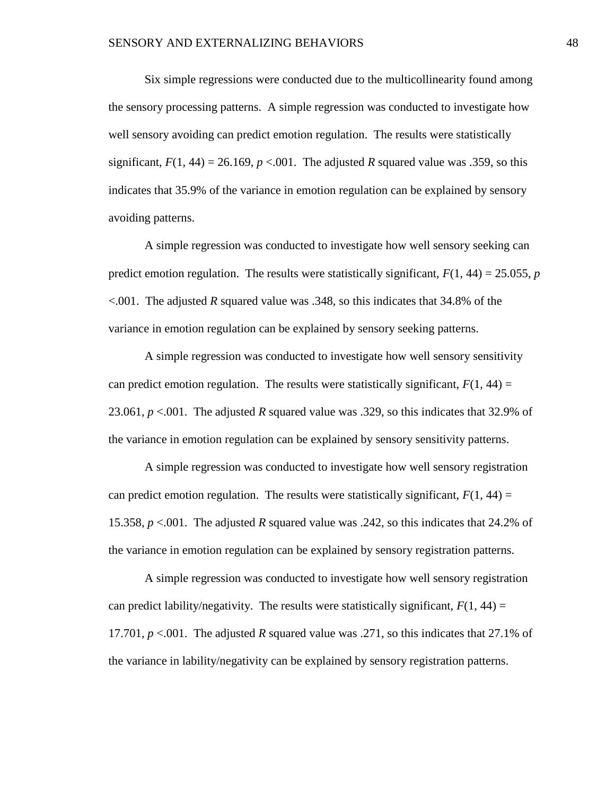Six simple regressions were conducted due to the multicollinearity found among the sensory processing patterns. A simple regression was conducted to investigate how well sensory avoiding can predict emotion regulation. The results were statistically significant,  $F(1, 44) = 26.169$ ,  $p < .001$ . The adjusted *R* squared value was .359, so this indicates that 35.9% of the variance in emotion regulation can be explained by sensory avoiding patterns.

A simple regression was conducted to investigate how well sensory seeking can predict emotion regulation. The results were statistically significant,  $F(1, 44) = 25.055$ , *p* <.001. The adjusted *R* squared value was .348, so this indicates that 34.8% of the variance in emotion regulation can be explained by sensory seeking patterns.

A simple regression was conducted to investigate how well sensory sensitivity can predict emotion regulation. The results were statistically significant,  $F(1, 44) =$ 23.061, *p* <.001. The adjusted *R* squared value was .329, so this indicates that 32.9% of the variance in emotion regulation can be explained by sensory sensitivity patterns.

A simple regression was conducted to investigate how well sensory registration can predict emotion regulation. The results were statistically significant,  $F(1, 44) =$ 15.358, *p* <.001. The adjusted *R* squared value was .242, so this indicates that 24.2% of the variance in emotion regulation can be explained by sensory registration patterns.

A simple regression was conducted to investigate how well sensory registration can predict lability/negativity. The results were statistically significant,  $F(1, 44) =$ 17.701, *p* <.001. The adjusted *R* squared value was .271, so this indicates that 27.1% of the variance in lability/negativity can be explained by sensory registration patterns.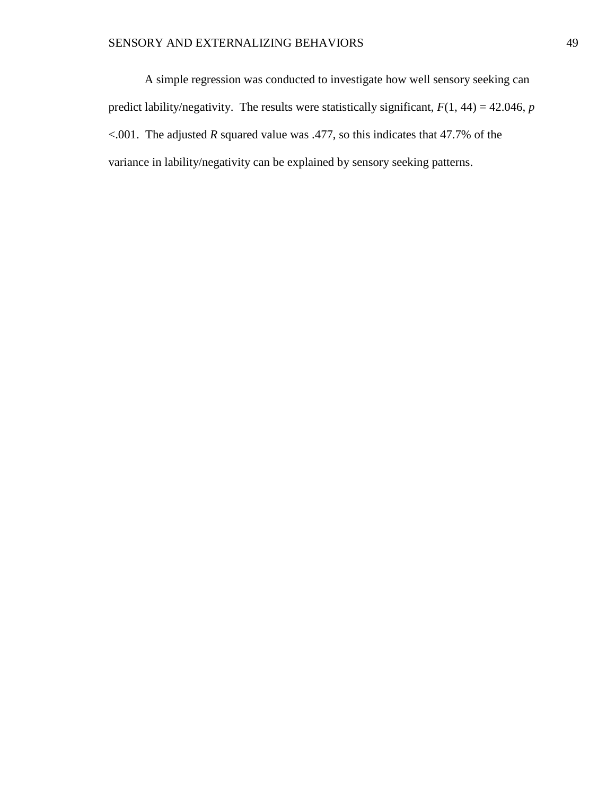A simple regression was conducted to investigate how well sensory seeking can predict lability/negativity. The results were statistically significant,  $F(1, 44) = 42.046$ , *p* <.001. The adjusted *R* squared value was .477, so this indicates that 47.7% of the variance in lability/negativity can be explained by sensory seeking patterns.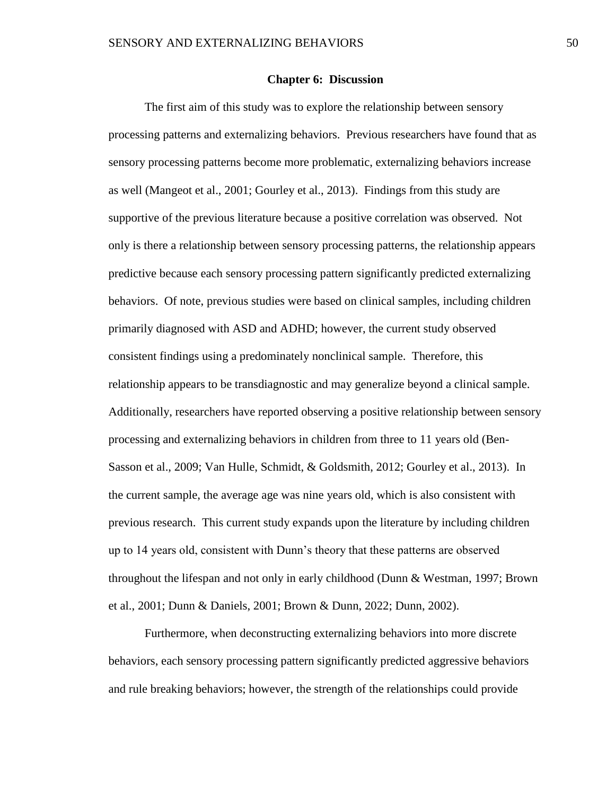#### **Chapter 6: Discussion**

The first aim of this study was to explore the relationship between sensory processing patterns and externalizing behaviors. Previous researchers have found that as sensory processing patterns become more problematic, externalizing behaviors increase as well (Mangeot et al., 2001; Gourley et al., 2013). Findings from this study are supportive of the previous literature because a positive correlation was observed. Not only is there a relationship between sensory processing patterns, the relationship appears predictive because each sensory processing pattern significantly predicted externalizing behaviors. Of note, previous studies were based on clinical samples, including children primarily diagnosed with ASD and ADHD; however, the current study observed consistent findings using a predominately nonclinical sample. Therefore, this relationship appears to be transdiagnostic and may generalize beyond a clinical sample. Additionally, researchers have reported observing a positive relationship between sensory processing and externalizing behaviors in children from three to 11 years old (Ben-Sasson et al., 2009; Van Hulle, Schmidt, & Goldsmith, 2012; Gourley et al., 2013). In the current sample, the average age was nine years old, which is also consistent with previous research. This current study expands upon the literature by including children up to 14 years old, consistent with Dunn's theory that these patterns are observed throughout the lifespan and not only in early childhood (Dunn & Westman, 1997; Brown et al., 2001; Dunn & Daniels, 2001; Brown & Dunn, 2022; Dunn, 2002).

Furthermore, when deconstructing externalizing behaviors into more discrete behaviors, each sensory processing pattern significantly predicted aggressive behaviors and rule breaking behaviors; however, the strength of the relationships could provide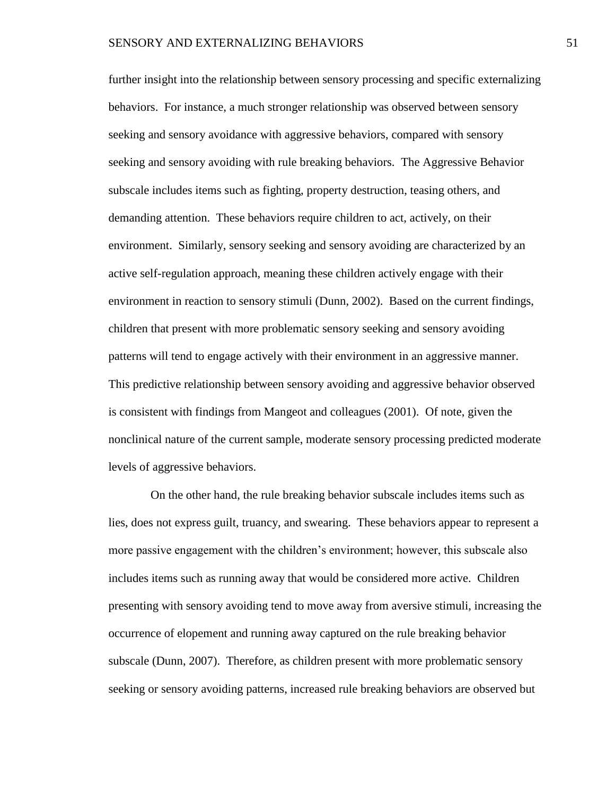further insight into the relationship between sensory processing and specific externalizing behaviors. For instance, a much stronger relationship was observed between sensory seeking and sensory avoidance with aggressive behaviors, compared with sensory seeking and sensory avoiding with rule breaking behaviors. The Aggressive Behavior subscale includes items such as fighting, property destruction, teasing others, and demanding attention. These behaviors require children to act, actively, on their environment. Similarly, sensory seeking and sensory avoiding are characterized by an active self-regulation approach, meaning these children actively engage with their environment in reaction to sensory stimuli (Dunn, 2002). Based on the current findings, children that present with more problematic sensory seeking and sensory avoiding patterns will tend to engage actively with their environment in an aggressive manner. This predictive relationship between sensory avoiding and aggressive behavior observed is consistent with findings from Mangeot and colleagues (2001). Of note, given the nonclinical nature of the current sample, moderate sensory processing predicted moderate levels of aggressive behaviors.

 On the other hand, the rule breaking behavior subscale includes items such as lies, does not express guilt, truancy, and swearing. These behaviors appear to represent a more passive engagement with the children's environment; however, this subscale also includes items such as running away that would be considered more active. Children presenting with sensory avoiding tend to move away from aversive stimuli, increasing the occurrence of elopement and running away captured on the rule breaking behavior subscale (Dunn, 2007). Therefore, as children present with more problematic sensory seeking or sensory avoiding patterns, increased rule breaking behaviors are observed but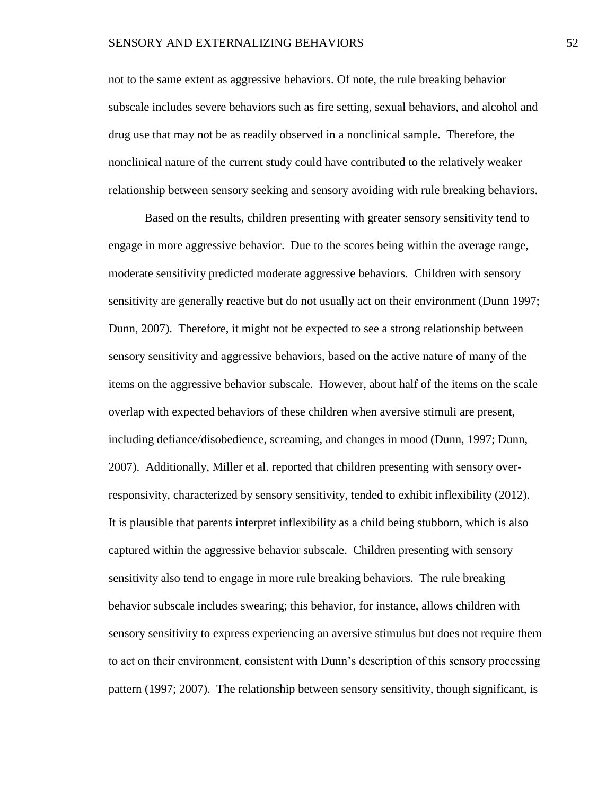### SENSORY AND EXTERNALIZING BEHAVIORS 52

not to the same extent as aggressive behaviors. Of note, the rule breaking behavior subscale includes severe behaviors such as fire setting, sexual behaviors, and alcohol and drug use that may not be as readily observed in a nonclinical sample. Therefore, the nonclinical nature of the current study could have contributed to the relatively weaker relationship between sensory seeking and sensory avoiding with rule breaking behaviors.

Based on the results, children presenting with greater sensory sensitivity tend to engage in more aggressive behavior. Due to the scores being within the average range, moderate sensitivity predicted moderate aggressive behaviors. Children with sensory sensitivity are generally reactive but do not usually act on their environment (Dunn 1997; Dunn, 2007). Therefore, it might not be expected to see a strong relationship between sensory sensitivity and aggressive behaviors, based on the active nature of many of the items on the aggressive behavior subscale. However, about half of the items on the scale overlap with expected behaviors of these children when aversive stimuli are present, including defiance/disobedience, screaming, and changes in mood (Dunn, 1997; Dunn, 2007). Additionally, Miller et al. reported that children presenting with sensory overresponsivity, characterized by sensory sensitivity, tended to exhibit inflexibility (2012). It is plausible that parents interpret inflexibility as a child being stubborn, which is also captured within the aggressive behavior subscale. Children presenting with sensory sensitivity also tend to engage in more rule breaking behaviors. The rule breaking behavior subscale includes swearing; this behavior, for instance, allows children with sensory sensitivity to express experiencing an aversive stimulus but does not require them to act on their environment, consistent with Dunn's description of this sensory processing pattern (1997; 2007). The relationship between sensory sensitivity, though significant, is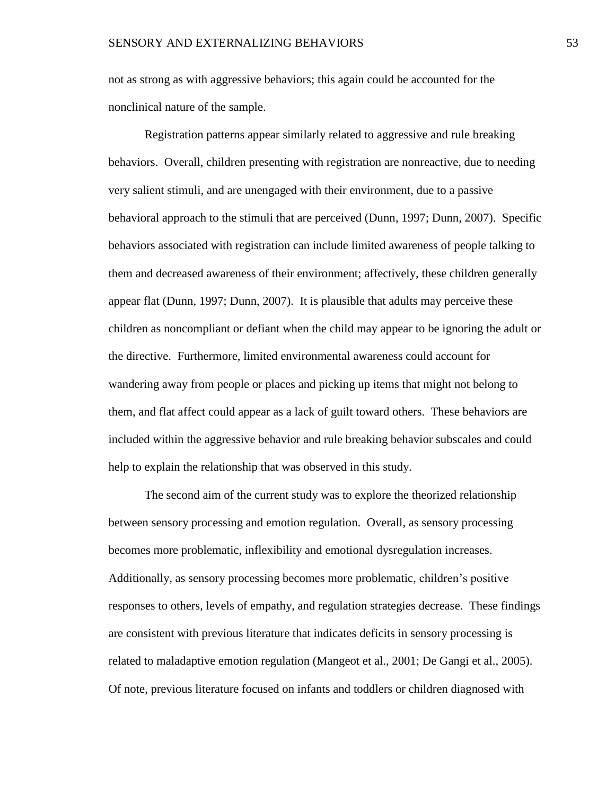not as strong as with aggressive behaviors; this again could be accounted for the nonclinical nature of the sample.

Registration patterns appear similarly related to aggressive and rule breaking behaviors. Overall, children presenting with registration are nonreactive, due to needing very salient stimuli, and are unengaged with their environment, due to a passive behavioral approach to the stimuli that are perceived (Dunn, 1997; Dunn, 2007). Specific behaviors associated with registration can include limited awareness of people talking to them and decreased awareness of their environment; affectively, these children generally appear flat (Dunn, 1997; Dunn, 2007). It is plausible that adults may perceive these children as noncompliant or defiant when the child may appear to be ignoring the adult or the directive. Furthermore, limited environmental awareness could account for wandering away from people or places and picking up items that might not belong to them, and flat affect could appear as a lack of guilt toward others. These behaviors are included within the aggressive behavior and rule breaking behavior subscales and could help to explain the relationship that was observed in this study.

The second aim of the current study was to explore the theorized relationship between sensory processing and emotion regulation. Overall, as sensory processing becomes more problematic, inflexibility and emotional dysregulation increases. Additionally, as sensory processing becomes more problematic, children's positive responses to others, levels of empathy, and regulation strategies decrease. These findings are consistent with previous literature that indicates deficits in sensory processing is related to maladaptive emotion regulation (Mangeot et al., 2001; De Gangi et al., 2005). Of note, previous literature focused on infants and toddlers or children diagnosed with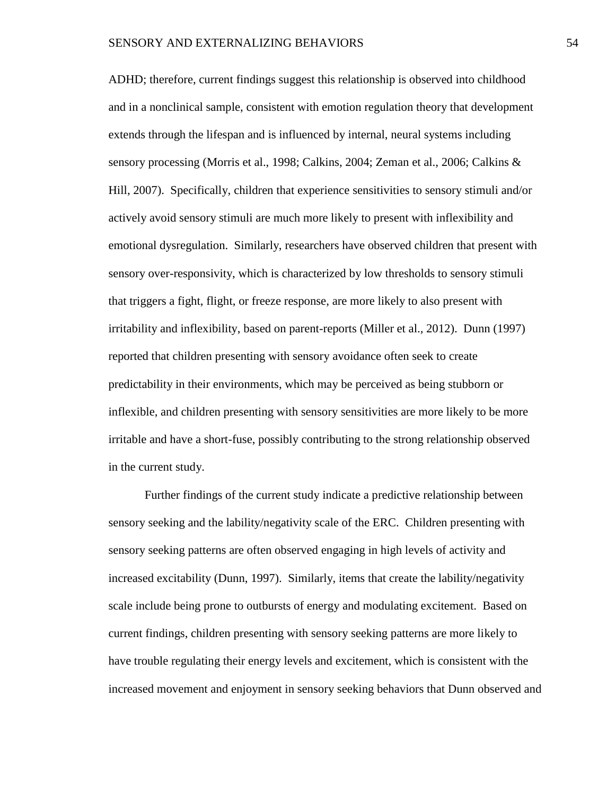ADHD; therefore, current findings suggest this relationship is observed into childhood and in a nonclinical sample, consistent with emotion regulation theory that development extends through the lifespan and is influenced by internal, neural systems including sensory processing (Morris et al., 1998; Calkins, 2004; Zeman et al., 2006; Calkins & Hill, 2007). Specifically, children that experience sensitivities to sensory stimuli and/or actively avoid sensory stimuli are much more likely to present with inflexibility and emotional dysregulation. Similarly, researchers have observed children that present with sensory over-responsivity, which is characterized by low thresholds to sensory stimuli that triggers a fight, flight, or freeze response, are more likely to also present with irritability and inflexibility, based on parent-reports (Miller et al., 2012). Dunn (1997) reported that children presenting with sensory avoidance often seek to create predictability in their environments, which may be perceived as being stubborn or inflexible, and children presenting with sensory sensitivities are more likely to be more irritable and have a short-fuse, possibly contributing to the strong relationship observed in the current study.

Further findings of the current study indicate a predictive relationship between sensory seeking and the lability/negativity scale of the ERC. Children presenting with sensory seeking patterns are often observed engaging in high levels of activity and increased excitability (Dunn, 1997). Similarly, items that create the lability/negativity scale include being prone to outbursts of energy and modulating excitement. Based on current findings, children presenting with sensory seeking patterns are more likely to have trouble regulating their energy levels and excitement, which is consistent with the increased movement and enjoyment in sensory seeking behaviors that Dunn observed and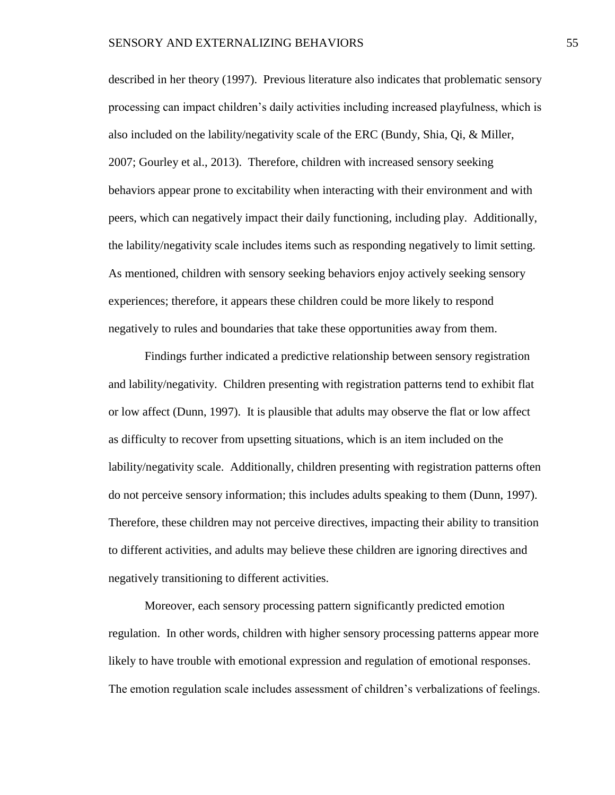described in her theory (1997). Previous literature also indicates that problematic sensory processing can impact children's daily activities including increased playfulness, which is also included on the lability/negativity scale of the ERC (Bundy, Shia, Qi, & Miller, 2007; Gourley et al., 2013). Therefore, children with increased sensory seeking behaviors appear prone to excitability when interacting with their environment and with peers, which can negatively impact their daily functioning, including play. Additionally, the lability/negativity scale includes items such as responding negatively to limit setting. As mentioned, children with sensory seeking behaviors enjoy actively seeking sensory experiences; therefore, it appears these children could be more likely to respond negatively to rules and boundaries that take these opportunities away from them.

Findings further indicated a predictive relationship between sensory registration and lability/negativity. Children presenting with registration patterns tend to exhibit flat or low affect (Dunn, 1997). It is plausible that adults may observe the flat or low affect as difficulty to recover from upsetting situations, which is an item included on the lability/negativity scale. Additionally, children presenting with registration patterns often do not perceive sensory information; this includes adults speaking to them (Dunn, 1997). Therefore, these children may not perceive directives, impacting their ability to transition to different activities, and adults may believe these children are ignoring directives and negatively transitioning to different activities.

Moreover, each sensory processing pattern significantly predicted emotion regulation. In other words, children with higher sensory processing patterns appear more likely to have trouble with emotional expression and regulation of emotional responses. The emotion regulation scale includes assessment of children's verbalizations of feelings.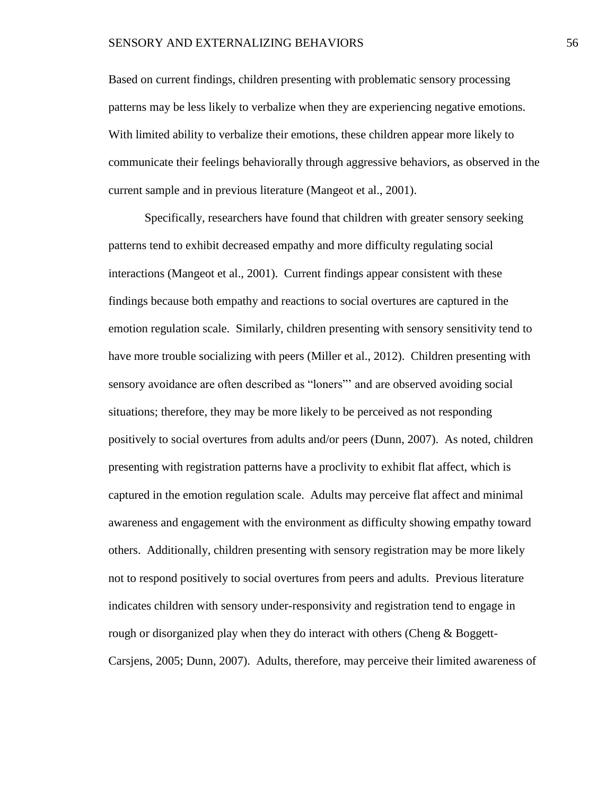Based on current findings, children presenting with problematic sensory processing patterns may be less likely to verbalize when they are experiencing negative emotions. With limited ability to verbalize their emotions, these children appear more likely to communicate their feelings behaviorally through aggressive behaviors, as observed in the current sample and in previous literature (Mangeot et al., 2001).

Specifically, researchers have found that children with greater sensory seeking patterns tend to exhibit decreased empathy and more difficulty regulating social interactions (Mangeot et al., 2001). Current findings appear consistent with these findings because both empathy and reactions to social overtures are captured in the emotion regulation scale. Similarly, children presenting with sensory sensitivity tend to have more trouble socializing with peers (Miller et al., 2012). Children presenting with sensory avoidance are often described as "loners"' and are observed avoiding social situations; therefore, they may be more likely to be perceived as not responding positively to social overtures from adults and/or peers (Dunn, 2007). As noted, children presenting with registration patterns have a proclivity to exhibit flat affect, which is captured in the emotion regulation scale. Adults may perceive flat affect and minimal awareness and engagement with the environment as difficulty showing empathy toward others. Additionally, children presenting with sensory registration may be more likely not to respond positively to social overtures from peers and adults. Previous literature indicates children with sensory under-responsivity and registration tend to engage in rough or disorganized play when they do interact with others (Cheng & Boggett-Carsjens, 2005; Dunn, 2007). Adults, therefore, may perceive their limited awareness of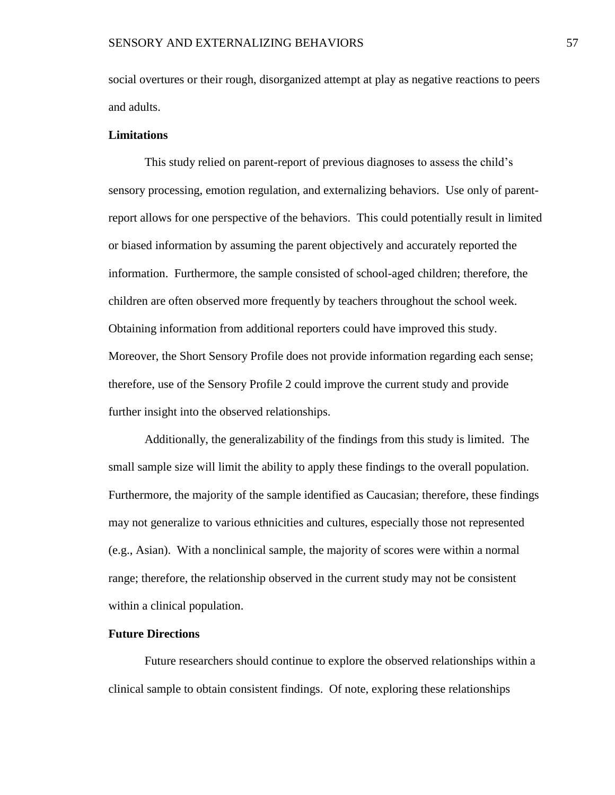social overtures or their rough, disorganized attempt at play as negative reactions to peers and adults.

## **Limitations**

This study relied on parent-report of previous diagnoses to assess the child's sensory processing, emotion regulation, and externalizing behaviors. Use only of parentreport allows for one perspective of the behaviors. This could potentially result in limited or biased information by assuming the parent objectively and accurately reported the information. Furthermore, the sample consisted of school-aged children; therefore, the children are often observed more frequently by teachers throughout the school week. Obtaining information from additional reporters could have improved this study. Moreover, the Short Sensory Profile does not provide information regarding each sense; therefore, use of the Sensory Profile 2 could improve the current study and provide further insight into the observed relationships.

Additionally, the generalizability of the findings from this study is limited. The small sample size will limit the ability to apply these findings to the overall population. Furthermore, the majority of the sample identified as Caucasian; therefore, these findings may not generalize to various ethnicities and cultures, especially those not represented (e.g., Asian). With a nonclinical sample, the majority of scores were within a normal range; therefore, the relationship observed in the current study may not be consistent within a clinical population.

## **Future Directions**

Future researchers should continue to explore the observed relationships within a clinical sample to obtain consistent findings. Of note, exploring these relationships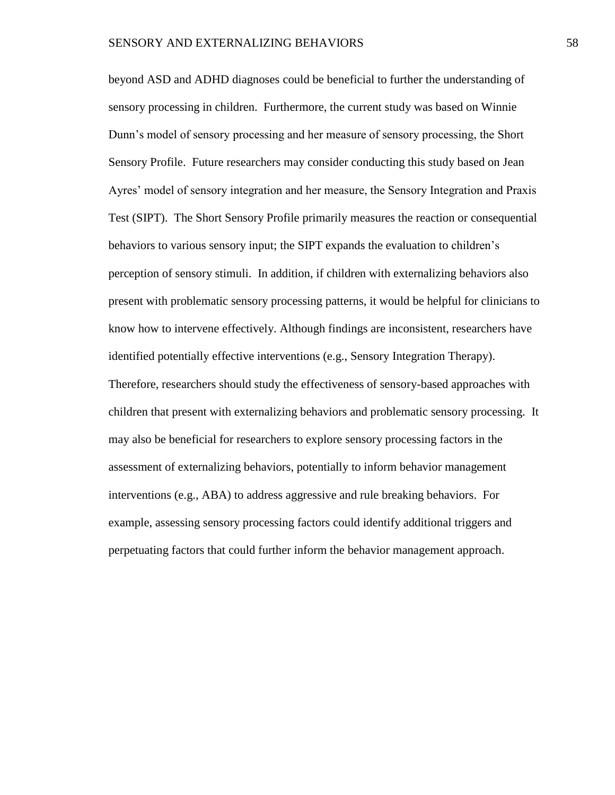beyond ASD and ADHD diagnoses could be beneficial to further the understanding of sensory processing in children. Furthermore, the current study was based on Winnie Dunn's model of sensory processing and her measure of sensory processing, the Short Sensory Profile. Future researchers may consider conducting this study based on Jean Ayres' model of sensory integration and her measure, the Sensory Integration and Praxis Test (SIPT). The Short Sensory Profile primarily measures the reaction or consequential behaviors to various sensory input; the SIPT expands the evaluation to children's perception of sensory stimuli. In addition, if children with externalizing behaviors also present with problematic sensory processing patterns, it would be helpful for clinicians to know how to intervene effectively. Although findings are inconsistent, researchers have identified potentially effective interventions (e.g., Sensory Integration Therapy). Therefore, researchers should study the effectiveness of sensory-based approaches with children that present with externalizing behaviors and problematic sensory processing. It may also be beneficial for researchers to explore sensory processing factors in the assessment of externalizing behaviors, potentially to inform behavior management interventions (e.g., ABA) to address aggressive and rule breaking behaviors. For example, assessing sensory processing factors could identify additional triggers and perpetuating factors that could further inform the behavior management approach.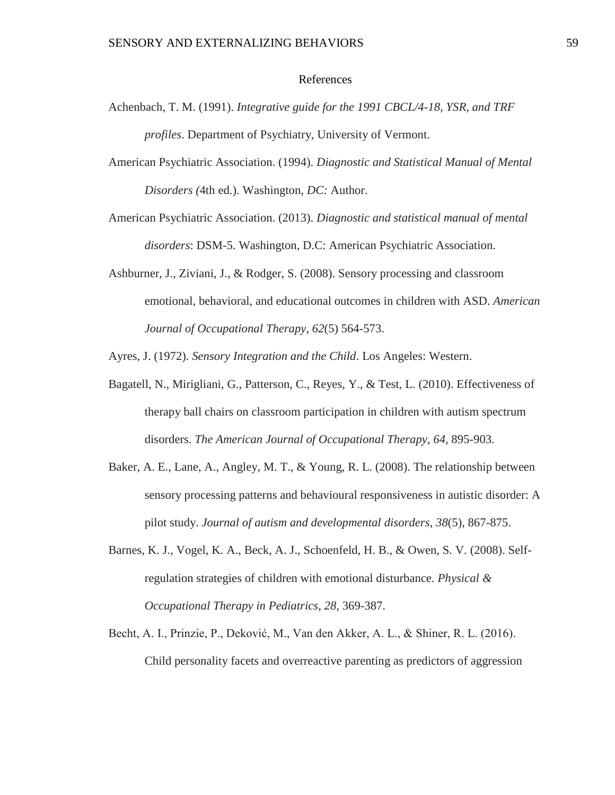## References

- Achenbach, T. M. (1991). *Integrative guide for the 1991 CBCL/4-18, YSR, and TRF profiles*. Department of Psychiatry, University of Vermont.
- American Psychiatric Association. (1994). *Diagnostic and Statistical Manual of Mental Disorders (*4th ed.). Washington, *DC:* Author.
- American Psychiatric Association. (2013). *Diagnostic and statistical manual of mental disorders*: DSM-5. Washington, D.C: American Psychiatric Association.
- Ashburner, J., Ziviani, J., & Rodger, S. (2008). Sensory processing and classroom emotional, behavioral, and educational outcomes in children with ASD. *American Journal of Occupational Therapy*, *62*(5) 564-573.

Ayres, J. (1972). *Sensory Integration and the Child*. Los Angeles: Western.

- Bagatell, N., Mirigliani, G., Patterson, C., Reyes, Y., & Test, L. (2010). Effectiveness of therapy ball chairs on classroom participation in children with autism spectrum disorders. *The American Journal of Occupational Therapy*, *64*, 895-903.
- Baker, A. E., Lane, A., Angley, M. T., & Young, R. L. (2008). The relationship between sensory processing patterns and behavioural responsiveness in autistic disorder: A pilot study. *Journal of autism and developmental disorders*, *38*(5), 867-875.
- Barnes, K. J., Vogel, K. A., Beck, A. J., Schoenfeld, H. B., & Owen, S. V. (2008). Selfregulation strategies of children with emotional disturbance. *Physical & Occupational Therapy in Pediatrics*, *28*, 369-387.
- Becht, A. I., Prinzie, P., Deković, M., Van den Akker, A. L., & Shiner, R. L. (2016). Child personality facets and overreactive parenting as predictors of aggression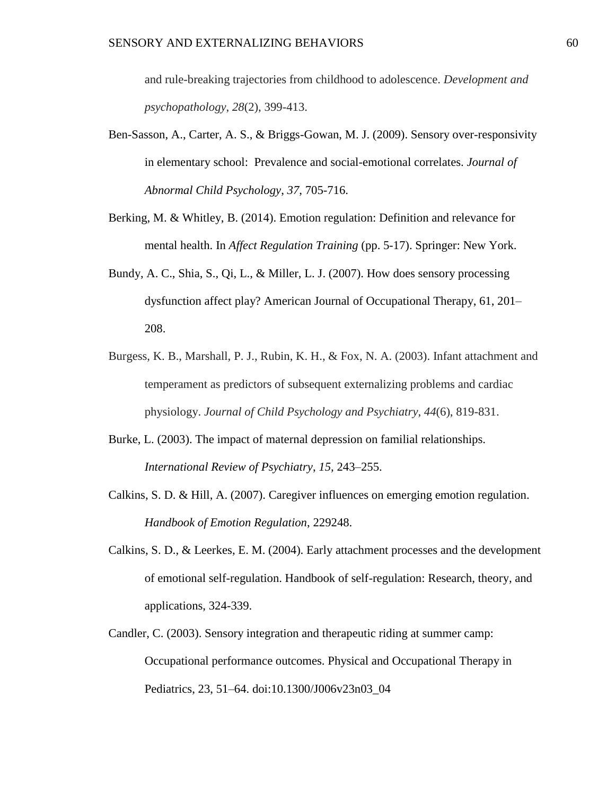and rule-breaking trajectories from childhood to adolescence. *Development and psychopathology*, *28*(2), 399-413.

- Ben-Sasson, A., Carter, A. S., & Briggs-Gowan, M. J. (2009). Sensory over-responsivity in elementary school: Prevalence and social-emotional correlates. *Journal of Abnormal Child Psychology*, *37*, 705-716.
- Berking, M. & Whitley, B. (2014). Emotion regulation: Definition and relevance for mental health. In *Affect Regulation Training* (pp. 5-17). Springer: New York.
- Bundy, A. C., Shia, S., Qi, L., & Miller, L. J. (2007). How does sensory processing dysfunction affect play? American Journal of Occupational Therapy, 61, 201– 208.
- Burgess, K. B., Marshall, P. J., Rubin, K. H., & Fox, N. A. (2003). Infant attachment and temperament as predictors of subsequent externalizing problems and cardiac physiology. *Journal of Child Psychology and Psychiatry*, *44*(6), 819-831.
- Burke, L. (2003). The impact of maternal depression on familial relationships. *International Review of Psychiatry*, *15,* 243–255.
- Calkins, S. D. & Hill, A. (2007). Caregiver influences on emerging emotion regulation. *Handbook of Emotion Regulation*, 229248.
- Calkins, S. D., & Leerkes, E. M. (2004). Early attachment processes and the development of emotional self-regulation. Handbook of self-regulation: Research, theory, and applications, 324-339.
- Candler, C. (2003). Sensory integration and therapeutic riding at summer camp: Occupational performance outcomes. Physical and Occupational Therapy in Pediatrics, 23, 51–64. doi:10.1300/J006v23n03\_04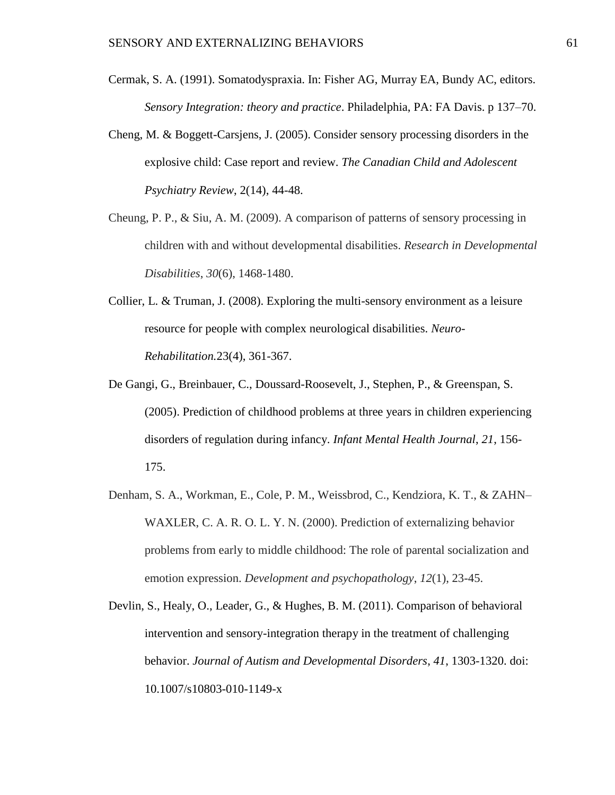- Cermak, S. A. (1991). Somatodyspraxia. In: Fisher AG, Murray EA, Bundy AC, editors. *Sensory Integration: theory and practice*. Philadelphia, PA: FA Davis. p 137–70.
- Cheng, M. & Boggett-Carsjens, J. (2005). Consider sensory processing disorders in the explosive child: Case report and review. *The Canadian Child and Adolescent Psychiatry Review*, 2(14), 44-48.
- Cheung, P. P., & Siu, A. M. (2009). A comparison of patterns of sensory processing in children with and without developmental disabilities. *Research in Developmental Disabilities*, *30*(6), 1468-1480.
- Collier, L. & Truman, J. (2008). Exploring the multi-sensory environment as a leisure resource for people with complex neurological disabilities. *Neuro-Rehabilitation.*23(4), 361-367.
- De Gangi, G., Breinbauer, C., Doussard-Roosevelt, J., Stephen, P., & Greenspan, S. (2005). Prediction of childhood problems at three years in children experiencing disorders of regulation during infancy. *Infant Mental Health Journal*, *21*, 156- 175.
- Denham, S. A., Workman, E., Cole, P. M., Weissbrod, C., Kendziora, K. T., & ZAHN– WAXLER, C. A. R. O. L. Y. N. (2000). Prediction of externalizing behavior problems from early to middle childhood: The role of parental socialization and emotion expression. *Development and psychopathology*, *12*(1), 23-45.
- Devlin, S., Healy, O., Leader, G., & Hughes, B. M. (2011). Comparison of behavioral intervention and sensory-integration therapy in the treatment of challenging behavior. *Journal of Autism and Developmental Disorders*, *41*, 1303-1320. doi: 10.1007/s10803-010-1149-x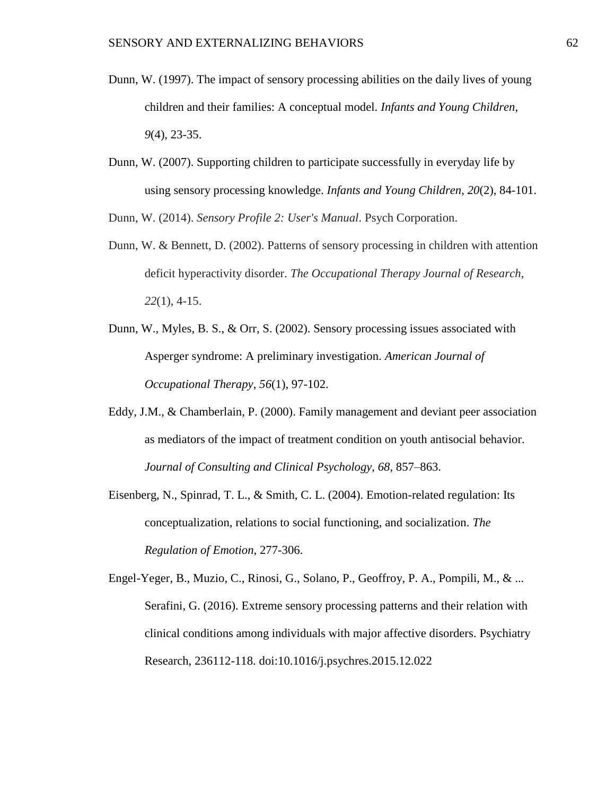- Dunn, W. (1997). The impact of sensory processing abilities on the daily lives of young children and their families: A conceptual model. *Infants and Young Children*, *9*(4), 23-35.
- Dunn, W. (2007). Supporting children to participate successfully in everyday life by using sensory processing knowledge. *Infants and Young Children*, *20*(2), 84-101.

Dunn, W. (2014). *Sensory Profile 2: User's Manual*. Psych Corporation.

- Dunn, W. & Bennett, D. (2002). Patterns of sensory processing in children with attention deficit hyperactivity disorder. *The Occupational Therapy Journal of Research*, *22*(1), 4-15.
- Dunn, W., Myles, B. S., & Orr, S. (2002). Sensory processing issues associated with Asperger syndrome: A preliminary investigation. *American Journal of Occupational Therapy*, *56*(1), 97-102.
- Eddy, J.M., & Chamberlain, P. (2000). Family management and deviant peer association as mediators of the impact of treatment condition on youth antisocial behavior. *Journal of Consulting and Clinical Psychology*, *68,* 857–863.
- Eisenberg, N., Spinrad, T. L., & Smith, C. L. (2004). Emotion-related regulation: Its conceptualization, relations to social functioning, and socialization. *The Regulation of Emotion*, 277-306.

Engel-Yeger, B., Muzio, C., Rinosi, G., Solano, P., Geoffroy, P. A., Pompili, M., & ... Serafini, G. (2016). Extreme sensory processing patterns and their relation with clinical conditions among individuals with major affective disorders. Psychiatry Research, 236112-118. doi:10.1016/j.psychres.2015.12.022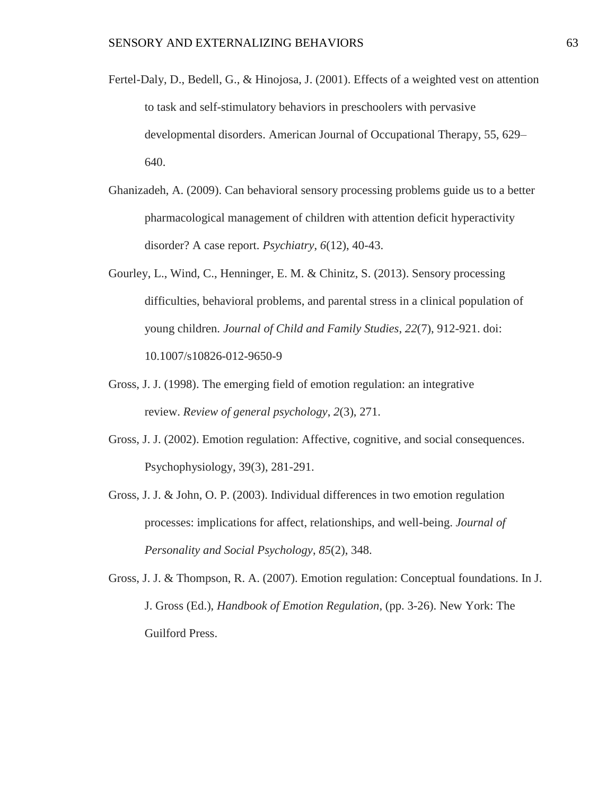- Fertel-Daly, D., Bedell, G., & Hinojosa, J. (2001). Effects of a weighted vest on attention to task and self-stimulatory behaviors in preschoolers with pervasive developmental disorders. American Journal of Occupational Therapy, 55, 629– 640.
- Ghanizadeh, A. (2009). Can behavioral sensory processing problems guide us to a better pharmacological management of children with attention deficit hyperactivity disorder? A case report. *Psychiatry*, *6*(12), 40-43.
- Gourley, L., Wind, C., Henninger, E. M. & Chinitz, S. (2013). Sensory processing difficulties, behavioral problems, and parental stress in a clinical population of young children. *Journal of Child and Family Studies*, *22*(7), 912-921. doi: 10.1007/s10826-012-9650-9
- Gross, J. J. (1998). The emerging field of emotion regulation: an integrative review. *Review of general psychology*, *2*(3), 271.
- Gross, J. J. (2002). Emotion regulation: Affective, cognitive, and social consequences. Psychophysiology, 39(3), 281-291.
- Gross, J. J. & John, O. P. (2003). Individual differences in two emotion regulation processes: implications for affect, relationships, and well-being. *Journal of Personality and Social Psychology*, *85*(2), 348.
- Gross, J. J. & Thompson, R. A. (2007). Emotion regulation: Conceptual foundations. In J. J. Gross (Ed.), *Handbook of Emotion Regulation*, (pp. 3-26). New York: The Guilford Press.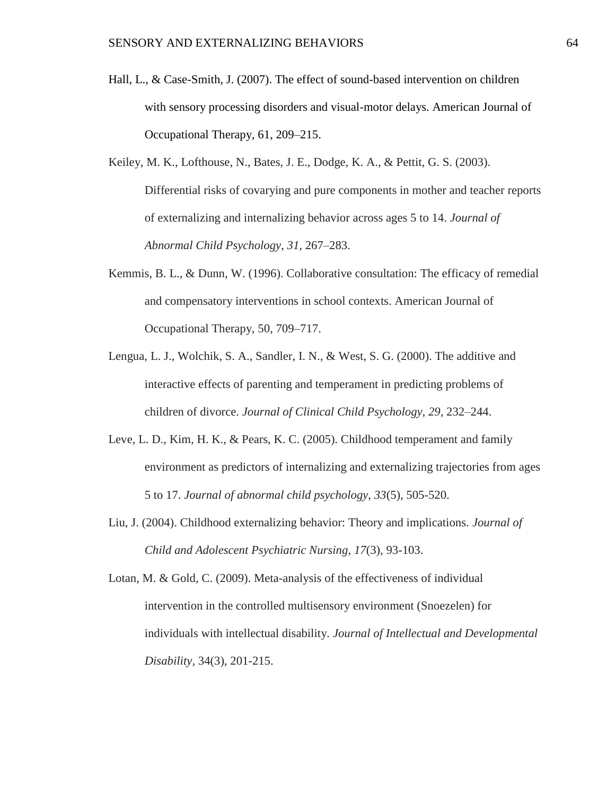- Hall, L., & Case-Smith, J. (2007). The effect of sound-based intervention on children with sensory processing disorders and visual-motor delays. American Journal of Occupational Therapy, 61, 209–215.
- Keiley, M. K., Lofthouse, N., Bates, J. E., Dodge, K. A., & Pettit, G. S. (2003). Differential risks of covarying and pure components in mother and teacher reports of externalizing and internalizing behavior across ages 5 to 14. *Journal of Abnormal Child Psychology*, *31,* 267–283.
- Kemmis, B. L., & Dunn, W. (1996). Collaborative consultation: The efficacy of remedial and compensatory interventions in school contexts. American Journal of Occupational Therapy, 50, 709–717.
- Lengua, L. J., Wolchik, S. A., Sandler, I. N., & West, S. G. (2000). The additive and interactive effects of parenting and temperament in predicting problems of children of divorce. *Journal of Clinical Child Psychology*, *29,* 232–244.
- Leve, L. D., Kim, H. K., & Pears, K. C. (2005). Childhood temperament and family environment as predictors of internalizing and externalizing trajectories from ages 5 to 17. *Journal of abnormal child psychology*, *33*(5), 505-520.
- Liu, J. (2004). Childhood externalizing behavior: Theory and implications. *Journal of Child and Adolescent Psychiatric Nursing*, *17*(3), 93-103.
- Lotan, M. & Gold, C. (2009). Meta-analysis of the effectiveness of individual intervention in the controlled multisensory environment (Snoezelen) for individuals with intellectual disability. *Journal of Intellectual and Developmental Disability,* 34(3), 201-215.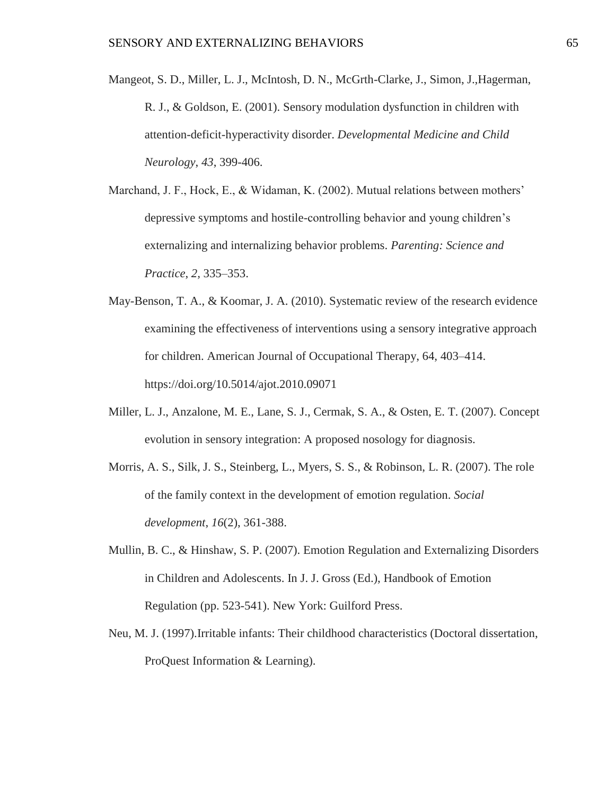- Mangeot, S. D., Miller, L. J., McIntosh, D. N., McGrth-Clarke, J., Simon, J.,Hagerman, R. J., & Goldson, E. (2001). Sensory modulation dysfunction in children with attention-deficit-hyperactivity disorder. *Developmental Medicine and Child Neurology*, *43*, 399-406.
- Marchand, J. F., Hock, E., & Widaman, K. (2002). Mutual relations between mothers' depressive symptoms and hostile-controlling behavior and young children's externalizing and internalizing behavior problems. *Parenting: Science and Practice*, *2,* 335–353.
- May-Benson, T. A., & Koomar, J. A. (2010). Systematic review of the research evidence examining the effectiveness of interventions using a sensory integrative approach for children. American Journal of Occupational Therapy, 64, 403–414. https://doi.org/10.5014/ajot.2010.09071
- Miller, L. J., Anzalone, M. E., Lane, S. J., Cermak, S. A., & Osten, E. T. (2007). Concept evolution in sensory integration: A proposed nosology for diagnosis.
- Morris, A. S., Silk, J. S., Steinberg, L., Myers, S. S., & Robinson, L. R. (2007). The role of the family context in the development of emotion regulation. *Social development*, *16*(2), 361-388.
- Mullin, B. C., & Hinshaw, S. P. (2007). Emotion Regulation and Externalizing Disorders in Children and Adolescents. In J. J. Gross (Ed.), Handbook of Emotion Regulation (pp. 523-541). New York: Guilford Press.
- Neu, M. J. (1997).Irritable infants: Their childhood characteristics (Doctoral dissertation, ProQuest Information & Learning).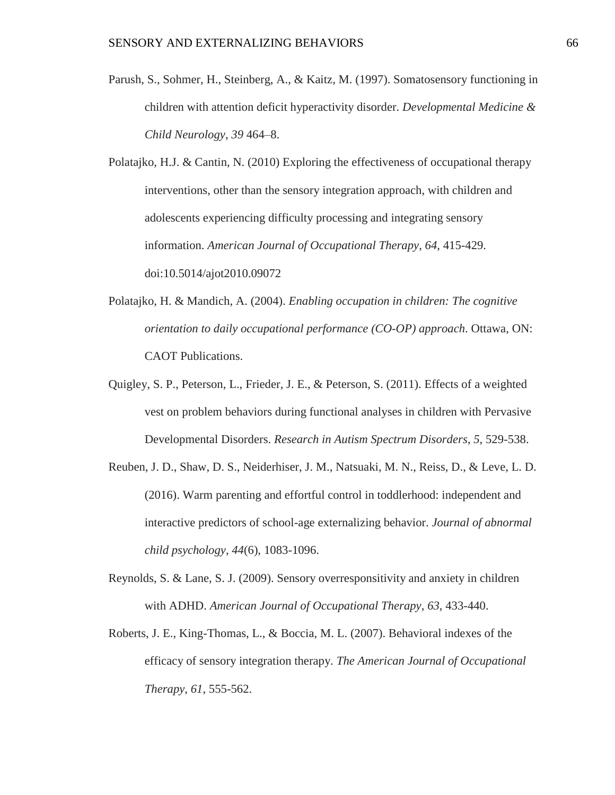- Parush, S., Sohmer, H., Steinberg, A., & Kaitz, M. (1997). Somatosensory functioning in children with attention deficit hyperactivity disorder. *Developmental Medicine & Child Neurology*, *39* 464–8.
- Polatajko, H.J. & Cantin, N. (2010) Exploring the effectiveness of occupational therapy interventions, other than the sensory integration approach, with children and adolescents experiencing difficulty processing and integrating sensory information. *American Journal of Occupational Therapy*, *64*, 415-429. doi:10.5014/ajot2010.09072
- Polatajko, H. & Mandich, A. (2004). *Enabling occupation in children: The cognitive orientation to daily occupational performance (CO-OP) approach*. Ottawa, ON: CAOT Publications.
- Quigley, S. P., Peterson, L., Frieder, J. E., & Peterson, S. (2011). Effects of a weighted vest on problem behaviors during functional analyses in children with Pervasive Developmental Disorders. *Research in Autism Spectrum Disorders*, *5*, 529-538.
- Reuben, J. D., Shaw, D. S., Neiderhiser, J. M., Natsuaki, M. N., Reiss, D., & Leve, L. D. (2016). Warm parenting and effortful control in toddlerhood: independent and interactive predictors of school-age externalizing behavior. *Journal of abnormal child psychology*, *44*(6), 1083-1096.
- Reynolds, S. & Lane, S. J. (2009). Sensory overresponsitivity and anxiety in children with ADHD. *American Journal of Occupational Therapy*, *63*, 433-440.
- Roberts, J. E., King-Thomas, L., & Boccia, M. L. (2007). Behavioral indexes of the efficacy of sensory integration therapy. *The American Journal of Occupational Therapy*, *61*, 555-562.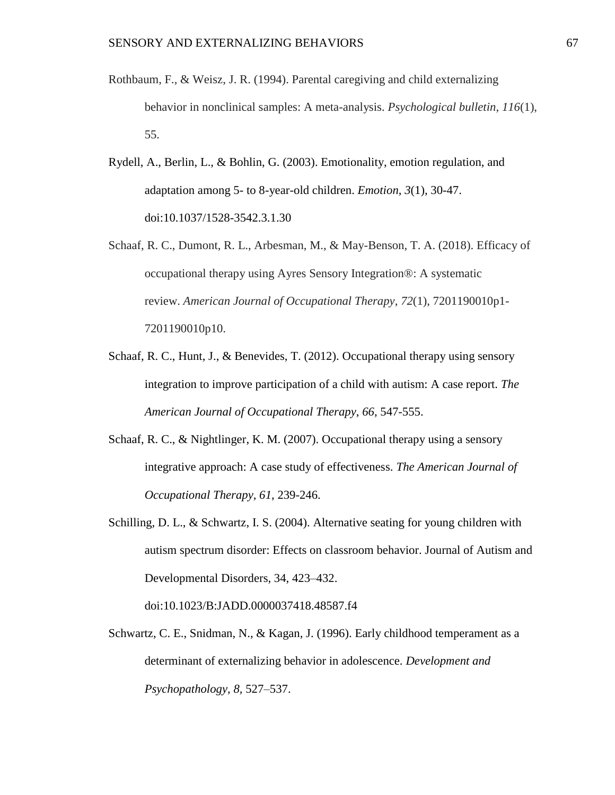- Rothbaum, F., & Weisz, J. R. (1994). Parental caregiving and child externalizing behavior in nonclinical samples: A meta-analysis. *Psychological bulletin*, *116*(1), 55.
- Rydell, A., Berlin, L., & Bohlin, G. (2003). Emotionality, emotion regulation, and adaptation among 5- to 8-year-old children. *Emotion*, *3*(1), 30-47. doi:10.1037/1528-3542.3.1.30
- Schaaf, R. C., Dumont, R. L., Arbesman, M., & May-Benson, T. A. (2018). Efficacy of occupational therapy using Ayres Sensory Integration®: A systematic review. *American Journal of Occupational Therapy*, *72*(1), 7201190010p1- 7201190010p10.
- Schaaf, R. C., Hunt, J., & Benevides, T. (2012). Occupational therapy using sensory integration to improve participation of a child with autism: A case report. *The American Journal of Occupational Therapy*, *66*, 547-555.
- Schaaf, R. C., & Nightlinger, K. M. (2007). Occupational therapy using a sensory integrative approach: A case study of effectiveness. *The American Journal of Occupational Therapy*, *61*, 239-246.
- Schilling, D. L., & Schwartz, I. S. (2004). Alternative seating for young children with autism spectrum disorder: Effects on classroom behavior. Journal of Autism and Developmental Disorders, 34, 423–432.

doi:10.1023/B:JADD.0000037418.48587.f4

Schwartz, C. E., Snidman, N., & Kagan, J. (1996). Early childhood temperament as a determinant of externalizing behavior in adolescence. *Development and Psychopathology*, *8,* 527–537.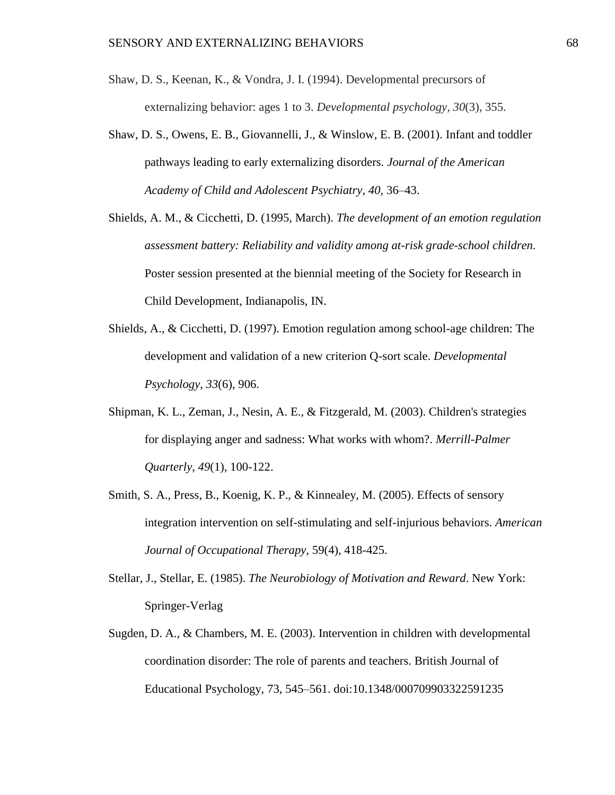- Shaw, D. S., Keenan, K., & Vondra, J. I. (1994). Developmental precursors of externalizing behavior: ages 1 to 3. *Developmental psychology*, *30*(3), 355.
- Shaw, D. S., Owens, E. B., Giovannelli, J., & Winslow, E. B. (2001). Infant and toddler pathways leading to early externalizing disorders. *Journal of the American Academy of Child and Adolescent Psychiatry*, *40,* 36–43.
- Shields, A. M., & Cicchetti, D. (1995, March). *The development of an emotion regulation assessment battery: Reliability and validity among at-risk grade-school children.*  Poster session presented at the biennial meeting of the Society for Research in Child Development, Indianapolis, IN.
- Shields, A., & Cicchetti, D. (1997). Emotion regulation among school-age children: The development and validation of a new criterion Q-sort scale. *Developmental Psychology*, *33*(6), 906.
- Shipman, K. L., Zeman, J., Nesin, A. E., & Fitzgerald, M. (2003). Children's strategies for displaying anger and sadness: What works with whom?. *Merrill-Palmer Quarterly*, *49*(1), 100-122.
- Smith, S. A., Press, B., Koenig, K. P., & Kinnealey, M. (2005). Effects of sensory integration intervention on self-stimulating and self-injurious behaviors. *American Journal of Occupational Therapy,* 59(4), 418-425.
- Stellar, J., Stellar, E. (1985). *The Neurobiology of Motivation and Reward*. New York: Springer-Verlag
- Sugden, D. A., & Chambers, M. E. (2003). Intervention in children with developmental coordination disorder: The role of parents and teachers. British Journal of Educational Psychology, 73, 545–561. doi:10.1348/000709903322591235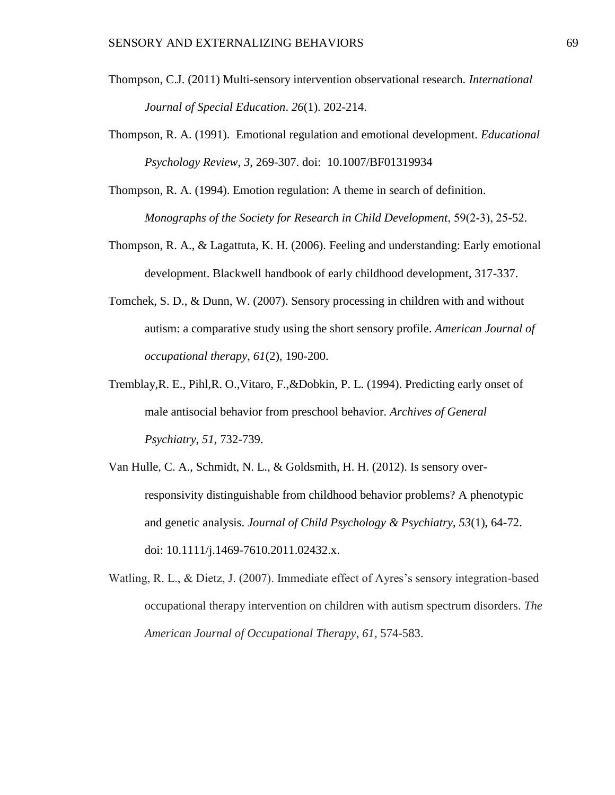- Thompson, C.J. (2011) Multi-sensory intervention observational research. *International Journal of Special Education*. *26*(1). 202-214.
- Thompson, R. A. (1991). Emotional regulation and emotional development. *Educational Psychology Review*, *3*, 269-307. doi: 10.1007/BF01319934
- Thompson, R. A. (1994). Emotion regulation: A theme in search of definition. *Monographs of the Society for Research in Child Development*, 59(2‐3), 25-52.
- Thompson, R. A., & Lagattuta, K. H. (2006). Feeling and understanding: Early emotional development. Blackwell handbook of early childhood development, 317-337.
- Tomchek, S. D., & Dunn, W. (2007). Sensory processing in children with and without autism: a comparative study using the short sensory profile. *American Journal of occupational therapy*, *61*(2), 190-200.
- Tremblay,R. E., Pihl,R. O.,Vitaro, F.,&Dobkin, P. L. (1994). Predicting early onset of male antisocial behavior from preschool behavior. *Archives of General Psychiatry*, *51,* 732-739.
- Van Hulle, C. A., Schmidt, N. L., & Goldsmith, H. H. (2012). Is sensory overresponsivity distinguishable from childhood behavior problems? A phenotypic and genetic analysis. *Journal of Child Psychology & Psychiatry*, *53*(1), 64-72. doi: 10.1111/j.1469-7610.2011.02432.x.
- Watling, R. L., & Dietz, J. (2007). Immediate effect of Ayres's sensory integration-based occupational therapy intervention on children with autism spectrum disorders. *The American Journal of Occupational Therapy*, *61*, 574-583.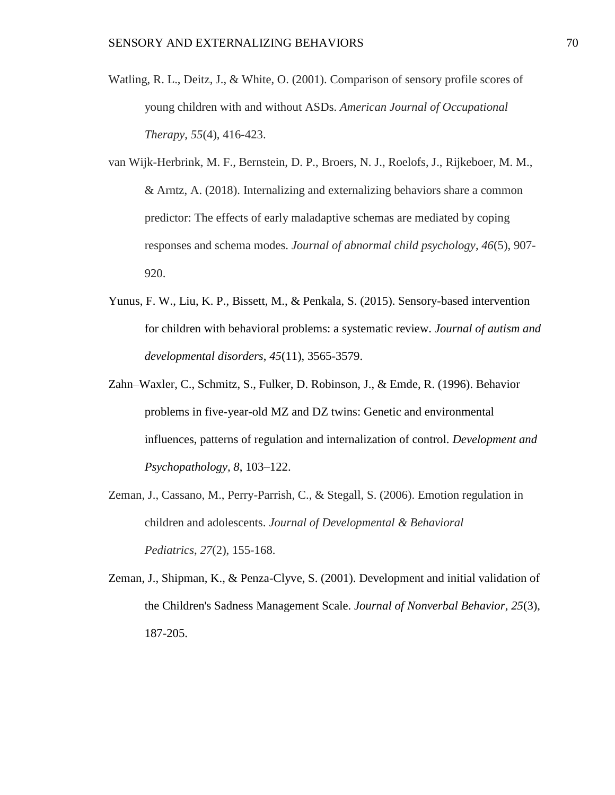- Watling, R. L., Deitz, J., & White, O. (2001). Comparison of sensory profile scores of young children with and without ASDs. *American Journal of Occupational Therapy*, *55*(4), 416-423.
- van Wijk-Herbrink, M. F., Bernstein, D. P., Broers, N. J., Roelofs, J., Rijkeboer, M. M., & Arntz, A. (2018). Internalizing and externalizing behaviors share a common predictor: The effects of early maladaptive schemas are mediated by coping responses and schema modes. *Journal of abnormal child psychology*, *46*(5), 907- 920.
- Yunus, F. W., Liu, K. P., Bissett, M., & Penkala, S. (2015). Sensory-based intervention for children with behavioral problems: a systematic review. *Journal of autism and developmental disorders*, *45*(11), 3565-3579.
- Zahn–Waxler, C., Schmitz, S., Fulker, D. Robinson, J., & Emde, R. (1996). Behavior problems in five-year-old MZ and DZ twins: Genetic and environmental influences, patterns of regulation and internalization of control. *Development and Psychopathology, 8*, 103–122.
- Zeman, J., Cassano, M., Perry-Parrish, C., & Stegall, S. (2006). Emotion regulation in children and adolescents. *Journal of Developmental & Behavioral Pediatrics*, *27*(2), 155-168.
- Zeman, J., Shipman, K., & Penza-Clyve, S. (2001). Development and initial validation of the Children's Sadness Management Scale. *Journal of Nonverbal Behavior*, *25*(3), 187-205.